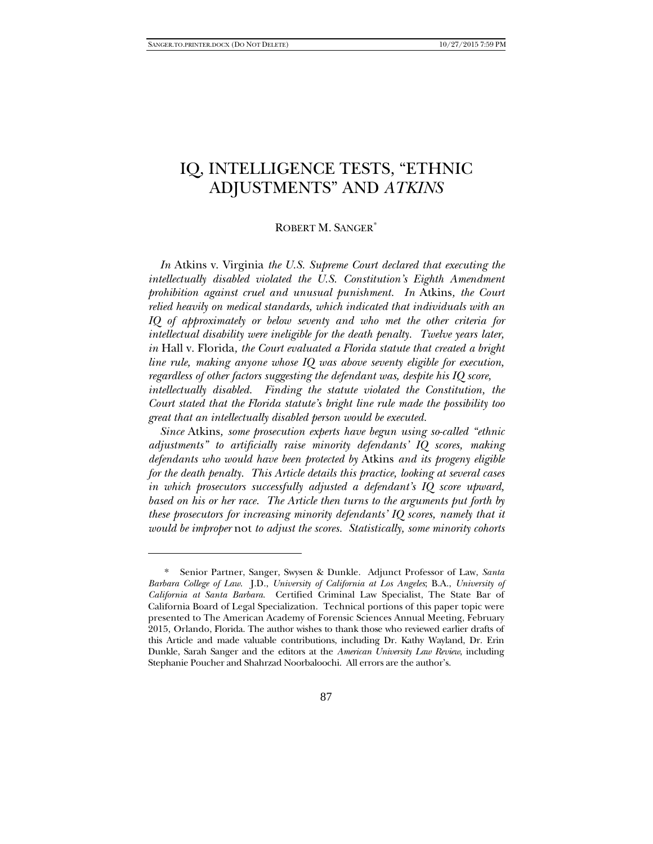-

# IQ, INTELLIGENCE TESTS, "ETHNIC ADJUSTMENTS" AND *ATKINS*

#### ROBERT M. SANGER[\\*](#page-0-0)

*In* Atkins v. Virginia *the U.S. Supreme Court declared that executing the intellectually disabled violated the U.S. Constitution's Eighth Amendment prohibition against cruel and unusual punishment. In* Atkins*, the Court relied heavily on medical standards, which indicated that individuals with an IQ of approximately or below seventy and who met the other criteria for intellectual disability were ineligible for the death penalty. Twelve years later, in* Hall v. Florida*, the Court evaluated a Florida statute that created a bright line rule, making anyone whose IQ was above seventy eligible for execution, regardless of other factors suggesting the defendant was, despite his IQ score, intellectually disabled. Finding the statute violated the Constitution, the Court stated that the Florida statute's bright line rule made the possibility too great that an intellectually disabled person would be executed.*

*Since* Atkins*, some prosecution experts have begun using so-called "ethnic adjustments" to artificially raise minority defendants' IQ scores, making defendants who would have been protected by* Atkins *and its progeny eligible for the death penalty. This Article details this practice, looking at several cases in which prosecutors successfully adjusted a defendant's IQ score upward, based on his or her race. The Article then turns to the arguments put forth by these prosecutors for increasing minority defendants' IQ scores, namely that it would be improper* not *to adjust the scores. Statistically, some minority cohorts* 

<span id="page-0-0"></span><sup>\*</sup> Senior Partner, Sanger, Swysen & Dunkle. Adjunct Professor of Law, *Santa Barbara College of Law*. J.D., *University of California at Los Angeles*; B.A., *University of California at Santa Barbara*. Certified Criminal Law Specialist, The State Bar of California Board of Legal Specialization. Technical portions of this paper topic were presented to The American Academy of Forensic Sciences Annual Meeting, February 2015, Orlando, Florida. The author wishes to thank those who reviewed earlier drafts of this Article and made valuable contributions, including Dr. Kathy Wayland, Dr. Erin Dunkle, Sarah Sanger and the editors at the *American University Law Review*, including Stephanie Poucher and Shahrzad Noorbaloochi. All errors are the author's.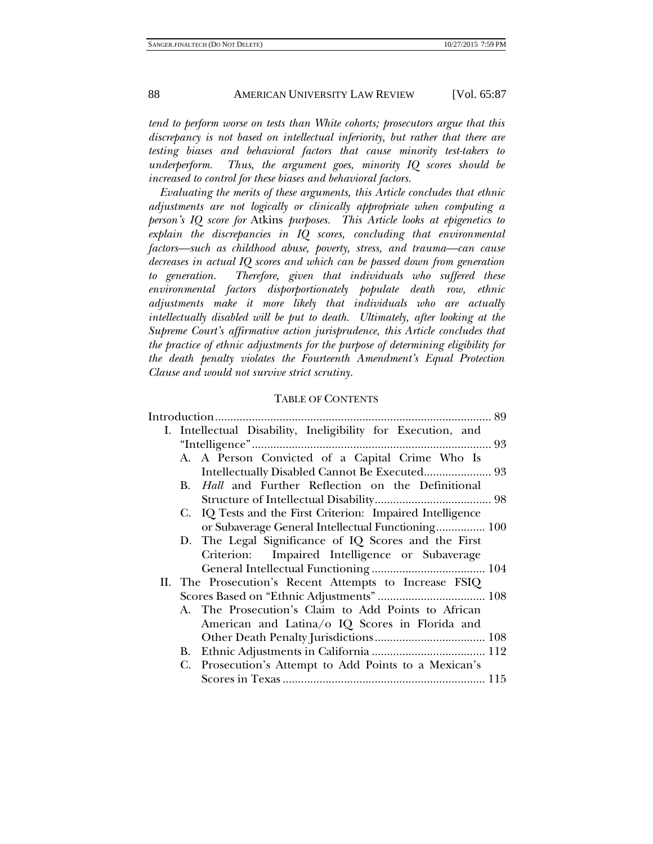*tend to perform worse on tests than White cohorts; prosecutors argue that this discrepancy is not based on intellectual inferiority, but rather that there are testing biases and behavioral factors that cause minority test-takers to underperform. Thus, the argument goes, minority IQ scores should be increased to control for these biases and behavioral factors.*

*Evaluating the merits of these arguments, this Article concludes that ethnic adjustments are not logically or clinically appropriate when computing a person's IQ score for* Atkins *purposes. This Article looks at epigenetics to explain the discrepancies in IQ scores, concluding that environmental factors—such as childhood abuse, poverty, stress, and trauma—can cause decreases in actual IQ scores and which can be passed down from generation to generation. Therefore, given that individuals who suffered these environmental factors disporportionately populate death row, ethnic adjustments make it more likely that individuals who are actually intellectually disabled will be put to death. Ultimately, after looking at the Supreme Court's affirmative action jurisprudence, this Article concludes that the practice of ethnic adjustments for the purpose of determining eligibility for the death penalty violates the Fourteenth Amendment's Equal Protection Clause and would not survive strict scrutiny.*

#### TABLE OF CONTENTS

|  |           | . 89<br>Introduction                                         |
|--|-----------|--------------------------------------------------------------|
|  |           | I. Intellectual Disability, Ineligibility for Execution, and |
|  |           |                                                              |
|  |           | A. A Person Convicted of a Capital Crime Who Is              |
|  |           | Intellectually Disabled Cannot Be Executed 93                |
|  | <b>B.</b> | Hall and Further Reflection on the Definitional              |
|  |           |                                                              |
|  |           | C. IQ Tests and the First Criterion: Impaired Intelligence   |
|  |           | or Subaverage General Intellectual Functioning 100           |
|  |           | D. The Legal Significance of IQ Scores and the First         |
|  |           | Criterion: Impaired Intelligence or Subaverage               |
|  |           |                                                              |
|  |           | II. The Prosecution's Recent Attempts to Increase FSIQ       |
|  |           |                                                              |
|  |           | A. The Prosecution's Claim to Add Points to African          |
|  |           | American and Latina/o IQ Scores in Florida and               |
|  |           |                                                              |
|  |           |                                                              |
|  |           | C. Prosecution's Attempt to Add Points to a Mexican's        |
|  |           |                                                              |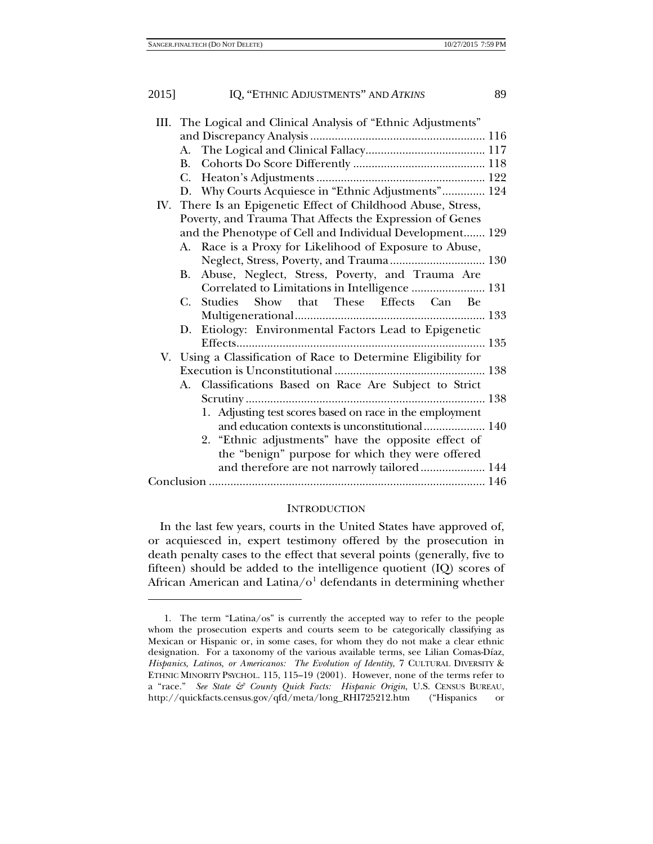1

| 2015] | IQ, "ETHNIC ADJUSTMENTS" AND ATKINS                            | 89 |
|-------|----------------------------------------------------------------|----|
|       | III. The Logical and Clinical Analysis of "Ethnic Adjustments" |    |
|       |                                                                |    |
|       |                                                                |    |
|       |                                                                |    |
|       |                                                                |    |
|       | D. Why Courts Acquiesce in "Ethnic Adjustments" 124            |    |
|       | IV. There Is an Epigenetic Effect of Childhood Abuse, Stress,  |    |
|       | Poverty, and Trauma That Affects the Expression of Genes       |    |
|       | and the Phenotype of Cell and Individual Development 129       |    |
|       | Race is a Proxy for Likelihood of Exposure to Abuse,<br>А.     |    |
|       | Neglect, Stress, Poverty, and Trauma 130                       |    |
|       | Abuse, Neglect, Stress, Poverty, and Trauma Are<br><b>B.</b>   |    |
|       | Correlated to Limitations in Intelligence  131                 |    |
|       | Studies Show that These Effects Can Be<br>$C_{\cdot}$          |    |
|       |                                                                |    |
|       | Etiology: Environmental Factors Lead to Epigenetic<br>D.       |    |
|       |                                                                |    |
|       | V. Using a Classification of Race to Determine Eligibility for |    |
|       |                                                                |    |
|       | Classifications Based on Race Are Subject to Strict<br>А.      |    |
|       |                                                                |    |
|       | 1. Adjusting test scores based on race in the employment       |    |
|       | and education contexts is unconstitutional  140                |    |
|       | 2. "Ethnic adjustments" have the opposite effect of            |    |
|       | the "benign" purpose for which they were offered               |    |
|       | and therefore are not narrowly tailored 144                    |    |
|       |                                                                |    |

#### <span id="page-2-1"></span>**INTRODUCTION**

In the last few years, courts in the United States have approved of, or acquiesced in, expert testimony offered by the prosecution in death penalty cases to the effect that several points (generally, five to fifteen) should be added to the intelligence quotient (IQ) scores of African American and Latina/ $o<sup>1</sup>$  $o<sup>1</sup>$  $o<sup>1</sup>$  defendants in determining whether

<span id="page-2-0"></span><sup>1.</sup> The term "Latina/os" is currently the accepted way to refer to the people whom the prosecution experts and courts seem to be categorically classifying as Mexican or Hispanic or, in some cases, for whom they do not make a clear ethnic designation. For a taxonomy of the various available terms, see Lilian Comas-Díaz, *Hispanics, Latinos, or Americanos: The Evolution of Identity*, 7 CULTURAL DIVERSITY & ETHNIC MINORITY PSYCHOL. 115, 115–19 (2001). However, none of the terms refer to a "race." *See State & County Quick Facts: Hispanic Origin*, U.S. CENSUS BUREAU, http://quickfacts.census.gov/qfd/meta/long\_RHI725212.htm ("Hispanics or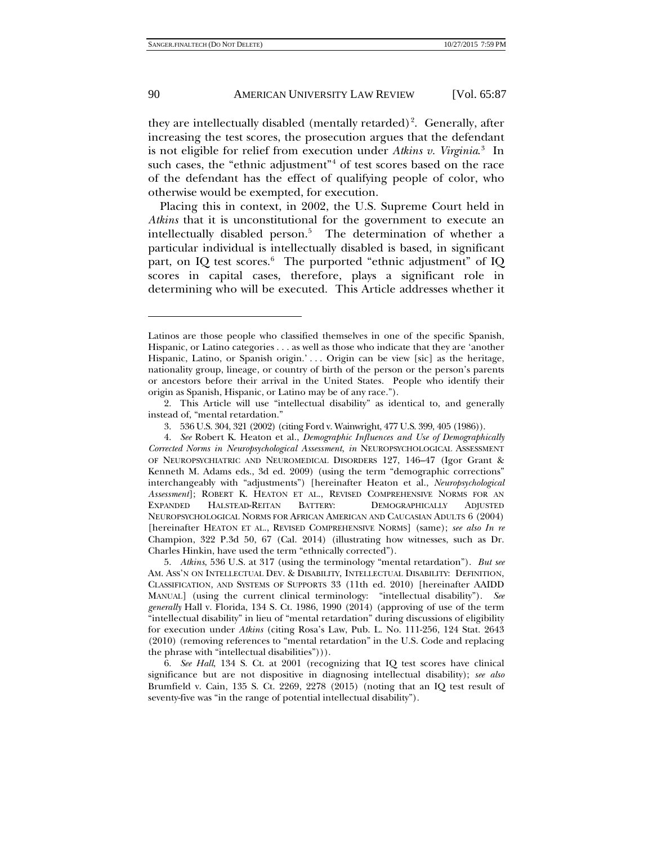<span id="page-3-6"></span>they are intellectually disabled (mentally retarded)<sup>[2](#page-3-0)</sup>. Generally, after increasing the test scores, the prosecution argues that the defendant is not eligible for relief from execution under *Atkins v. Virginia*. [3](#page-3-1) In such cases, the "ethnic adjustment"<sup>[4](#page-3-2)</sup> of test scores based on the race of the defendant has the effect of qualifying people of color, who otherwise would be exempted, for execution.

<span id="page-3-5"></span>Placing this in context, in 2002, the U.S. Supreme Court held in *Atkins* that it is unconstitutional for the government to execute an intellectually disabled person.<sup>[5](#page-3-3)</sup> The determination of whether a particular individual is intellectually disabled is based, in significant part, on IQ test scores.<sup>[6](#page-3-4)</sup> The purported "ethnic adjustment" of IQ scores in capital cases, therefore, plays a significant role in determining who will be executed. This Article addresses whether it

Latinos are those people who classified themselves in one of the specific Spanish, Hispanic, or Latino categories . . . as well as those who indicate that they are 'another Hispanic, Latino, or Spanish origin.' . . . Origin can be view [sic] as the heritage, nationality group, lineage, or country of birth of the person or the person's parents or ancestors before their arrival in the United States. People who identify their origin as Spanish, Hispanic, or Latino may be of any race.").

<span id="page-3-0"></span><sup>2.</sup> This Article will use "intellectual disability" as identical to, and generally instead of, "mental retardation."

<sup>3.</sup> 536 U.S. 304, 321 (2002) (citing Ford v. Wainwright, 477 U.S. 399, 405 (1986)).

<span id="page-3-2"></span><span id="page-3-1"></span><sup>4.</sup> *See* Robert K. Heaton et al., *Demographic Influences and Use of Demographically Corrected Norms in Neuropsychological Assessment*, *in* NEUROPSYCHOLOGICAL ASSESSMENT OF NEUROPSYCHIATRIC AND NEUROMEDICAL DISORDERS 127, 146–47 (Igor Grant & Kenneth M. Adams eds., 3d ed. 2009) (using the term "demographic corrections" interchangeably with "adjustments") [hereinafter Heaton et al., *Neuropsychological Assessment*]; ROBERT K. HEATON ET AL., REVISED COMPREHENSIVE NORMS FOR AN EXPANDED HALSTEAD-REITAN BATTERY: DEMOGRAPHICALLY ADJUSTED NEUROPSYCHOLOGICAL NORMS FOR AFRICAN AMERICAN AND CAUCASIAN ADULTS 6 (2004) [hereinafter HEATON ET AL., REVISED COMPREHENSIVE NORMS] (same); *see also In re* Champion, 322 P.3d 50, 67 (Cal. 2014) (illustrating how witnesses, such as Dr. Charles Hinkin, have used the term "ethnically corrected").

<span id="page-3-3"></span><sup>5.</sup> *Atkins*, 536 U.S. at 317 (using the terminology "mental retardation"). *But see* AM. ASS'N ON INTELLECTUAL DEV. & DISABILITY, INTELLECTUAL DISABILITY: DEFINITION, CLASSIFICATION, AND SYSTEMS OF SUPPORTS 33 (11th ed. 2010) [hereinafter AAIDD MANUAL] (using the current clinical terminology: "intellectual disability"). *See generally* Hall v. Florida, 134 S. Ct. 1986, 1990 (2014) (approving of use of the term "intellectual disability" in lieu of "mental retardation" during discussions of eligibility for execution under *Atkins* (citing Rosa's Law, Pub. L. No. 111-256, 124 Stat. 2643 (2010) (removing references to "mental retardation" in the U.S. Code and replacing the phrase with "intellectual disabilities"))).

<span id="page-3-4"></span><sup>6.</sup> *See Hall*, 134 S. Ct. at 2001 (recognizing that IQ test scores have clinical significance but are not dispositive in diagnosing intellectual disability); *see also* Brumfield v. Cain, 135 S. Ct. 2269, 2278 (2015) (noting that an IQ test result of seventy-five was "in the range of potential intellectual disability").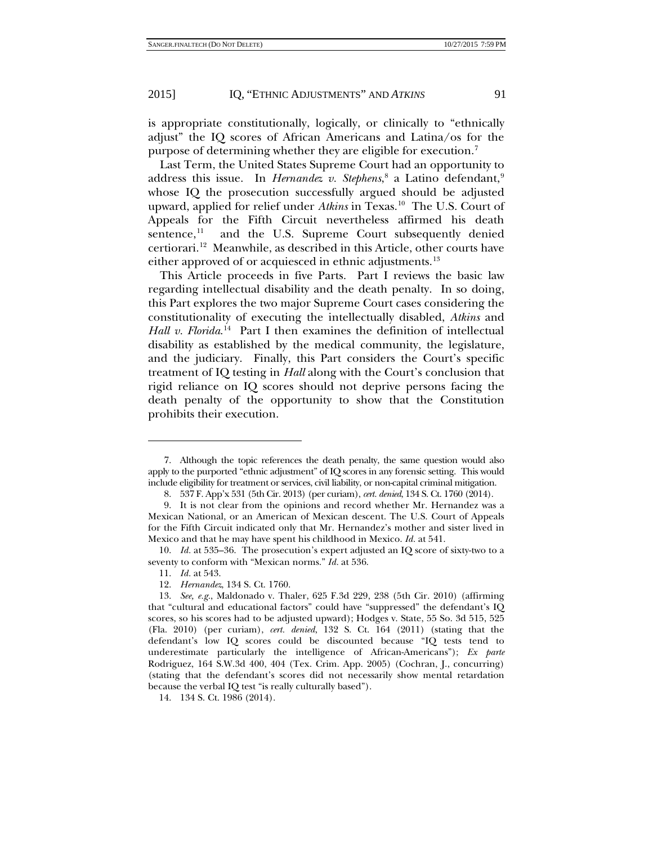is appropriate constitutionally, logically, or clinically to "ethnically adjust" the IQ scores of African Americans and Latina/os for the purpose of determining whether they are eligible for execution.[7](#page-4-0)

Last Term, the United States Supreme Court had an opportunity to address this issue. In *Hernandez v. Stephens*,<sup>[8](#page-4-1)</sup> a Latino defendant,<sup>[9](#page-4-2)</sup> whose IQ the prosecution successfully argued should be adjusted upward, applied for relief under *Atkins* in Texas.<sup>10</sup> The U.S. Court of Appeals for the Fifth Circuit nevertheless affirmed his death sentence, $11$  and the U.S. Supreme Court subsequently denied certiorari.[12](#page-4-5) Meanwhile, as described in this Article, other courts have either approved of or acquiesced in ethnic adjustments.<sup>[13](#page-4-6)</sup>

This Article proceeds in five Parts. Part I reviews the basic law regarding intellectual disability and the death penalty. In so doing, this Part explores the two major Supreme Court cases considering the constitutionality of executing the intellectually disabled, *Atkins* and Hall v. Florida.<sup>[14](#page-4-7)</sup> Part I then examines the definition of intellectual disability as established by the medical community, the legislature, and the judiciary. Finally, this Part considers the Court's specific treatment of IQ testing in *Hall* along with the Court's conclusion that rigid reliance on IQ scores should not deprive persons facing the death penalty of the opportunity to show that the Constitution prohibits their execution.

-

<span id="page-4-7"></span>14. 134 S. Ct. 1986 (2014).

<span id="page-4-0"></span><sup>7.</sup> Although the topic references the death penalty, the same question would also apply to the purported "ethnic adjustment" of IQ scores in any forensic setting. This would include eligibility for treatment or services, civil liability, or non-capital criminal mitigation.

<sup>8.</sup> 537 F. App'x 531 (5th Cir. 2013) (per curiam), *cert. denied*, 134 S. Ct. 1760 (2014).

<span id="page-4-2"></span><span id="page-4-1"></span><sup>9.</sup> It is not clear from the opinions and record whether Mr. Hernandez was a Mexican National, or an American of Mexican descent. The U.S. Court of Appeals for the Fifth Circuit indicated only that Mr. Hernandez's mother and sister lived in Mexico and that he may have spent his childhood in Mexico. *Id.* at 541.

<span id="page-4-3"></span><sup>10.</sup> *Id.* at 535–36. The prosecution's expert adjusted an IQ score of sixty-two to a seventy to conform with "Mexican norms." *Id.* at 536.

<sup>11.</sup> *Id.* at 543.

<sup>12.</sup> *Hernandez*, 134 S. Ct. 1760.

<span id="page-4-6"></span><span id="page-4-5"></span><span id="page-4-4"></span><sup>13.</sup> *See, e.g.*, Maldonado v. Thaler, 625 F.3d 229, 238 (5th Cir. 2010) (affirming that "cultural and educational factors" could have "suppressed" the defendant's IQ scores, so his scores had to be adjusted upward); Hodges v. State, 55 So. 3d 515, 525 (Fla. 2010) (per curiam), *cert. denied*, 132 S. Ct. 164 (2011) (stating that the defendant's low IQ scores could be discounted because "IQ tests tend to underestimate particularly the intelligence of African-Americans"); *Ex parte* Rodriguez, 164 S.W.3d 400, 404 (Tex. Crim. App. 2005) (Cochran, J., concurring) (stating that the defendant's scores did not necessarily show mental retardation because the verbal IQ test "is really culturally based").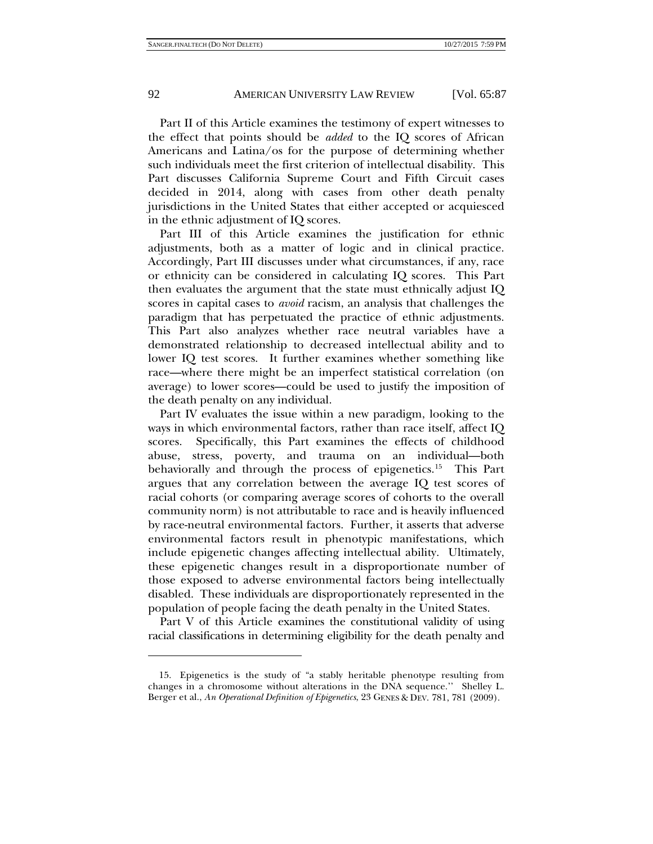Part II of this Article examines the testimony of expert witnesses to the effect that points should be *added* to the IQ scores of African Americans and Latina/os for the purpose of determining whether such individuals meet the first criterion of intellectual disability. This Part discusses California Supreme Court and Fifth Circuit cases decided in 2014, along with cases from other death penalty jurisdictions in the United States that either accepted or acquiesced in the ethnic adjustment of IQ scores.

Part III of this Article examines the justification for ethnic adjustments, both as a matter of logic and in clinical practice. Accordingly, Part III discusses under what circumstances, if any, race or ethnicity can be considered in calculating IQ scores. This Part then evaluates the argument that the state must ethnically adjust IQ scores in capital cases to *avoid* racism, an analysis that challenges the paradigm that has perpetuated the practice of ethnic adjustments. This Part also analyzes whether race neutral variables have a demonstrated relationship to decreased intellectual ability and to lower IQ test scores. It further examines whether something like race—where there might be an imperfect statistical correlation (on average) to lower scores—could be used to justify the imposition of the death penalty on any individual.

Part IV evaluates the issue within a new paradigm, looking to the ways in which environmental factors, rather than race itself, affect IQ scores. Specifically, this Part examines the effects of childhood abuse, stress, poverty, and trauma on an individual—both behaviorally and through the process of epigenetics.<sup>15</sup> This Part argues that any correlation between the average IQ test scores of racial cohorts (or comparing average scores of cohorts to the overall community norm) is not attributable to race and is heavily influenced by race-neutral environmental factors. Further, it asserts that adverse environmental factors result in phenotypic manifestations, which include epigenetic changes affecting intellectual ability. Ultimately, these epigenetic changes result in a disproportionate number of those exposed to adverse environmental factors being intellectually disabled. These individuals are disproportionately represented in the population of people facing the death penalty in the United States.

Part V of this Article examines the constitutional validity of using racial classifications in determining eligibility for the death penalty and

<span id="page-5-0"></span><sup>15.</sup> Epigenetics is the study of "a stably heritable phenotype resulting from changes in a chromosome without alterations in the DNA sequence.'' Shelley L. Berger et al., *An Operational Definition of Epigenetics*, 23 GENES & DEV. 781, 781 (2009).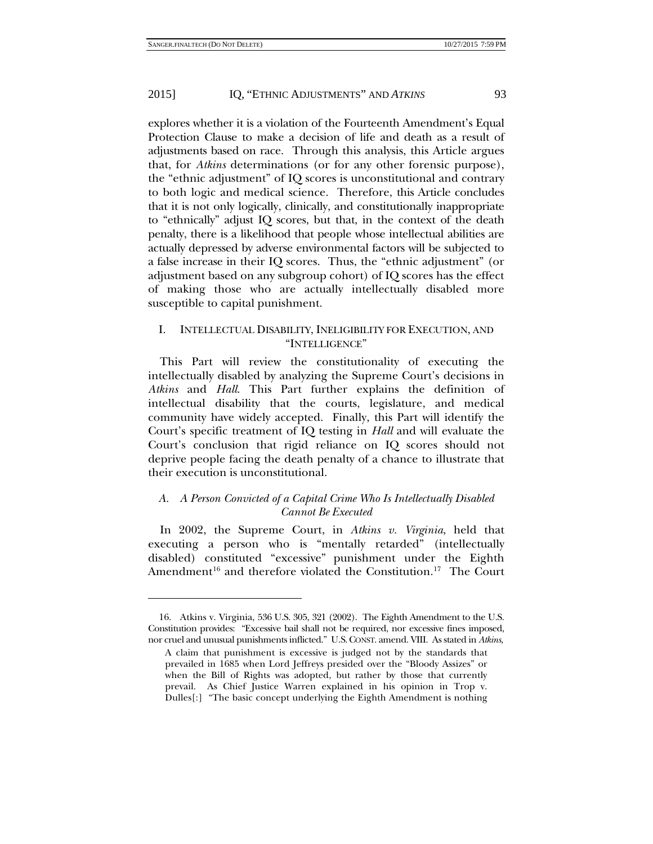-

#### 2015] IQ, "ETHNIC ADJUSTMENTS" AND *ATKINS* 93

explores whether it is a violation of the Fourteenth Amendment's Equal Protection Clause to make a decision of life and death as a result of adjustments based on race. Through this analysis, this Article argues that, for *Atkins* determinations (or for any other forensic purpose), the "ethnic adjustment" of IQ scores is unconstitutional and contrary to both logic and medical science. Therefore, this Article concludes that it is not only logically, clinically, and constitutionally inappropriate to "ethnically" adjust IQ scores, but that, in the context of the death penalty, there is a likelihood that people whose intellectual abilities are actually depressed by adverse environmental factors will be subjected to a false increase in their IQ scores. Thus, the "ethnic adjustment" (or adjustment based on any subgroup cohort) of IQ scores has the effect of making those who are actually intellectually disabled more susceptible to capital punishment.

# I. INTELLECTUAL DISABILITY, INELIGIBILITY FOR EXECUTION, AND "INTELLIGENCE"

<span id="page-6-1"></span>This Part will review the constitutionality of executing the intellectually disabled by analyzing the Supreme Court's decisions in *Atkins* and *Hall*. This Part further explains the definition of intellectual disability that the courts, legislature, and medical community have widely accepted. Finally, this Part will identify the Court's specific treatment of IQ testing in *Hall* and will evaluate the Court's conclusion that rigid reliance on IQ scores should not deprive people facing the death penalty of a chance to illustrate that their execution is unconstitutional.

# *A. A Person Convicted of a Capital Crime Who Is Intellectually Disabled Cannot Be Executed*

In 2002, the Supreme Court, in *Atkins v. Virginia*, held that executing a person who is "mentally retarded" (intellectually disabled) constituted "excessive" punishment under the Eighth Amendment<sup>[16](#page-6-0)</sup> and therefore violated the Constitution.<sup>17</sup> The Court

<span id="page-6-0"></span><sup>16.</sup> Atkins v. Virginia, 536 U.S. 305, 321 (2002). The Eighth Amendment to the U.S. Constitution provides: "Excessive bail shall not be required, nor excessive fines imposed, nor cruel and unusual punishments inflicted." U.S.CONST. amend. VIII. As stated in *Atkins*,

A claim that punishment is excessive is judged not by the standards that prevailed in 1685 when Lord Jeffreys presided over the "Bloody Assizes" or when the Bill of Rights was adopted, but rather by those that currently prevail. As Chief Justice Warren explained in his opinion in Trop v. Dulles[:] "The basic concept underlying the Eighth Amendment is nothing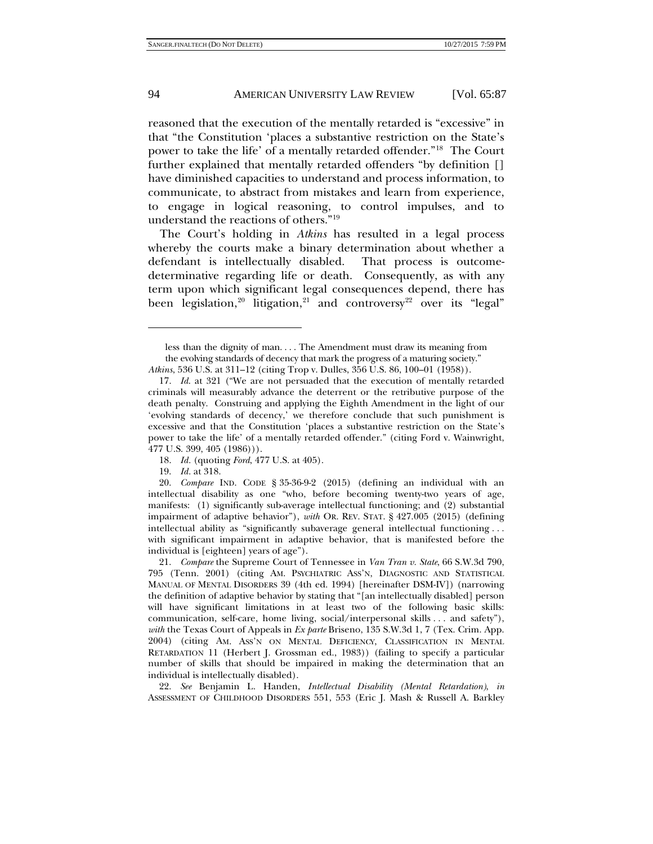reasoned that the execution of the mentally retarded is "excessive" in that "the Constitution 'places a substantive restriction on the State's power to take the life' of a mentally retarded offender."[18](#page-7-0) The Court further explained that mentally retarded offenders "by definition [] have diminished capacities to understand and process information, to communicate, to abstract from mistakes and learn from experience, to engage in logical reasoning, to control impulses, and to understand the reactions of others."[19](#page-7-1)

The Court's holding in *Atkins* has resulted in a legal process whereby the courts make a binary determination about whether a defendant is intellectually disabled. That process is outcomedeterminative regarding life or death. Consequently, as with any term upon which significant legal consequences depend, there has been legislation,<sup>[20](#page-7-2)</sup> litigation,<sup>[21](#page-7-3)</sup> and controversy<sup>[22](#page-7-4)</sup> over its "legal"

18. *Id.* (quoting *Ford*, 477 U.S. at 405).

19. *Id.* at 318.

<span id="page-7-4"></span>22. *See* Benjamin L. Handen, *Intellectual Disability (Mental Retardation)*, *in* ASSESSMENT OF CHILDHOOD DISORDERS 551, 553 (Eric J. Mash & Russell A. Barkley

<span id="page-7-5"></span>less than the dignity of man. . . . The Amendment must draw its meaning from the evolving standards of decency that mark the progress of a maturing society." *Atkins*, 536 U.S. at 311–12 (citing Trop v. Dulles, 356 U.S. 86, 100–01 (1958)).

<sup>17.</sup> *Id*. at 321 ("We are not persuaded that the execution of mentally retarded criminals will measurably advance the deterrent or the retributive purpose of the death penalty. Construing and applying the Eighth Amendment in the light of our 'evolving standards of decency,' we therefore conclude that such punishment is excessive and that the Constitution 'places a substantive restriction on the State's power to take the life' of a mentally retarded offender." (citing Ford v. Wainwright, 477 U.S. 399, 405 (1986))).

<span id="page-7-2"></span><span id="page-7-1"></span><span id="page-7-0"></span><sup>20.</sup> *Compare* IND. CODE § 35-36-9-2 (2015) (defining an individual with an intellectual disability as one "who, before becoming twenty-two years of age, manifests: (1) significantly sub-average intellectual functioning; and (2) substantial impairment of adaptive behavior"), *with* OR. REV. STAT. § 427.005 (2015) (defining intellectual ability as "significantly subaverage general intellectual functioning . . . with significant impairment in adaptive behavior, that is manifested before the individual is [eighteen] years of age").

<span id="page-7-3"></span><sup>21.</sup> *Compare* the Supreme Court of Tennessee in *Van Tran v. State*, 66 S.W.3d 790, 795 (Tenn. 2001) (citing AM. PSYCHIATRIC ASS'N, DIAGNOSTIC AND STATISTICAL MANUAL OF MENTAL DISORDERS 39 (4th ed. 1994) [hereinafter DSM-IV]) (narrowing the definition of adaptive behavior by stating that "[an intellectually disabled] person will have significant limitations in at least two of the following basic skills: communication, self-care, home living, social/interpersonal skills . . . and safety"), *with* the Texas Court of Appeals in *Ex parte* Briseno, 135 S.W.3d 1, 7 (Tex. Crim. App. 2004) (citing AM. ASS'N ON MENTAL DEFICIENCY, CLASSIFICATION IN MENTAL RETARDATION 11 (Herbert J. Grossman ed., 1983)) (failing to specify a particular number of skills that should be impaired in making the determination that an individual is intellectually disabled).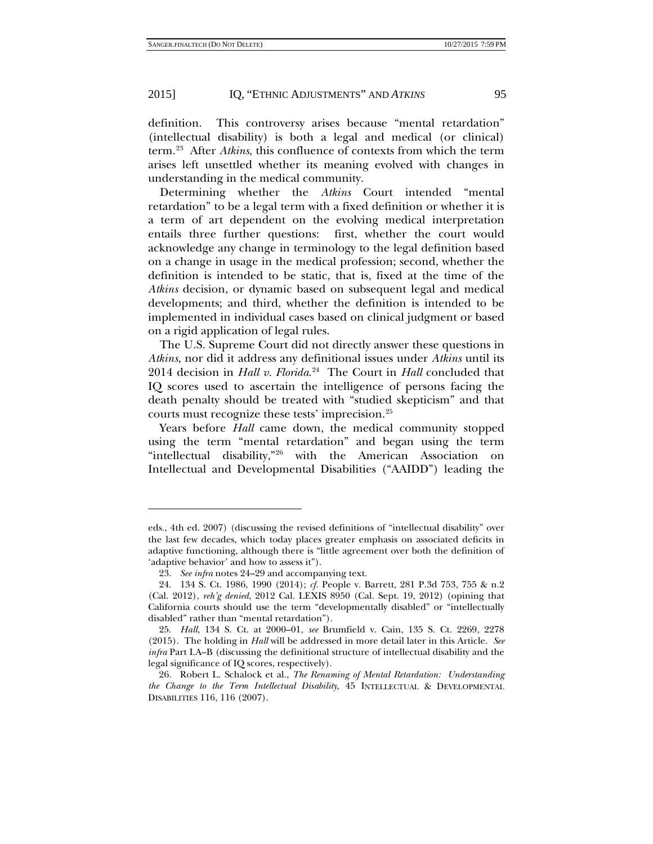definition. This controversy arises because "mental retardation" (intellectual disability) is both a legal and medical (or clinical) term.[23](#page-8-1) After *Atkins*, this confluence of contexts from which the term arises left unsettled whether its meaning evolved with changes in understanding in the medical community.

Determining whether the *Atkins* Court intended "mental retardation" to be a legal term with a fixed definition or whether it is a term of art dependent on the evolving medical interpretation entails three further questions: first, whether the court would acknowledge any change in terminology to the legal definition based on a change in usage in the medical profession; second, whether the definition is intended to be static, that is, fixed at the time of the *Atkins* decision, or dynamic based on subsequent legal and medical developments; and third, whether the definition is intended to be implemented in individual cases based on clinical judgment or based on a rigid application of legal rules.

<span id="page-8-0"></span>The U.S. Supreme Court did not directly answer these questions in *Atkins*, nor did it address any definitional issues under *Atkins* until its 2014 decision in *Hall v. Florida*. [24](#page-8-2) The Court in *Hall* concluded that IQ scores used to ascertain the intelligence of persons facing the death penalty should be treated with "studied skepticism" and that courts must recognize these tests' imprecision.[25](#page-8-3)

Years before *Hall* came down, the medical community stopped using the term "mental retardation" and began using the term "intellectual disability,"[26](#page-8-4) with the American Association on Intellectual and Developmental Disabilities ("AAIDD") leading the

eds., 4th ed. 2007) (discussing the revised definitions of "intellectual disability" over the last few decades, which today places greater emphasis on associated deficits in adaptive functioning, although there is "little agreement over both the definition of 'adaptive behavior' and how to assess it").

<sup>23.</sup> *See infra* notes [24–](#page-8-0)[29](#page-9-0) and accompanying text.

<span id="page-8-2"></span><span id="page-8-1"></span><sup>24.</sup> 134 S. Ct. 1986, 1990 (2014); *cf.* People v. Barrett, 281 P.3d 753, 755 & n.2 (Cal. 2012), *reh'g denied*, 2012 Cal. LEXIS 8950 (Cal. Sept. 19, 2012) (opining that California courts should use the term "developmentally disabled" or "intellectually disabled" rather than "mental retardation").

<span id="page-8-3"></span><sup>25.</sup> *Hall*, 134 S. Ct. at 2000–01, *see* Brumfield v. Cain, 135 S. Ct. 2269, 2278 (2015). The holding in *Hall* will be addressed in more detail later in this Article. *See infra* Part I.A–B (discussing the definitional structure of intellectual disability and the legal significance of IQ scores, respectively).

<span id="page-8-4"></span><sup>26.</sup> Robert L. Schalock et al., *The Renaming of Mental Retardation: Understanding the Change to the Term Intellectual Disability*, 45 INTELLECTUAL & DEVELOPMENTAL DISABILITIES 116, 116 (2007).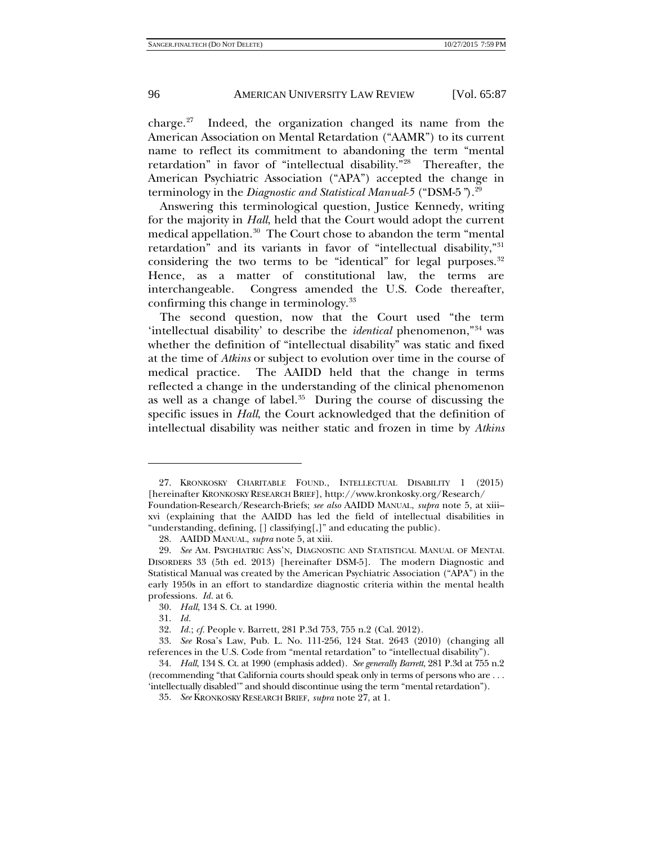<span id="page-9-1"></span>charge.[27](#page-9-2) Indeed, the organization changed its name from the American Association on Mental Retardation ("AAMR") to its current name to reflect its commitment to abandoning the term "mental retardation" in favor of "intellectual disability.["28](#page-9-3) Thereafter, the American Psychiatric Association ("APA") accepted the change in terminology in the *Diagnostic and Statistical Manual-5* ("DSM-5*"*)[.29](#page-9-4)

<span id="page-9-0"></span>Answering this terminological question, Justice Kennedy, writing for the majority in *Hall*, held that the Court would adopt the current medical appellation.<sup>[30](#page-9-5)</sup> The Court chose to abandon the term "mental" retardation" and its variants in favor of "intellectual disability,"[31](#page-9-6) considering the two terms to be "identical" for legal purposes.  $32$ Hence, as a matter of constitutional law, the terms are interchangeable. Congress amended the U.S. Code thereafter, confirming this change in terminology[.33](#page-9-8)

The second question, now that the Court used "the term 'intellectual disability' to describe the *identical* phenomenon,"[34](#page-9-9) was whether the definition of "intellectual disability" was static and fixed at the time of *Atkins* or subject to evolution over time in the course of medical practice. The AAIDD held that the change in terms reflected a change in the understanding of the clinical phenomenon as well as a change of label. $35$  During the course of discussing the specific issues in *Hall*, the Court acknowledged that the definition of intellectual disability was neither static and frozen in time by *Atkins*

<span id="page-9-2"></span><sup>27.</sup> KRONKOSKY CHARITABLE FOUND., INTELLECTUAL DISABILITY 1 (2015) [hereinafter KRONKOSKY RESEARCH BRIEF], http://www.kronkosky.org/Research/ Foundation-Research/Research-Briefs; *see also* AAIDD MANUAL, *supra* note [5,](#page-3-5) at xiii– xvi (explaining that the AAIDD has led the field of intellectual disabilities in "understanding, defining, [] classifying[,]" and educating the public).

<sup>28.</sup> AAIDD MANUAL, *supra* not[e 5,](#page-3-5) at xiii.

<span id="page-9-4"></span><span id="page-9-3"></span><sup>29.</sup> *See* AM. PSYCHIATRIC ASS'N, DIAGNOSTIC AND STATISTICAL MANUAL OF MENTAL DISORDERS 33 (5th ed. 2013) [hereinafter DSM-5]. The modern Diagnostic and Statistical Manual was created by the American Psychiatric Association ("APA") in the early 1950s in an effort to standardize diagnostic criteria within the mental health professions. *Id.* at 6.

<sup>30.</sup> *Hall*, 134 S. Ct. at 1990.

<sup>31.</sup> *Id.*

<sup>32.</sup> *Id.*; *cf.* People v. Barrett, 281 P.3d 753, 755 n.2 (Cal. 2012).

<span id="page-9-8"></span><span id="page-9-7"></span><span id="page-9-6"></span><span id="page-9-5"></span><sup>33.</sup> *See* Rosa's Law, Pub. L. No. 111-256, 124 Stat. 2643 (2010) (changing all references in the U.S. Code from "mental retardation" to "intellectual disability").

<span id="page-9-10"></span><span id="page-9-9"></span><sup>34.</sup> *Hall*, 134 S. Ct. at 1990 (emphasis added). *See generally Barrett*, 281 P.3d at 755 n.2 (recommending "that California courts should speak only in terms of persons who are . . . 'intellectually disabled'" and should discontinue using the term "mental retardation").

<sup>35.</sup> *See* KRONKOSKY RESEARCH BRIEF, *supra* not[e 27,](#page-9-1) at 1.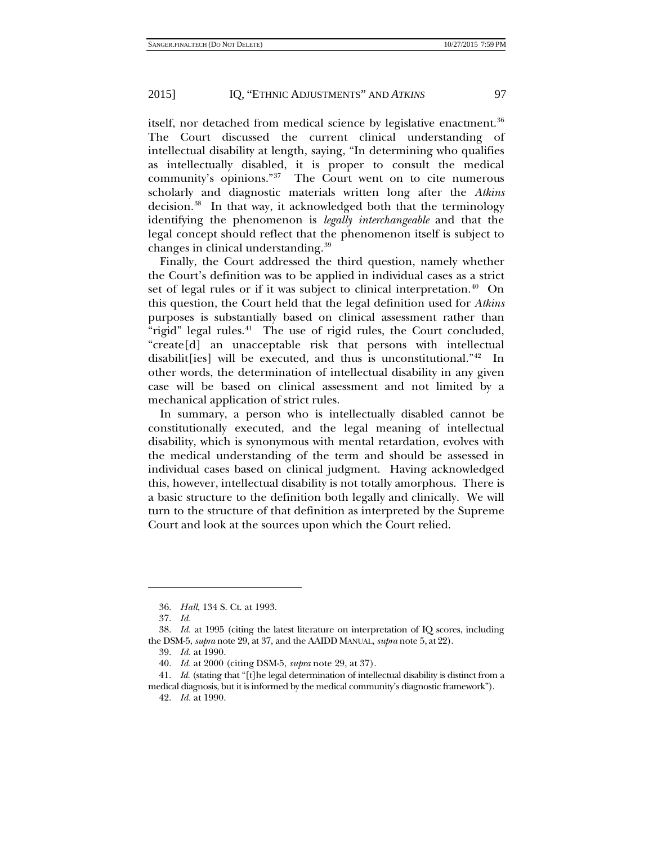itself, nor detached from medical science by legislative enactment.<sup>36</sup> The Court discussed the current clinical understanding of intellectual disability at length, saying, "In determining who qualifies as intellectually disabled, it is proper to consult the medical community's opinions."[37](#page-10-1) The Court went on to cite numerous scholarly and diagnostic materials written long after the *Atkins* decision.<sup>38</sup> In that way, it acknowledged both that the terminology identifying the phenomenon is *legally interchangeable* and that the legal concept should reflect that the phenomenon itself is subject to changes in clinical understanding.[39](#page-10-3)

Finally, the Court addressed the third question, namely whether the Court's definition was to be applied in individual cases as a strict set of legal rules or if it was subject to clinical interpretation.<sup>40</sup> On this question, the Court held that the legal definition used for *Atkins* purposes is substantially based on clinical assessment rather than "rigid" legal rules. $41$  The use of rigid rules, the Court concluded, "create[d] an unacceptable risk that persons with intellectual disabilit[ies] will be executed, and thus is unconstitutional."[42](#page-10-6) In other words, the determination of intellectual disability in any given case will be based on clinical assessment and not limited by a mechanical application of strict rules.

In summary, a person who is intellectually disabled cannot be constitutionally executed, and the legal meaning of intellectual disability, which is synonymous with mental retardation, evolves with the medical understanding of the term and should be assessed in individual cases based on clinical judgment. Having acknowledged this, however, intellectual disability is not totally amorphous. There is a basic structure to the definition both legally and clinically. We will turn to the structure of that definition as interpreted by the Supreme Court and look at the sources upon which the Court relied.

<sup>36.</sup> *Hall*, 134 S. Ct. at 1993.

<sup>37.</sup> *Id.*

<span id="page-10-3"></span><span id="page-10-2"></span><span id="page-10-1"></span><span id="page-10-0"></span><sup>38.</sup> *Id.* at 1995 (citing the latest literature on interpretation of IQ scores, including the DSM-5, *supra* note [29,](#page-9-0) at 37, and the AAIDD MANUAL, *supra* note [5,](#page-3-5) at 22).

<sup>39.</sup> *Id.* at 1990.

<sup>40.</sup> *Id.* at 2000 (citing DSM-5, *supra* not[e 29,](#page-9-0) at 37).

<span id="page-10-6"></span><span id="page-10-5"></span><span id="page-10-4"></span><sup>41.</sup> *Id.* (stating that "[t]he legal determination of intellectual disability is distinct from a medical diagnosis, but it is informed by the medical community's diagnostic framework").

<sup>42.</sup> *Id.* at 1990.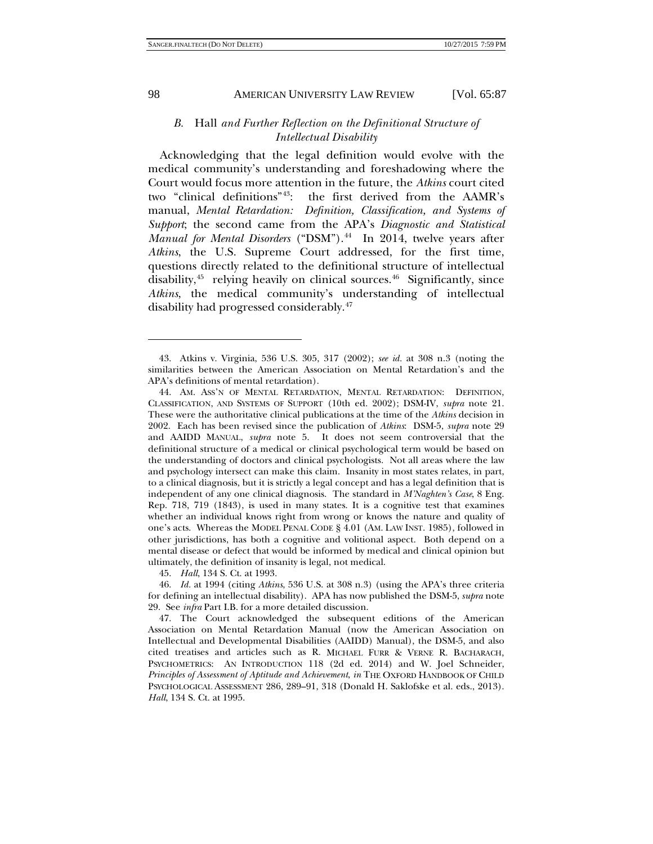-

#### 98 AMERICAN UNIVERSITY LAW REVIEW [Vol. 65:87

# *B.* Hall *and Further Reflection on the Definitional Structure of Intellectual Disability*

Acknowledging that the legal definition would evolve with the medical community's understanding and foreshadowing where the Court would focus more attention in the future, the *Atkins* court cited two "clinical definitions"[43:](#page-11-0) the first derived from the AAMR's manual, *Mental Retardation: Definition, Classification, and Systems of Support*; the second came from the APA's *Diagnostic and Statistical Manual for Mental Disorders* ("DSM").<sup>44</sup> In 2014, twelve years after *Atkins*, the U.S. Supreme Court addressed, for the first time, questions directly related to the definitional structure of intellectual disability,<sup>[45](#page-11-2)</sup> relying heavily on clinical sources.<sup>[46](#page-11-3)</sup> Significantly, since *Atkins*, the medical community's understanding of intellectual disability had progressed considerably.[47](#page-11-4)

45. *Hall*, 134 S. Ct. at 1993.

<span id="page-11-0"></span><sup>43.</sup> Atkins v. Virginia, 536 U.S. 305, 317 (2002); *see id.* at 308 n.3 (noting the similarities between the American Association on Mental Retardation's and the APA's definitions of mental retardation).

<span id="page-11-1"></span><sup>44.</sup> AM. ASS'N OF MENTAL RETARDATION, MENTAL RETARDATION: DEFINITION, CLASSIFICATION, AND SYSTEMS OF SUPPORT (10th ed. 2002); DSM-IV, *supra* note [21.](#page-7-5)  These were the authoritative clinical publications at the time of the *Atkins* decision in 2002. Each has been revised since the publication of *Atkins*: DSM-5, *supra* note [29](#page-9-0) and AAIDD MANUAL, *supra* note [5.](#page-3-5) It does not seem controversial that the definitional structure of a medical or clinical psychological term would be based on the understanding of doctors and clinical psychologists. Not all areas where the law and psychology intersect can make this claim. Insanity in most states relates, in part, to a clinical diagnosis, but it is strictly a legal concept and has a legal definition that is independent of any one clinical diagnosis. The standard in *M'Naghten's Case*, 8 Eng. Rep. 718, 719 (1843), is used in many states. It is a cognitive test that examines whether an individual knows right from wrong or knows the nature and quality of one's acts. Whereas the MODEL PENAL CODE § 4.01 (AM. LAW INST. 1985), followed in other jurisdictions, has both a cognitive and volitional aspect. Both depend on a mental disease or defect that would be informed by medical and clinical opinion but ultimately, the definition of insanity is legal, not medical.

<span id="page-11-3"></span><span id="page-11-2"></span><sup>46.</sup> *Id.* at 1994 (citing *Atkins*, 536 U.S. at 308 n.3) (using the APA's three criteria for defining an intellectual disability). APA has now published the DSM-5, *supra* note [29.](#page-9-0) See *infra* Part I.B. for a more detailed discussion.

<span id="page-11-4"></span><sup>47.</sup> The Court acknowledged the subsequent editions of the American Association on Mental Retardation Manual (now the American Association on Intellectual and Developmental Disabilities (AAIDD) Manual), the DSM-5, and also cited treatises and articles such as R. MICHAEL FURR & VERNE R. BACHARACH, PSYCHOMETRICS: AN INTRODUCTION 118 (2d ed. 2014) and W. Joel Schneider, *Principles of Assessment of Aptitude and Achievement*, *in* THE OXFORD HANDBOOK OF CHILD PSYCHOLOGICAL ASSESSMENT 286, 289–91, 318 (Donald H. Saklofske et al. eds., 2013). *Hall*, 134 S. Ct. at 1995.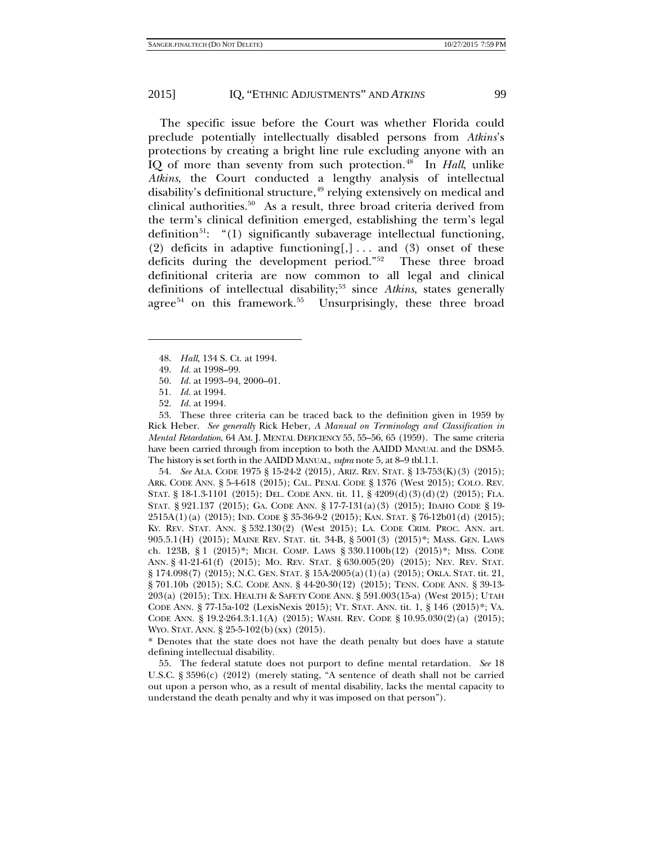The specific issue before the Court was whether Florida could preclude potentially intellectually disabled persons from *Atkins*'s protections by creating a bright line rule excluding anyone with an IQ of more than seventy from such protection.<sup>48</sup> In *Hall*, unlike *Atkins*, the Court conducted a lengthy analysis of intellectual disability's definitional structure,<sup>[49](#page-12-1)</sup> relying extensively on medical and clinical authorities.<sup>[50](#page-12-2)</sup> As a result, three broad criteria derived from the term's clinical definition emerged, establishing the term's legal definition<sup>51</sup>: "(1) significantly subaverage intellectual functioning, (2) deficits in adaptive functioning[,]... and (3) onset of these deficits during the development period."[52](#page-12-4) These three broad definitional criteria are now common to all legal and clinical definitions of intellectual disability;<sup>[53](#page-12-5)</sup> since *Atkins*, states generally agree<sup>[54](#page-12-6)</sup> on this framework.<sup>55</sup> Unsurprisingly, these three broad

<span id="page-12-1"></span><span id="page-12-0"></span>-

52. *Id.* at 1994.

<span id="page-12-5"></span><span id="page-12-4"></span><span id="page-12-3"></span><span id="page-12-2"></span>53. These three criteria can be traced back to the definition given in 1959 by Rick Heber. *See generally* Rick Heber, *A Manual on Terminology and Classification in Mental Retardation*, 64 AM. J. MENTAL DEFICIENCY 55, 55–56, 65 (1959). The same criteria have been carried through from inception to both the AAIDD MANUAL and the DSM-5. The history is set forth in the AAIDD MANUAL, *supra* note [5,](#page-3-5) at 8–9 tbl.1.1.

<span id="page-12-6"></span>54. *See* ALA. CODE 1975 § 15-24-2 (2015), ARIZ. REV. STAT. § 13-753(K)(3) (2015); ARK. CODE ANN. § 5-4-618 (2015); CAL. PENAL CODE § 1376 (West 2015); COLO. REV. STAT. § 18-1.3-1101 (2015); DEL. CODE ANN. tit. 11, § 4209(d)(3)(d)(2) (2015); FLA. STAT. § 921.137 (2015); GA. CODE ANN. § 17-7-131(a)(3) (2015); IDAHO CODE § 19- 2515A(1)(a) (2015); IND. CODE § 35-36-9-2 (2015); KAN. STAT. § 76-12b01(d) (2015); KY. REV. STAT. ANN. § 532.130(2) (West 2015); LA. CODE CRIM. PROC. ANN. art. 905.5.1(H) (2015); MAINE REV. STAT. tit. 34-B, § 5001(3) (2015)\*; MASS. GEN. LAWS ch. 123B, § 1 (2015)\*; MICH. COMP. LAWS § 330.1100b(12) (2015)\*; MISS. CODE ANN. § 41-21-61(f) (2015); MO. REV. STAT. § 630.005(20) (2015); NEV. REV. STAT. § 174.098(7) (2015); N.C. GEN. STAT. § 15A-2005(a)(1)(a) (2015); OKLA. STAT. tit. 21, § 701.10b (2015); S.C. CODE ANN. § 44-20-30(12) (2015); TENN. CODE ANN. § 39-13- 203(a) (2015); TEX. HEALTH & SAFETY CODE ANN. § 591.003(15-a) (West 2015); UTAH CODE ANN. § 77-15a-102 (LexisNexis 2015); VT. STAT. ANN. tit. 1, § 146 (2015)\*; VA. CODE ANN. § 19.2-264.3:1.1(A) (2015); WASH. REV. CODE § 10.95.030(2)(a) (2015); WYO. STAT. ANN. § 25-5-102(b)(xx) (2015).

\* Denotes that the state does not have the death penalty but does have a statute defining intellectual disability.

<span id="page-12-7"></span>55. The federal statute does not purport to define mental retardation. *See* 18 U.S.C. § 3596(c) (2012) (merely stating, "A sentence of death shall not be carried out upon a person who, as a result of mental disability, lacks the mental capacity to understand the death penalty and why it was imposed on that person").

<sup>48.</sup> *Hall*, 134 S. Ct. at 1994.

<sup>49.</sup> *Id.* at 1998–99.

<sup>50.</sup> *Id.* at 1993–94, 2000–01.

<sup>51.</sup> *Id.* at 1994.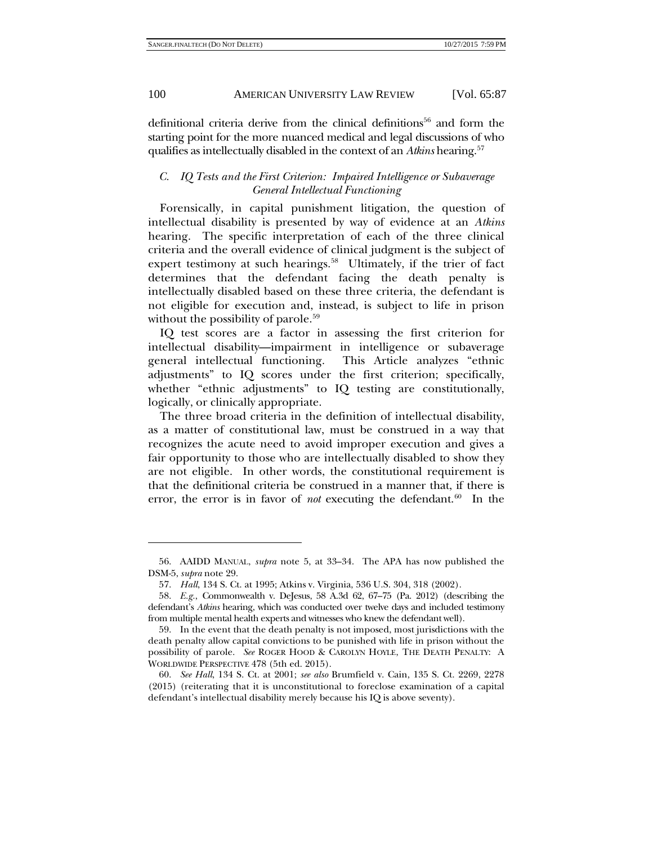definitional criteria derive from the clinical definitions<sup>56</sup> and form the starting point for the more nuanced medical and legal discussions of who qualifies as intellectually disabled in the context of an *Atkins* hearing.<sup>[57](#page-13-1)</sup>

# *C. IQ Tests and the First Criterion: Impaired Intelligence or Subaverage General Intellectual Functioning*

Forensically, in capital punishment litigation, the question of intellectual disability is presented by way of evidence at an *Atkins* hearing. The specific interpretation of each of the three clinical criteria and the overall evidence of clinical judgment is the subject of expert testimony at such hearings.<sup>[58](#page-13-2)</sup> Ultimately, if the trier of fact determines that the defendant facing the death penalty is intellectually disabled based on these three criteria, the defendant is not eligible for execution and, instead, is subject to life in prison without the possibility of parole.<sup>[59](#page-13-3)</sup>

IQ test scores are a factor in assessing the first criterion for intellectual disability—impairment in intelligence or subaverage general intellectual functioning. This Article analyzes "ethnic adjustments" to IQ scores under the first criterion; specifically, whether "ethnic adjustments" to IQ testing are constitutionally, logically, or clinically appropriate.

The three broad criteria in the definition of intellectual disability, as a matter of constitutional law, must be construed in a way that recognizes the acute need to avoid improper execution and gives a fair opportunity to those who are intellectually disabled to show they are not eligible. In other words, the constitutional requirement is that the definitional criteria be construed in a manner that, if there is error, the error is in favor of *not* executing the defendant.<sup>60</sup> In the

<span id="page-13-0"></span><sup>56.</sup> AAIDD MANUAL, *supra* note [5,](#page-3-5) at 33–34. The APA has now published the DSM-5, *supra* not[e 29.](#page-9-0)

<sup>57.</sup> *Hall*, 134 S. Ct. at 1995; Atkins v. Virginia, 536 U.S. 304, 318 (2002).

<span id="page-13-2"></span><span id="page-13-1"></span><sup>58.</sup> *E.g.*, Commonwealth v. DeJesus, 58 A.3d 62, 67–75 (Pa. 2012) (describing the defendant's *Atkins* hearing, which was conducted over twelve days and included testimony from multiple mental health experts and witnesses who knew the defendant well).

<span id="page-13-3"></span><sup>59.</sup> In the event that the death penalty is not imposed, most jurisdictions with the death penalty allow capital convictions to be punished with life in prison without the possibility of parole. *See* ROGER HOOD & CAROLYN HOYLE, THE DEATH PENALTY: A WORLDWIDE PERSPECTIVE 478 (5th ed. 2015).

<span id="page-13-4"></span><sup>60.</sup> *See Hall*, 134 S. Ct. at 2001; *see also* Brumfield v. Cain, 135 S. Ct. 2269, 2278 (2015) (reiterating that it is unconstitutional to foreclose examination of a capital defendant's intellectual disability merely because his IQ is above seventy).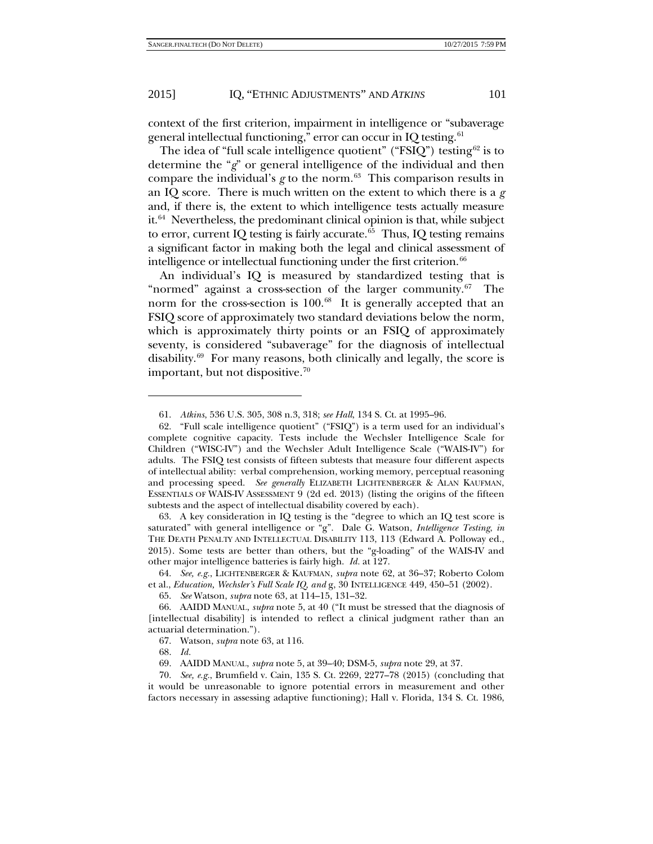context of the first criterion, impairment in intelligence or "subaverage general intellectual functioning," error can occur in IQ testing. $61$ 

The idea of "full scale intelligence quotient" (" $\text{FSIQ}$ ") testing<sup>[62](#page-14-3)</sup> is to determine the "*g*" or general intelligence of the individual and then compare the individual's  $g$  to the norm.<sup>63</sup> This comparison results in an IQ score. There is much written on the extent to which there is a *g* and, if there is, the extent to which intelligence tests actually measure it.<sup>[64](#page-14-5)</sup> Nevertheless, the predominant clinical opinion is that, while subject to error, current IQ testing is fairly accurate.<sup>65</sup> Thus, IQ testing remains a significant factor in making both the legal and clinical assessment of intelligence or intellectual functioning under the first criterion.<sup>[66](#page-14-7)</sup>

An individual's IQ is measured by standardized testing that is "normed" against a cross-section of the larger community. $67$  The norm for the cross-section is  $100<sup>.68</sup>$  $100<sup>.68</sup>$  $100<sup>.68</sup>$  It is generally accepted that an FSIQ score of approximately two standard deviations below the norm, which is approximately thirty points or an FSIQ of approximately seventy, is considered "subaverage" for the diagnosis of intellectual disability.[69](#page-14-10) For many reasons, both clinically and legally, the score is important, but not dispositive.<sup>[70](#page-14-11)</sup>

<span id="page-14-4"></span>63. A key consideration in IQ testing is the "degree to which an IQ test score is saturated" with general intelligence or "g". Dale G. Watson, *Intelligence Testing*, *in* THE DEATH PENALTY AND INTELLECTUAL DISABILITY 113, 113 (Edward A. Polloway ed., 2015). Some tests are better than others, but the "g-loading" of the WAIS-IV and other major intelligence batteries is fairly high. *Id.* at 127.

<span id="page-14-5"></span>64. *See, e.g.*, LICHTENBERGER & KAUFMAN, *supra* note [62,](#page-14-0) at 36–37; Roberto Colom et al., *Education, Wechsler's Full Scale IQ, and* g, 30 INTELLIGENCE 449, 450–51 (2002).

<span id="page-14-1"></span><span id="page-14-0"></span>

<sup>61.</sup> *Atkins*, 536 U.S. 305, 308 n.3, 318; *see Hall*, 134 S. Ct. at 1995–96.

<span id="page-14-3"></span><span id="page-14-2"></span><sup>62.</sup> "Full scale intelligence quotient" ("FSIQ") is a term used for an individual's complete cognitive capacity. Tests include the Wechsler Intelligence Scale for Children ("WISC-IV") and the Wechsler Adult Intelligence Scale ("WAIS-IV") for adults. The FSIQ test consists of fifteen subtests that measure four different aspects of intellectual ability: verbal comprehension, working memory, perceptual reasoning and processing speed. *See generally* ELIZABETH LICHTENBERGER & ALAN KAUFMAN, ESSENTIALS OF WAIS-IV ASSESSMENT 9 (2d ed. 2013) (listing the origins of the fifteen subtests and the aspect of intellectual disability covered by each).

<sup>65.</sup> *See* Watson, *supra* note [63,](#page-14-1) at 114–15, 131–32.

<span id="page-14-8"></span><span id="page-14-7"></span><span id="page-14-6"></span><sup>66.</sup> AAIDD MANUAL, *supra* note [5,](#page-3-5) at 40 ("It must be stressed that the diagnosis of [intellectual disability] is intended to reflect a clinical judgment rather than an actuarial determination.").

<sup>67.</sup> Watson, *supra* note [63,](#page-14-1) at 116.

<sup>68.</sup> *Id.*

<sup>69.</sup> AAIDD MANUAL, *supra* not[e 5,](#page-3-5) at 39–40; DSM-5, *supra* note [29,](#page-9-0) at 37.

<span id="page-14-11"></span><span id="page-14-10"></span><span id="page-14-9"></span><sup>70.</sup> *See, e.g.*, Brumfield v. Cain, 135 S. Ct. 2269, 2277–78 (2015) (concluding that it would be unreasonable to ignore potential errors in measurement and other factors necessary in assessing adaptive functioning); Hall v. Florida, 134 S. Ct. 1986,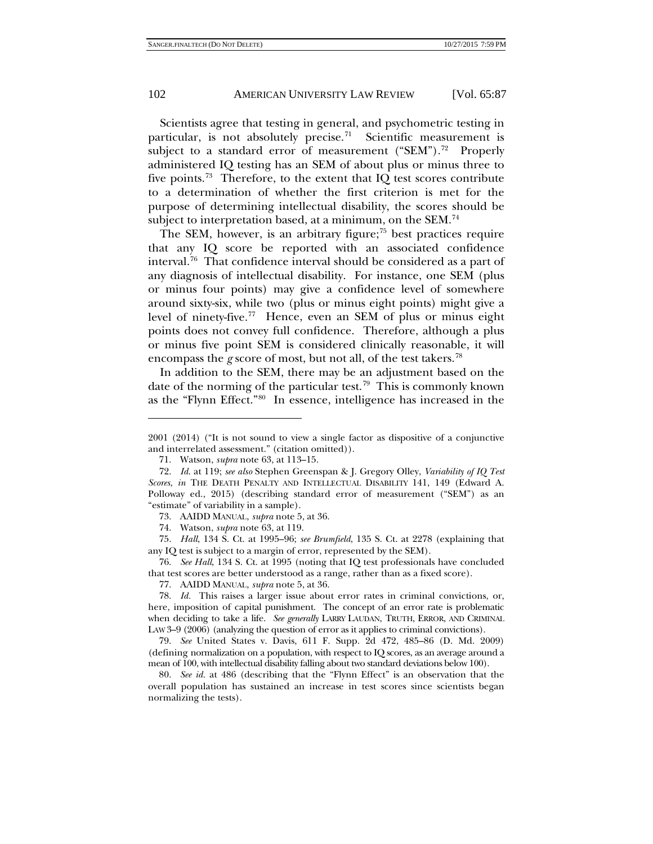<span id="page-15-10"></span>Scientists agree that testing in general, and psychometric testing in particular, is not absolutely precise.<sup>[71](#page-15-0)</sup> Scientific measurement is subject to a standard error of measurement ("SEM").<sup>[72](#page-15-1)</sup> Properly administered IQ testing has an SEM of about plus or minus three to five points.<sup>[73](#page-15-2)</sup> Therefore, to the extent that IQ test scores contribute to a determination of whether the first criterion is met for the purpose of determining intellectual disability, the scores should be subject to interpretation based, at a minimum, on the SEM. $^{74}$  $^{74}$  $^{74}$ 

The SEM, however, is an arbitrary figure; $75$  best practices require that any IQ score be reported with an associated confidence interval.<sup>76</sup> That confidence interval should be considered as a part of any diagnosis of intellectual disability. For instance, one SEM (plus or minus four points) may give a confidence level of somewhere around sixty-six, while two (plus or minus eight points) might give a level of ninety-five.<sup>77</sup> Hence, even an SEM of plus or minus eight points does not convey full confidence. Therefore, although a plus or minus five point SEM is considered clinically reasonable, it will encompass the *g* score of most, but not all, of the test takers.<sup>[78](#page-15-7)</sup>

In addition to the SEM, there may be an adjustment based on the date of the norming of the particular test.<sup>[79](#page-15-8)</sup> This is commonly known as the "Flynn Effect."[80](#page-15-9) In essence, intelligence has increased in the

-

<span id="page-15-4"></span><span id="page-15-3"></span><span id="page-15-2"></span>75. *Hall*, 134 S. Ct. at 1995–96; *see Brumfield*, 135 S. Ct. at 2278 (explaining that any IQ test is subject to a margin of error, represented by the SEM).

<span id="page-15-5"></span>76. *See Hall*, 134 S. Ct. at 1995 (noting that IQ test professionals have concluded that test scores are better understood as a range, rather than as a fixed score).

77. AAIDD MANUAL, *supra* not[e 5,](#page-3-5) at 36.

<span id="page-15-8"></span>79. *See* United States v. Davis, 611 F. Supp. 2d 472, 485–86 (D. Md. 2009) (defining normalization on a population, with respect to IQ scores, as an average around a mean of 100, with intellectual disability falling about two standard deviations below 100).

<span id="page-15-9"></span>80. *See id.* at 486 (describing that the "Flynn Effect" is an observation that the overall population has sustained an increase in test scores since scientists began normalizing the tests).

<sup>2001 (2014) (&</sup>quot;It is not sound to view a single factor as dispositive of a conjunctive and interrelated assessment." (citation omitted)).

<sup>71.</sup> Watson, *supra* note [63,](#page-14-1) at 113–15.

<span id="page-15-1"></span><span id="page-15-0"></span><sup>72.</sup> *Id*. at 119; *see also* Stephen Greenspan & J. Gregory Olley, *Variability of IQ Test Scores*, *in* THE DEATH PENALTY AND INTELLECTUAL DISABILITY 141, 149 (Edward A. Polloway ed., 2015) (describing standard error of measurement ("SEM") as an "estimate" of variability in a sample).

<sup>73.</sup> AAIDD MANUAL, *supra* not[e 5,](#page-3-5) at 36.

<sup>74.</sup> Watson, *supra* note [63,](#page-14-1) at 119.

<span id="page-15-7"></span><span id="page-15-6"></span><sup>78.</sup> *Id.* This raises a larger issue about error rates in criminal convictions, or, here, imposition of capital punishment. The concept of an error rate is problematic when deciding to take a life. *See generally* LARRY LAUDAN, TRUTH, ERROR, AND CRIMINAL LAW 3–9 (2006) (analyzing the question of error as it applies to criminal convictions).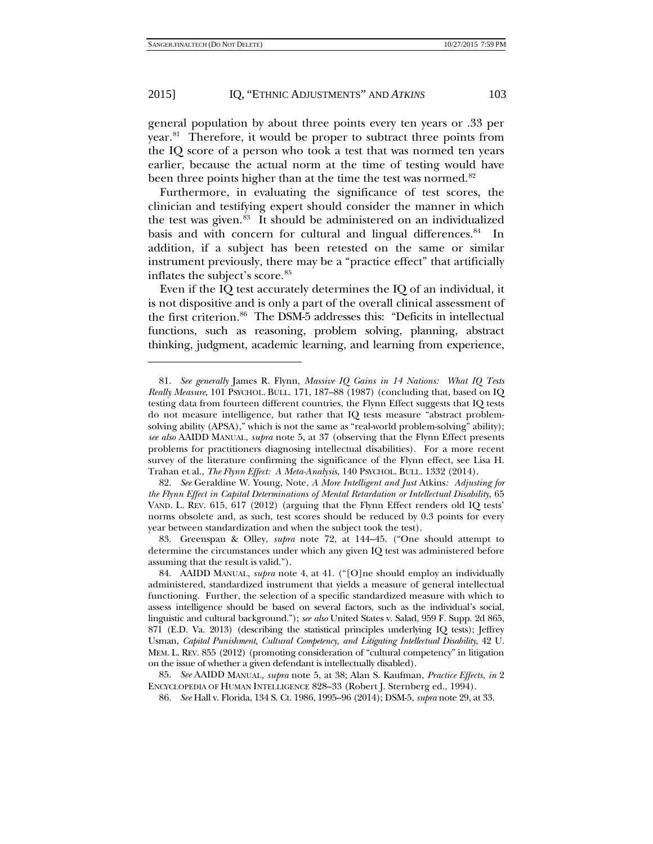1

#### 2015] IQ, "ETHNIC ADJUSTMENTS" AND *ATKINS* 103

general population by about three points every ten years or .33 per year.<sup>81</sup> Therefore, it would be proper to subtract three points from the IQ score of a person who took a test that was normed ten years earlier, because the actual norm at the time of testing would have been three points higher than at the time the test was normed.<sup>82</sup>

Furthermore, in evaluating the significance of test scores, the clinician and testifying expert should consider the manner in which the test was given.<sup>83</sup> It should be administered on an individualized basis and with concern for cultural and lingual differences.<sup>84</sup> In addition, if a subject has been retested on the same or similar instrument previously, there may be a "practice effect" that artificially inflates the subject's score.<sup>[85](#page-16-4)</sup>

Even if the IQ test accurately determines the IQ of an individual, it is not dispositive and is only a part of the overall clinical assessment of the first criterion. [86](#page-16-5) The DSM-5 addresses this: "Deficits in intellectual functions, such as reasoning, problem solving, planning, abstract thinking, judgment, academic learning, and learning from experience,

<span id="page-16-1"></span>82. *See* Geraldine W. Young, Note, *A More Intelligent and Just* Atkins*: Adjusting for the Flynn Effect in Capital Determinations of Mental Retardation or Intellectual Disability*, 65 VAND. L. REV. 615, 617 (2012) (arguing that the Flynn Effect renders old IQ tests' norms obsolete and, as such, test scores should be reduced by 0.3 points for every year between standardization and when the subject took the test).

<span id="page-16-2"></span>83. Greenspan & Olley, *supra* note [72,](#page-15-10) at 144–45. ("One should attempt to determine the circumstances under which any given IQ test was administered before assuming that the result is valid.").

<span id="page-16-5"></span><span id="page-16-4"></span>85. *See* AAIDD MANUAL, *supra* note [5,](#page-3-5) at 38; Alan S. Kaufman, *Practice Effects*, *in* 2 ENCYCLOPEDIA OF HUMAN INTELLIGENCE 828–33 (Robert J. Sternberg ed., 1994).

86. *See* Hall v. Florida, 134 S. Ct. 1986, 1995–96 (2014); DSM-5, *supra* note [29,](#page-9-0) at 33.

<span id="page-16-0"></span><sup>81.</sup> *See generally* James R. Flynn, *Massive IQ Gains in 14 Nations: What IQ Tests Really Measure*, 101 PSYCHOL. BULL. 171, 187–88 (1987) (concluding that, based on IQ testing data from fourteen different countries, the Flynn Effect suggests that IQ tests do not measure intelligence, but rather that IQ tests measure "abstract problemsolving ability (APSA)," which is not the same as "real-world problem-solving" ability); *see also* AAIDD MANUAL, *supra* note [5,](#page-3-5) at 37 (observing that the Flynn Effect presents problems for practitioners diagnosing intellectual disabilities). For a more recent survey of the literature confirming the significance of the Flynn effect, see Lisa H. Trahan et al., *The Flynn Effect: A Meta-Analysis*, 140 PSYCHOL. BULL. 1332 (2014).

<span id="page-16-3"></span><sup>84.</sup> AAIDD MANUAL, *supra* note 4, at 41. ("[O]ne should employ an individually administered, standardized instrument that yields a measure of general intellectual functioning. Further, the selection of a specific standardized measure with which to assess intelligence should be based on several factors, such as the individual's social, linguistic and cultural background."); *see also* United States v. Salad, 959 F. Supp. 2d 865, 871 (E.D. Va. 2013) (describing the statistical principles underlying IQ tests); Jeffrey Usman, *Capital Punishment, Cultural Competency, and Litigating Intellectual Disability*, 42 U. MEM. L. REV. 855 (2012) (promoting consideration of "cultural competency" in litigation on the issue of whether a given defendant is intellectually disabled).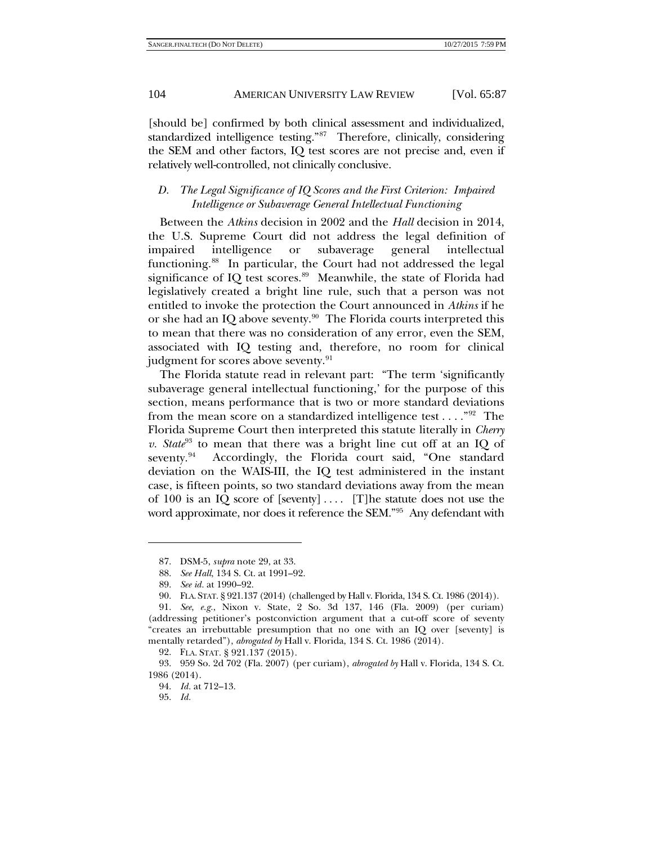[should be] confirmed by both clinical assessment and individualized, standardized intelligence testing."[87](#page-17-0) Therefore, clinically, considering the SEM and other factors, IQ test scores are not precise and, even if relatively well-controlled, not clinically conclusive.

# *D. The Legal Significance of IQ Scores and the First Criterion: Impaired Intelligence or Subaverage General Intellectual Functioning*

Between the *Atkins* decision in 2002 and the *Hall* decision in 2014, the U.S. Supreme Court did not address the legal definition of impaired intelligence or subaverage general intellectual functioning.<sup>[88](#page-17-1)</sup> In particular, the Court had not addressed the legal significance of IQ test scores.<sup>89</sup> Meanwhile, the state of Florida had legislatively created a bright line rule, such that a person was not entitled to invoke the protection the Court announced in *Atkins* if he or she had an IQ above seventy.<sup>90</sup> The Florida courts interpreted this to mean that there was no consideration of any error, even the SEM, associated with IQ testing and, therefore, no room for clinical judgment for scores above seventy.<sup>91</sup>

The Florida statute read in relevant part: "The term 'significantly subaverage general intellectual functioning,' for the purpose of this section, means performance that is two or more standard deviations from the mean score on a standardized intelligence test  $\dots$ ."<sup>[92](#page-17-5)</sup> The Florida Supreme Court then interpreted this statute literally in *Cherry v. State*<sup>[93](#page-17-6)</sup> to mean that there was a bright line cut off at an IQ of seventy. $94$  Accordingly, the Florida court said, "One standard deviation on the WAIS-III, the IQ test administered in the instant case, is fifteen points, so two standard deviations away from the mean of 100 is an IQ score of [seventy].... [T]he statute does not use the word approximate, nor does it reference the SEM."<sup>[95](#page-17-8)</sup> Any defendant with

<sup>87.</sup> DSM-5, *supra* note [29,](#page-9-0) at 33.

<sup>88.</sup> *See Hall*, 134 S. Ct. at 1991–92.

<sup>89.</sup> *See id.* at 1990–92.

<sup>90.</sup> FLA. STAT. § 921.137 (2014) (challenged by Hall v. Florida, 134 S. Ct. 1986 (2014)).

<span id="page-17-4"></span><span id="page-17-3"></span><span id="page-17-2"></span><span id="page-17-1"></span><span id="page-17-0"></span><sup>91.</sup> *See*, *e.g.*, Nixon v. State, 2 So. 3d 137, 146 (Fla. 2009) (per curiam) (addressing petitioner's postconviction argument that a cut-off score of seventy "creates an irrebuttable presumption that no one with an IQ over [seventy] is mentally retarded"), *abrogated by* Hall v. Florida, 134 S. Ct. 1986 (2014).

<sup>92.</sup> FLA. STAT. § 921.137 (2015).

<span id="page-17-8"></span><span id="page-17-7"></span><span id="page-17-6"></span><span id="page-17-5"></span><sup>93.</sup> 959 So. 2d 702 (Fla. 2007) (per curiam), *abrogated by* Hall v. Florida, 134 S. Ct. 1986 (2014).

<sup>94.</sup> *Id.* at 712–13.

<sup>95.</sup> *Id.*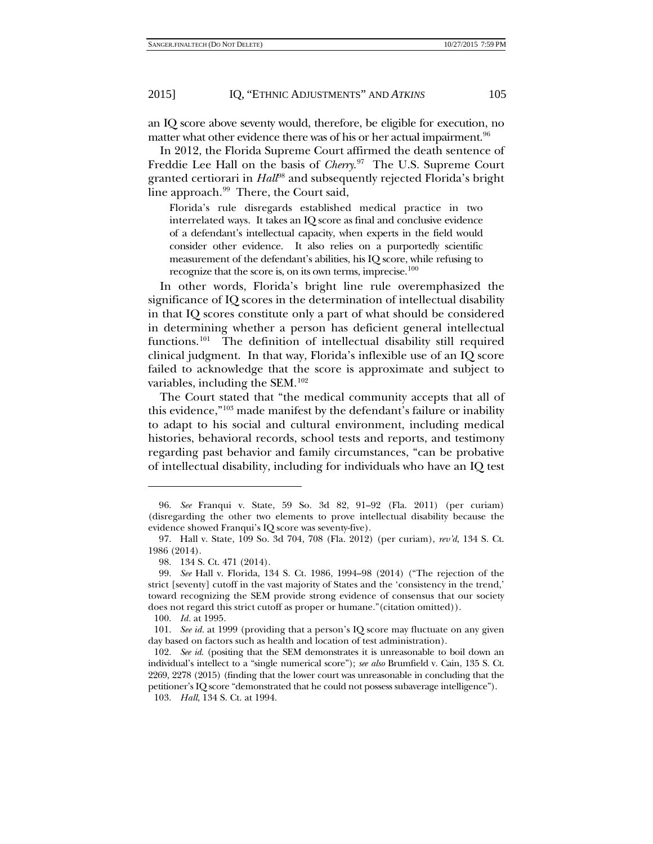an IQ score above seventy would, therefore, be eligible for execution, no matter what other evidence there was of his or her actual impairment.  $96$ 

In 2012, the Florida Supreme Court affirmed the death sentence of Freddie Lee Hall on the basis of *Cherry*. [97](#page-18-1) The U.S. Supreme Court granted certiorari in *Hall*[98](#page-18-2) and subsequently rejected Florida's bright line approach. $99$  There, the Court said,

Florida's rule disregards established medical practice in two interrelated ways. It takes an IQ score as final and conclusive evidence of a defendant's intellectual capacity, when experts in the field would consider other evidence. It also relies on a purportedly scientific measurement of the defendant's abilities, his IQ score, while refusing to recognize that the score is, on its own terms, imprecise.<sup>[100](#page-18-4)</sup>

In other words, Florida's bright line rule overemphasized the significance of IQ scores in the determination of intellectual disability in that IQ scores constitute only a part of what should be considered in determining whether a person has deficient general intellectual functions.<sup>[101](#page-18-5)</sup> The definition of intellectual disability still required clinical judgment. In that way, Florida's inflexible use of an IQ score failed to acknowledge that the score is approximate and subject to variables, including the SEM. $^{102}$  $^{102}$  $^{102}$ 

The Court stated that "the medical community accepts that all of this evidence,"[103](#page-18-7) made manifest by the defendant's failure or inability to adapt to his social and cultural environment, including medical histories, behavioral records, school tests and reports, and testimony regarding past behavior and family circumstances, "can be probative of intellectual disability, including for individuals who have an IQ test

1

<span id="page-18-0"></span><sup>96.</sup> *See* Franqui v. State, 59 So. 3d 82, 91–92 (Fla. 2011) (per curiam) (disregarding the other two elements to prove intellectual disability because the evidence showed Franqui's IQ score was seventy-five).

<span id="page-18-1"></span><sup>97.</sup> Hall v. State, 109 So. 3d 704, 708 (Fla. 2012) (per curiam), *rev'd*, 134 S. Ct. 1986 (2014).

<sup>98.</sup> 134 S. Ct. 471 (2014).

<span id="page-18-3"></span><span id="page-18-2"></span><sup>99.</sup> *See* Hall v. Florida, 134 S. Ct. 1986, 1994–98 (2014) ("The rejection of the strict [seventy] cutoff in the vast majority of States and the 'consistency in the trend,' toward recognizing the SEM provide strong evidence of consensus that our society does not regard this strict cutoff as proper or humane."(citation omitted)).

<sup>100.</sup> *Id.* at 1995.

<span id="page-18-5"></span><span id="page-18-4"></span><sup>101.</sup> *See id.* at 1999 (providing that a person's IQ score may fluctuate on any given day based on factors such as health and location of test administration).

<span id="page-18-6"></span><sup>102.</sup> *See id.* (positing that the SEM demonstrates it is unreasonable to boil down an individual's intellect to a "single numerical score"); *see also* Brumfield v. Cain, 135 S. Ct. 2269, 2278 (2015) (finding that the lower court was unreasonable in concluding that the petitioner's IQ score "demonstrated that he could not possess subaverage intelligence").

<span id="page-18-7"></span><sup>103.</sup> *Hall*, 134 S. Ct. at 1994.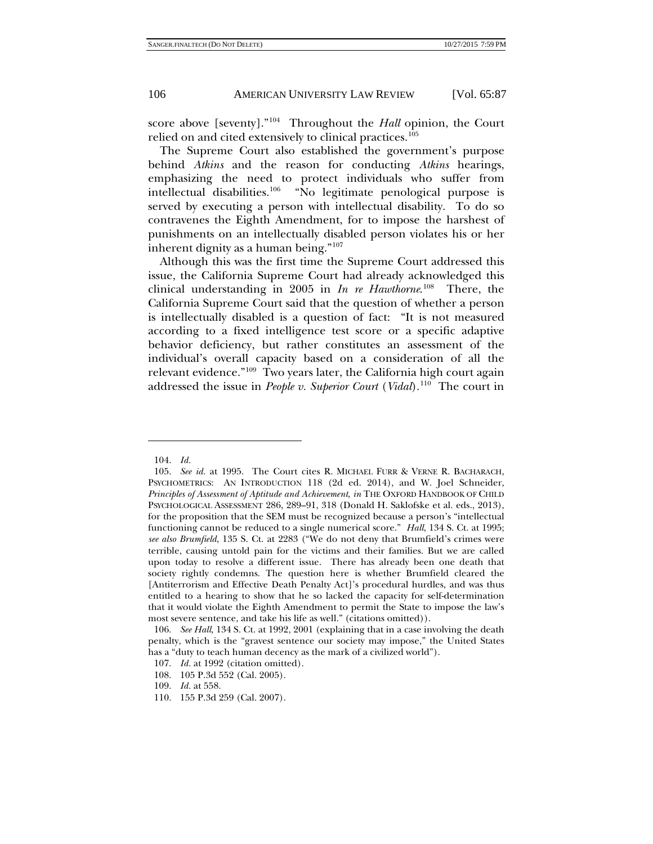score above [seventy].["104](#page-19-0) Throughout the *Hall* opinion, the Court relied on and cited extensively to clinical practices.<sup>[105](#page-19-1)</sup>

The Supreme Court also established the government's purpose behind *Atkins* and the reason for conducting *Atkins* hearings, emphasizing the need to protect individuals who suffer from intellectual disabilities.[106](#page-19-2) "No legitimate penological purpose is served by executing a person with intellectual disability. To do so contravenes the Eighth Amendment, for to impose the harshest of punishments on an intellectually disabled person violates his or her inherent dignity as a human being."[107](#page-19-3)

Although this was the first time the Supreme Court addressed this issue, the California Supreme Court had already acknowledged this clinical understanding in 2005 in *In re Hawthorne*. [108](#page-19-4) There, the California Supreme Court said that the question of whether a person is intellectually disabled is a question of fact: "It is not measured according to a fixed intelligence test score or a specific adaptive behavior deficiency, but rather constitutes an assessment of the individual's overall capacity based on a consideration of all the relevant evidence.["109](#page-19-5) Two years later, the California high court again addressed the issue in *People v. Superior Court* (*Vidal*).<sup>[110](#page-19-6)</sup> The court in

1

<sup>104.</sup> *Id.*

<span id="page-19-1"></span><span id="page-19-0"></span><sup>105.</sup> *See id.* at 1995. The Court cites R. MICHAEL FURR & VERNE R. BACHARACH, PSYCHOMETRICS: AN INTRODUCTION 118 (2d ed. 2014), and W. Joel Schneider, *Principles of Assessment of Aptitude and Achievement*, *in* THE OXFORD HANDBOOK OF CHILD PSYCHOLOGICAL ASSESSMENT 286, 289–91, 318 (Donald H. Saklofske et al. eds., 2013), for the proposition that the SEM must be recognized because a person's "intellectual functioning cannot be reduced to a single numerical score." *Hall*, 134 S. Ct. at 1995; *see also Brumfield*, 135 S. Ct. at 2283 ("We do not deny that Brumfield's crimes were terrible, causing untold pain for the victims and their families. But we are called upon today to resolve a different issue. There has already been one death that society rightly condemns. The question here is whether Brumfield cleared the [Antiterrorism and Effective Death Penalty Act]'s procedural hurdles, and was thus entitled to a hearing to show that he so lacked the capacity for self-determination that it would violate the Eighth Amendment to permit the State to impose the law's most severe sentence, and take his life as well." (citations omitted)).

<span id="page-19-3"></span><span id="page-19-2"></span><sup>106.</sup> *See Hall*, 134 S. Ct. at 1992, 2001 (explaining that in a case involving the death penalty, which is the "gravest sentence our society may impose," the United States has a "duty to teach human decency as the mark of a civilized world").

<sup>107.</sup> *Id.* at 1992 (citation omitted).

<span id="page-19-4"></span><sup>108.</sup> 105 P.3d 552 (Cal. 2005).

<span id="page-19-5"></span><sup>109.</sup> *Id.* at 558.

<span id="page-19-6"></span><sup>110.</sup> 155 P.3d 259 (Cal. 2007).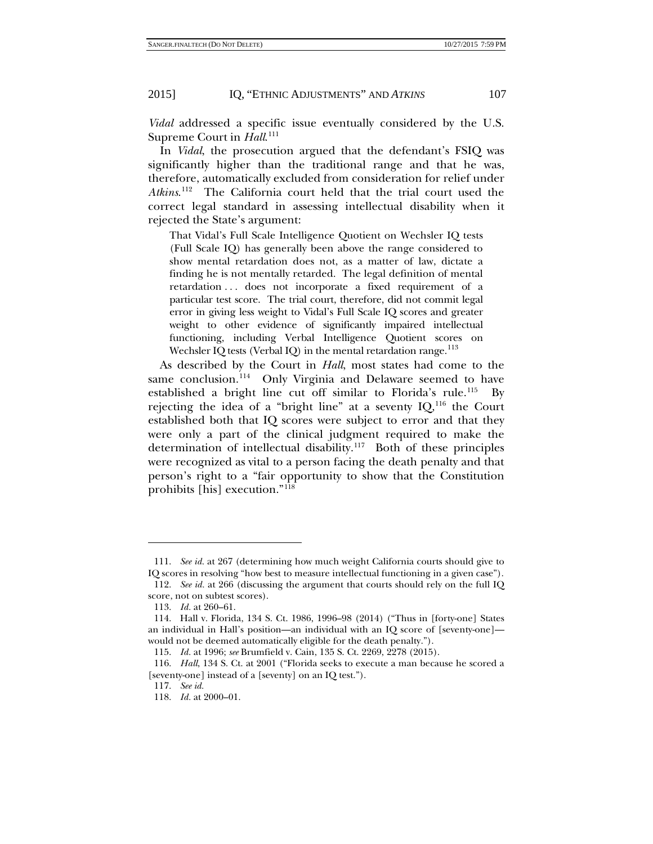*Vidal* addressed a specific issue eventually considered by the U.S. Supreme Court in *Hall*.<sup>[111](#page-20-0)</sup>

In *Vidal*, the prosecution argued that the defendant's FSIQ was significantly higher than the traditional range and that he was, therefore, automatically excluded from consideration for relief under *Atkins*. [112](#page-20-1) The California court held that the trial court used the correct legal standard in assessing intellectual disability when it rejected the State's argument:

That Vidal's Full Scale Intelligence Quotient on Wechsler IQ tests (Full Scale IQ) has generally been above the range considered to show mental retardation does not, as a matter of law, dictate a finding he is not mentally retarded. The legal definition of mental retardation ... does not incorporate a fixed requirement of a particular test score. The trial court, therefore, did not commit legal error in giving less weight to Vidal's Full Scale IQ scores and greater weight to other evidence of significantly impaired intellectual functioning, including Verbal Intelligence Quotient scores on Wechsler IQ tests (Verbal IQ) in the mental retardation range.<sup>[113](#page-20-2)</sup>

As described by the Court in *Hall*, most states had come to the same conclusion.<sup>114</sup> Only Virginia and Delaware seemed to have established a bright line cut off similar to Florida's rule.<sup>[115](#page-20-4)</sup> By rejecting the idea of a "bright line" at a seventy  $IQ<sub>116</sub>$  $IQ<sub>116</sub>$  $IQ<sub>116</sub>$  the Court established both that IQ scores were subject to error and that they were only a part of the clinical judgment required to make the determination of intellectual disability.<sup>[117](#page-20-6)</sup> Both of these principles were recognized as vital to a person facing the death penalty and that person's right to a "fair opportunity to show that the Constitution prohibits [his] execution."[118](#page-20-7)

<span id="page-20-0"></span><sup>111.</sup> *See id.* at 267 (determining how much weight California courts should give to IQ scores in resolving "how best to measure intellectual functioning in a given case").

<span id="page-20-1"></span><sup>112.</sup> *See id.* at 266 (discussing the argument that courts should rely on the full IQ score, not on subtest scores).

<sup>113.</sup> *Id.* at 260–61.

<span id="page-20-3"></span><span id="page-20-2"></span><sup>114.</sup> Hall v. Florida, 134 S. Ct. 1986, 1996–98 (2014) ("Thus in [forty-one] States an individual in Hall's position—an individual with an IQ score of [seventy-one] would not be deemed automatically eligible for the death penalty.").

<sup>115.</sup> *Id.* at 1996; *see* Brumfield v. Cain, 135 S. Ct. 2269, 2278 (2015).

<span id="page-20-7"></span><span id="page-20-6"></span><span id="page-20-5"></span><span id="page-20-4"></span><sup>116.</sup> *Hall*, 134 S. Ct. at 2001 ("Florida seeks to execute a man because he scored a [seventy-one] instead of a [seventy] on an IQ test.").

<sup>117.</sup> *See id.*

<sup>118.</sup> *Id.* at 2000–01.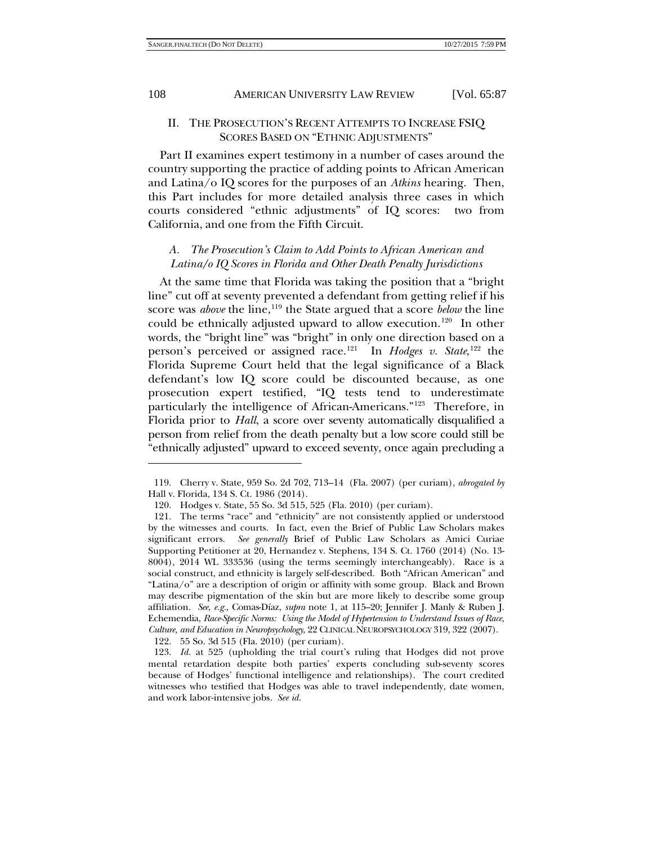#### II. THE PROSECUTION'S RECENT ATTEMPTS TO INCREASE FSIQ SCORES BASED ON "ETHNIC ADJUSTMENTS"

Part II examines expert testimony in a number of cases around the country supporting the practice of adding points to African American and Latina/o IQ scores for the purposes of an *Atkins* hearing. Then, this Part includes for more detailed analysis three cases in which courts considered "ethnic adjustments" of IQ scores: two from California, and one from the Fifth Circuit.

# <span id="page-21-5"></span>*A. The Prosecution's Claim to Add Points to African American and Latina/o IQ Scores in Florida and Other Death Penalty Jurisdictions*

At the same time that Florida was taking the position that a "bright line" cut off at seventy prevented a defendant from getting relief if his score was *above* the line,<sup>[119](#page-21-0)</sup> the State argued that a score *below* the line could be ethnically adjusted upward to allow execution.<sup>120</sup> In other words, the "bright line" was "bright" in only one direction based on a person's perceived or assigned race.<sup>[121](#page-21-2)</sup> In *Hodges v. State*,<sup>[122](#page-21-3)</sup> the Florida Supreme Court held that the legal significance of a Black defendant's low IQ score could be discounted because, as one prosecution expert testified, "IQ tests tend to underestimate particularly the intelligence of African-Americans."[123](#page-21-4) Therefore, in Florida prior to *Hall*, a score over seventy automatically disqualified a person from relief from the death penalty but a low score could still be "ethnically adjusted" upward to exceed seventy, once again precluding a

122. 55 So. 3d 515 (Fla. 2010) (per curiam).

<span id="page-21-0"></span><sup>119.</sup> Cherry v. State, 959 So. 2d 702, 713–14 (Fla. 2007) (per curiam), *abrogated by* Hall v. Florida, 134 S. Ct. 1986 (2014).

<sup>120.</sup> Hodges v. State, 55 So. 3d 515, 525 (Fla. 2010) (per curiam).

<span id="page-21-2"></span><span id="page-21-1"></span><sup>121.</sup> The terms "race" and "ethnicity" are not consistently applied or understood by the witnesses and courts. In fact, even the Brief of Public Law Scholars makes significant errors. *See generally* Brief of Public Law Scholars as Amici Curiae Supporting Petitioner at 20, Hernandez v. Stephens, 134 S. Ct. 1760 (2014) (No. 13- 8004), 2014 WL 333536 (using the terms seemingly interchangeably). Race is a social construct, and ethnicity is largely self-described. Both "African American" and "Latina/o" are a description of origin or affinity with some group. Black and Brown may describe pigmentation of the skin but are more likely to describe some group affiliation. *See, e.g.*, Comas-Díaz, *supra* note [1,](#page-2-1) at 115–20; Jennifer J. Manly & Ruben J. Echemendia, *Race-Specific Norms: Using the Model of Hypertension to Understand Issues of Race, Culture, and Education in Neuropsychology*, 22 CLINICAL NEUROPSYCHOLOGY 319, 322 (2007).

<span id="page-21-4"></span><span id="page-21-3"></span><sup>123.</sup> *Id.* at 525 (upholding the trial court's ruling that Hodges did not prove mental retardation despite both parties' experts concluding sub-seventy scores because of Hodges' functional intelligence and relationships). The court credited witnesses who testified that Hodges was able to travel independently, date women, and work labor-intensive jobs. *See id.*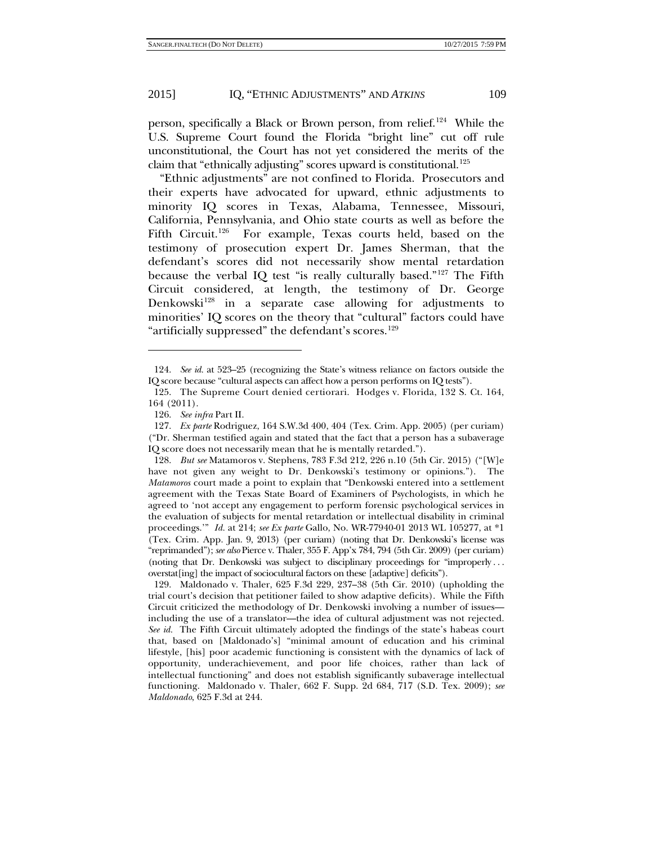person, specifically a Black or Brown person, from relief.<sup>124</sup> While the U.S. Supreme Court found the Florida "bright line" cut off rule unconstitutional, the Court has not yet considered the merits of the claim that "ethnically adjusting" scores upward is constitutional.<sup>[125](#page-22-1)</sup>

"Ethnic adjustments" are not confined to Florida. Prosecutors and their experts have advocated for upward, ethnic adjustments to minority IQ scores in Texas, Alabama, Tennessee, Missouri, California, Pennsylvania, and Ohio state courts as well as before the Fifth Circuit.<sup>126</sup> For example, Texas courts held, based on the testimony of prosecution expert Dr. James Sherman, that the defendant's scores did not necessarily show mental retardation because the verbal IQ test "is really culturally based."<sup>[127](#page-22-3)</sup> The Fifth Circuit considered, at length, the testimony of Dr. George Denkowski<sup>128</sup> in a separate case allowing for adjustments to minorities' IQ scores on the theory that "cultural" factors could have "artificially suppressed" the defendant's scores.<sup>[129](#page-22-5)</sup>

<span id="page-22-0"></span><sup>124.</sup> *See id.* at 523–25 (recognizing the State's witness reliance on factors outside the IQ score because "cultural aspects can affect how a person performs on IQ tests").

<span id="page-22-1"></span><sup>125.</sup> The Supreme Court denied certiorari. Hodges v. Florida, 132 S. Ct. 164, 164 (2011).

<sup>126.</sup> *See infra* Part II.

<span id="page-22-3"></span><span id="page-22-2"></span><sup>127.</sup> *Ex parte* Rodriguez, 164 S.W.3d 400, 404 (Tex. Crim. App. 2005) (per curiam) ("Dr. Sherman testified again and stated that the fact that a person has a subaverage IQ score does not necessarily mean that he is mentally retarded.").

<span id="page-22-4"></span><sup>128.</sup> *But see* Matamoros v. Stephens, 783 F.3d 212, 226 n.10 (5th Cir. 2015) ("[W]e have not given any weight to Dr. Denkowski's testimony or opinions."). The *Matamoros* court made a point to explain that "Denkowski entered into a settlement agreement with the Texas State Board of Examiners of Psychologists, in which he agreed to 'not accept any engagement to perform forensic psychological services in the evaluation of subjects for mental retardation or intellectual disability in criminal proceedings.'" *Id.* at 214; *see Ex parte* Gallo, No. WR-77940-01 2013 WL 105277, at \*1 (Tex. Crim. App. Jan. 9, 2013) (per curiam) (noting that Dr. Denkowski's license was "reprimanded"); *see also* Pierce v. Thaler, 355 F. App'x 784, 794 (5th Cir. 2009) (per curiam) (noting that Dr. Denkowski was subject to disciplinary proceedings for "improperly . . . overstat[ing] the impact of sociocultural factors on these [adaptive] deficits").

<span id="page-22-5"></span><sup>129.</sup> Maldonado v. Thaler, 625 F.3d 229, 237–38 (5th Cir. 2010) (upholding the trial court's decision that petitioner failed to show adaptive deficits). While the Fifth Circuit criticized the methodology of Dr. Denkowski involving a number of issues including the use of a translator—the idea of cultural adjustment was not rejected. *See id.* The Fifth Circuit ultimately adopted the findings of the state's habeas court that, based on [Maldonado's] "minimal amount of education and his criminal lifestyle, [his] poor academic functioning is consistent with the dynamics of lack of opportunity, underachievement, and poor life choices, rather than lack of intellectual functioning" and does not establish significantly subaverage intellectual functioning. Maldonado v. Thaler, 662 F. Supp. 2d 684, 717 (S.D. Tex. 2009); *see Maldonado*, 625 F.3d at 244.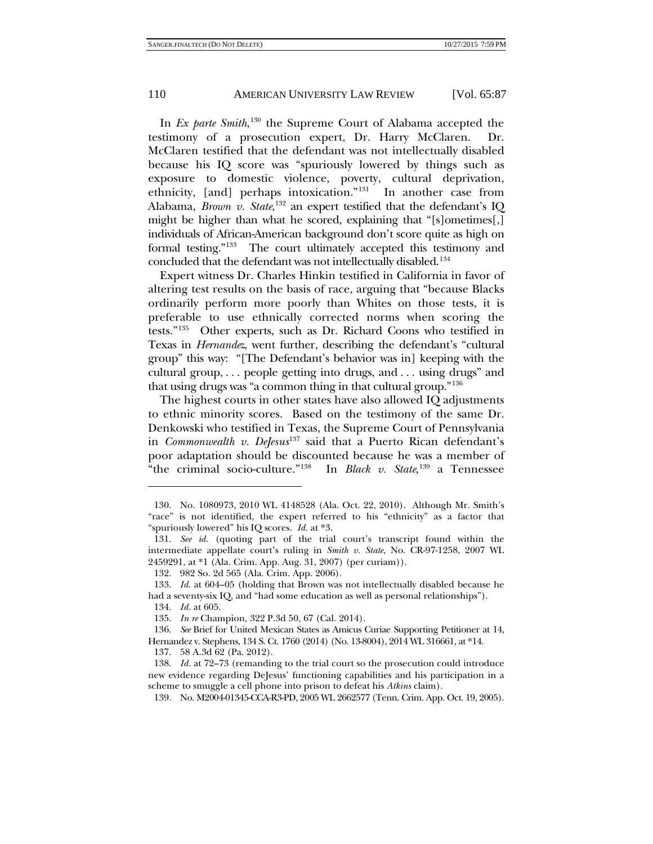In *Ex parte Smith*, [130](#page-23-0) the Supreme Court of Alabama accepted the testimony of a prosecution expert, Dr. Harry McClaren. Dr. McClaren testified that the defendant was not intellectually disabled because his IQ score was "spuriously lowered by things such as exposure to domestic violence, poverty, cultural deprivation, ethnicity, [and] perhaps intoxication."[131](#page-23-1) In another case from Alabama, *Brown v. State*, [132](#page-23-2) an expert testified that the defendant's IQ might be higher than what he scored, explaining that "[s]ometimes[,] individuals of African-American background don't score quite as high on formal testing."[133](#page-23-3) The court ultimately accepted this testimony and concluded that the defendant was not intellectually disabled.<sup>[134](#page-23-4)</sup>

Expert witness Dr. Charles Hinkin testified in California in favor of altering test results on the basis of race, arguing that "because Blacks ordinarily perform more poorly than Whites on those tests, it is preferable to use ethnically corrected norms when scoring the tests."[135](#page-23-5) Other experts, such as Dr. Richard Coons who testified in Texas in *Hernandez*, went further, describing the defendant's "cultural group" this way: "[The Defendant's behavior was in] keeping with the cultural group, . . . people getting into drugs, and . . . using drugs" and that using drugs was "a common thing in that cultural group."[136](#page-23-6)

<span id="page-23-10"></span>The highest courts in other states have also allowed IQ adjustments to ethnic minority scores. Based on the testimony of the same Dr. Denkowski who testified in Texas, the Supreme Court of Pennsylvania in *Commonwealth v. DeJesus*[137](#page-23-7) said that a Puerto Rican defendant's poor adaptation should be discounted because he was a member of "the criminal socio-culture."<sup>138</sup> In *Black v.* State,  $139$  a Tennessee

1

<span id="page-23-0"></span><sup>130.</sup> No. 1080973, 2010 WL 4148528 (Ala. Oct. 22, 2010). Although Mr. Smith's "race" is not identified, the expert referred to his "ethnicity" as a factor that "spuriously lowered" his IQ scores. *Id.* at \*3.

<span id="page-23-1"></span><sup>131.</sup> *See id.* (quoting part of the trial court's transcript found within the intermediate appellate court's ruling in *Smith v. State*, No. CR-97-1258, 2007 WL 2459291, at \*1 (Ala. Crim. App. Aug. 31, 2007) (per curiam)).

<sup>132.</sup> 982 So. 2d 565 (Ala. Crim. App. 2006).

<span id="page-23-3"></span><span id="page-23-2"></span><sup>133.</sup> *Id*. at 604–05 (holding that Brown was not intellectually disabled because he had a seventy-six IQ, and "had some education as well as personal relationships").

<sup>134.</sup> *Id.* at 605.

<sup>135.</sup> *In re* Champion, 322 P.3d 50, 67 (Cal. 2014).

<span id="page-23-6"></span><span id="page-23-5"></span><span id="page-23-4"></span><sup>136.</sup> *See* Brief for United Mexican States as Amicus Curiae Supporting Petitioner at 14, Hernandez v. Stephens, 134 S. Ct. 1760 (2014) (No. 13-8004), 2014 WL 316661, at \*14.

<sup>137.</sup> 58 A.3d 62 (Pa. 2012).

<span id="page-23-9"></span><span id="page-23-8"></span><span id="page-23-7"></span><sup>138.</sup> *Id.* at 72–73 (remanding to the trial court so the prosecution could introduce new evidence regarding DeJesus' functioning capabilities and his participation in a scheme to smuggle a cell phone into prison to defeat his *Atkins* claim).

<sup>139.</sup> No. M2004-01345-CCA-R3-PD, 2005 WL 2662577 (Tenn. Crim. App. Oct. 19, 2005).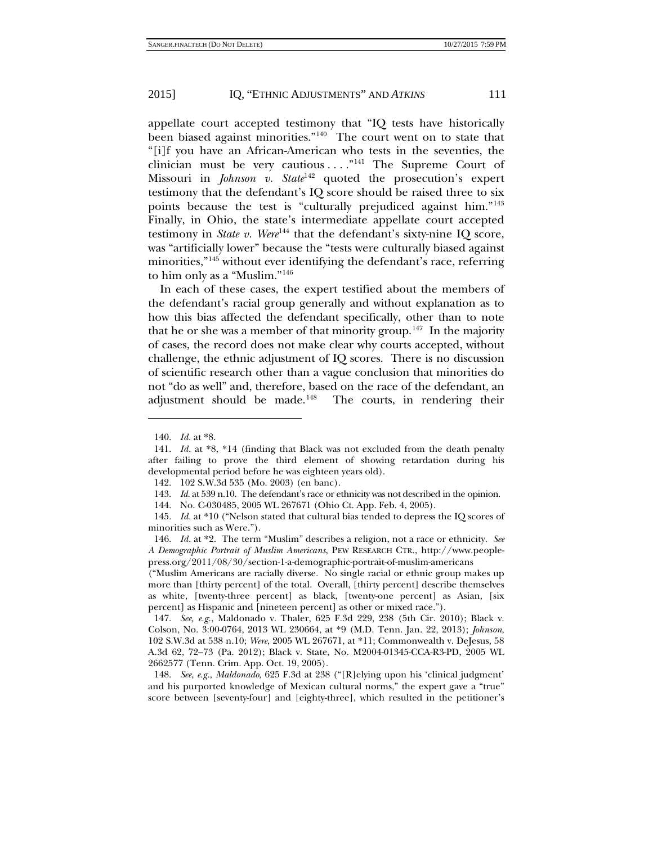appellate court accepted testimony that "IQ tests have historically been biased against minorities."<sup>140</sup> The court went on to state that "[i]f you have an African-American who tests in the seventies, the clinician must be very cautious  $\dots$ ."<sup>[141](#page-24-1)</sup> The Supreme Court of Missouri in *Johnson v. State*<sup>[142](#page-24-2)</sup> quoted the prosecution's expert testimony that the defendant's IQ score should be raised three to six points because the test is "culturally prejudiced against him."[143](#page-24-3) Finally, in Ohio, the state's intermediate appellate court accepted testimony in *State v. Were*<sup>[144](#page-24-4)</sup> that the defendant's sixty-nine IQ score, was "artificially lower" because the "tests were culturally biased against minorities,"<sup>[145](#page-24-5)</sup> without ever identifying the defendant's race, referring to him only as a "Muslim."[146](#page-24-6)

In each of these cases, the expert testified about the members of the defendant's racial group generally and without explanation as to how this bias affected the defendant specifically, other than to note that he or she was a member of that minority group.<sup>147</sup> In the majority of cases, the record does not make clear why courts accepted, without challenge, the ethnic adjustment of IQ scores. There is no discussion of scientific research other than a vague conclusion that minorities do not "do as well" and, therefore, based on the race of the defendant, an adjustment should be made.<sup>[148](#page-24-8)</sup> The courts, in rendering their

<sup>140.</sup> *Id.* at \*8.

<span id="page-24-2"></span><span id="page-24-1"></span><span id="page-24-0"></span><sup>141.</sup> *Id.* at \*8, \*14 (finding that Black was not excluded from the death penalty after failing to prove the third element of showing retardation during his developmental period before he was eighteen years old).

<sup>142.</sup> 102 S.W.3d 535 (Mo. 2003) (en banc).

<sup>143.</sup> *Id.* at 539 n.10. The defendant's race or ethnicity was not described in the opinion.

<sup>144.</sup> No. C-030485, 2005 WL 267671 (Ohio Ct. App. Feb. 4, 2005).

<span id="page-24-5"></span><span id="page-24-4"></span><span id="page-24-3"></span><sup>145.</sup> *Id.* at \*10 ("Nelson stated that cultural bias tended to depress the IQ scores of minorities such as Were.").

<span id="page-24-6"></span><sup>146.</sup> *Id.* at \*2. The term "Muslim" describes a religion, not a race or ethnicity. *See A Demographic Portrait of Muslim Americans*, PEW RESEARCH CTR., http://www.peoplepress.org/2011/08/30/section-1-a-demographic-portrait-of-muslim-americans

<sup>(&</sup>quot;Muslim Americans are racially diverse. No single racial or ethnic group makes up more than [thirty percent] of the total. Overall, [thirty percent] describe themselves as white, [twenty-three percent] as black, [twenty-one percent] as Asian, [six percent] as Hispanic and [nineteen percent] as other or mixed race.").

<span id="page-24-7"></span><sup>147.</sup> *See, e.g.*, Maldonado v. Thaler, 625 F.3d 229, 238 (5th Cir. 2010); Black v. Colson, No. 3:00-0764, 2013 WL 230664, at \*9 (M.D. Tenn. Jan. 22, 2013); *Johnson*, 102 S.W.3d at 538 n.10; *Were*, 2005 WL 267671, at \*11; Commonwealth v. DeJesus, 58 A.3d 62, 72–73 (Pa. 2012); Black v. State, No. M2004-01345-CCA-R3-PD, 2005 WL 2662577 (Tenn. Crim. App. Oct. 19, 2005).

<span id="page-24-8"></span><sup>148.</sup> *See*, *e.g.*, *Maldonado*, 625 F.3d at 238 ("[R]elying upon his 'clinical judgment' and his purported knowledge of Mexican cultural norms," the expert gave a "true" score between [seventy-four] and [eighty-three], which resulted in the petitioner's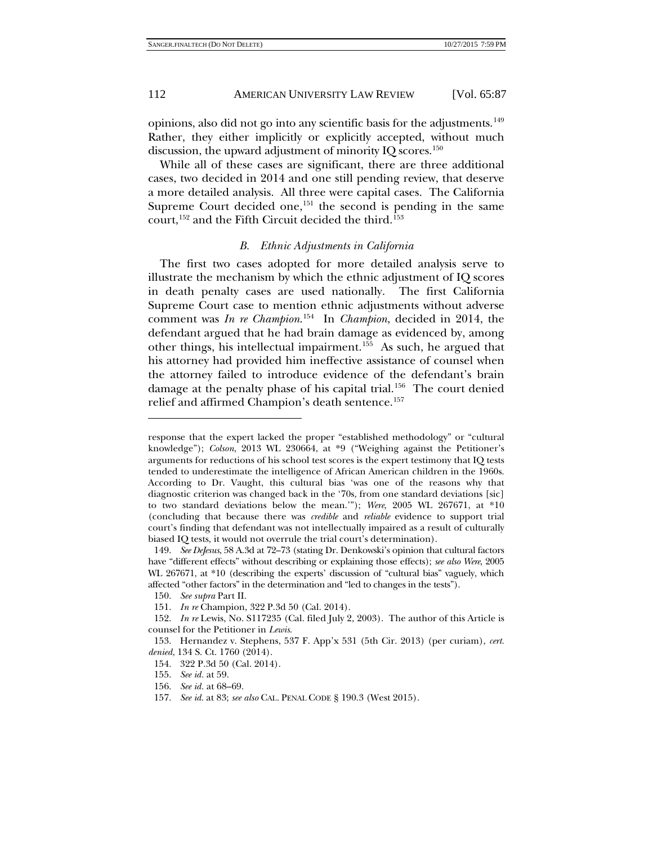opinions, also did not go into any scientific basis for the adjustments.<sup>149</sup> Rather, they either implicitly or explicitly accepted, without much discussion, the upward adjustment of minority IQ scores.<sup>[150](#page-25-1)</sup>

While all of these cases are significant, there are three additional cases, two decided in 2014 and one still pending review, that deserve a more detailed analysis. All three were capital cases. The California Supreme Court decided one,<sup>[151](#page-25-2)</sup> the second is pending in the same court,  $152$  and the Fifth Circuit decided the third.<sup>[153](#page-25-4)</sup>

#### *B. Ethnic Adjustments in California*

The first two cases adopted for more detailed analysis serve to illustrate the mechanism by which the ethnic adjustment of IQ scores in death penalty cases are used nationally. The first California Supreme Court case to mention ethnic adjustments without adverse comment was *In re Champion*. [154](#page-25-5) In *Champion*, decided in 2014, the defendant argued that he had brain damage as evidenced by, among other things, his intellectual impairment.[155](#page-25-6) As such, he argued that his attorney had provided him ineffective assistance of counsel when the attorney failed to introduce evidence of the defendant's brain damage at the penalty phase of his capital trial.<sup>[156](#page-25-7)</sup> The court denied relief and affirmed Champion's death sentence.<sup>[157](#page-25-8)</sup>

response that the expert lacked the proper "established methodology" or "cultural knowledge"); *Colson*, 2013 WL 230664, at \*9 ("Weighing against the Petitioner's arguments for reductions of his school test scores is the expert testimony that IQ tests tended to underestimate the intelligence of African American children in the 1960s. According to Dr. Vaught, this cultural bias 'was one of the reasons why that diagnostic criterion was changed back in the '70s, from one standard deviations [sic] to two standard deviations below the mean.'"); *Were*, 2005 WL 267671, at \*10 (concluding that because there was *credible* and *reliable* evidence to support trial court's finding that defendant was not intellectually impaired as a result of culturally biased IQ tests, it would not overrule the trial court's determination).

<span id="page-25-0"></span><sup>149.</sup> *See DeJesus*, 58 A.3d at 72–73 (stating Dr. Denkowski's opinion that cultural factors have "different effects" without describing or explaining those effects); *see also Were*, 2005 WL 267671, at \*10 (describing the experts' discussion of "cultural bias" vaguely, which affected "other factors" in the determination and "led to changes in the tests").

<sup>150.</sup> *See supra* Part II.

<sup>151.</sup> *In re* Champion, 322 P.3d 50 (Cal. 2014).

<span id="page-25-3"></span><span id="page-25-2"></span><span id="page-25-1"></span><sup>152.</sup> *In re* Lewis, No. S117235 (Cal. filed July 2, 2003). The author of this Article is counsel for the Petitioner in *Lewis*.

<span id="page-25-6"></span><span id="page-25-5"></span><span id="page-25-4"></span><sup>153.</sup> Hernandez v. Stephens, 537 F. App'x 531 (5th Cir. 2013) (per curiam), *cert. denied*, 134 S. Ct. 1760 (2014).

<sup>154.</sup> 322 P.3d 50 (Cal. 2014).

<sup>155.</sup> *See id.* at 59.

<sup>156.</sup> *See id.* at 68–69.

<span id="page-25-8"></span><span id="page-25-7"></span><sup>157.</sup> *See id*. at 83; *see also* CAL. PENAL CODE § 190.3 (West 2015).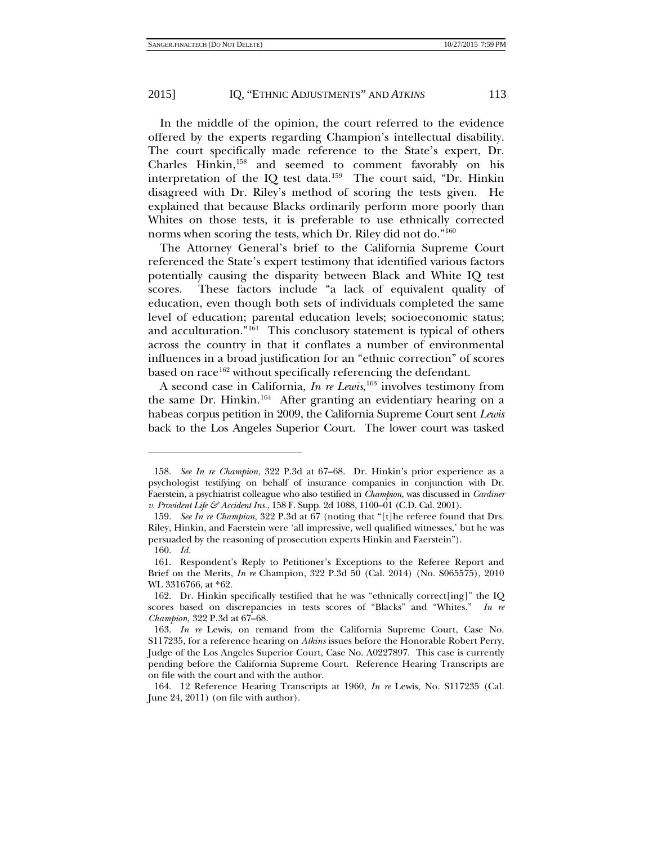1

#### 2015] IQ, "ETHNIC ADJUSTMENTS" AND *ATKINS* 113

In the middle of the opinion, the court referred to the evidence offered by the experts regarding Champion's intellectual disability. The court specifically made reference to the State's expert, Dr. Charles Hinkin,[158](#page-26-0) and seemed to comment favorably on his interpretation of the IQ test data.<sup>[159](#page-26-1)</sup> The court said, "Dr. Hinkin disagreed with Dr. Riley's method of scoring the tests given. He explained that because Blacks ordinarily perform more poorly than Whites on those tests, it is preferable to use ethnically corrected norms when scoring the tests, which Dr. Riley did not do."[160](#page-26-2)

The Attorney General's brief to the California Supreme Court referenced the State's expert testimony that identified various factors potentially causing the disparity between Black and White IQ test scores. These factors include "a lack of equivalent quality of education, even though both sets of individuals completed the same level of education; parental education levels; socioeconomic status; and acculturation."<sup>[161](#page-26-3)</sup> This conclusory statement is typical of others across the country in that it conflates a number of environmental influences in a broad justification for an "ethnic correction" of scores based on race<sup>162</sup> without specifically referencing the defendant.

A second case in California, *In re Lewis*, [163](#page-26-5) involves testimony from the same Dr. Hinkin.<sup>[164](#page-26-6)</sup> After granting an evidentiary hearing on a habeas corpus petition in 2009, the California Supreme Court sent *Lewis* back to the Los Angeles Superior Court. The lower court was tasked

<span id="page-26-0"></span><sup>158.</sup> *See In re Champion*, 322 P.3d at 67–68. Dr. Hinkin's prior experience as a psychologist testifying on behalf of insurance companies in conjunction with Dr. Faerstein, a psychiatrist colleague who also testified in *Champion*, was discussed in *Cardiner v. Provident Life & Accident Ins.*, 158 F. Supp. 2d 1088, 1100–01 (C.D. Cal. 2001).

<span id="page-26-1"></span><sup>159.</sup> *See In re Champion*, 322 P.3d at 67 (noting that "[t]he referee found that Drs. Riley, Hinkin, and Faerstein were 'all impressive, well qualified witnesses,' but he was persuaded by the reasoning of prosecution experts Hinkin and Faerstein"). 160. *Id.*

<span id="page-26-3"></span><span id="page-26-2"></span><sup>161.</sup> Respondent's Reply to Petitioner's Exceptions to the Referee Report and Brief on the Merits, *In re* Champion, 322 P.3d 50 (Cal. 2014) (No. S065575), 2010 WL 3316766, at \*62.

<span id="page-26-4"></span><sup>162.</sup> Dr. Hinkin specifically testified that he was "ethnically correct[ing]" the IQ scores based on discrepancies in tests scores of "Blacks" and "Whites." *In re Champion*, 322 P.3d at 67–68.

<span id="page-26-5"></span><sup>163.</sup> *In re* Lewis, on remand from the California Supreme Court, Case No. S117235, for a reference hearing on *Atkins* issues before the Honorable Robert Perry, Judge of the Los Angeles Superior Court, Case No. A0227897. This case is currently pending before the California Supreme Court. Reference Hearing Transcripts are on file with the court and with the author.

<span id="page-26-6"></span><sup>164.</sup> 12 Reference Hearing Transcripts at 1960, *In re* Lewis, No. S117235 (Cal. June 24, 2011) (on file with author).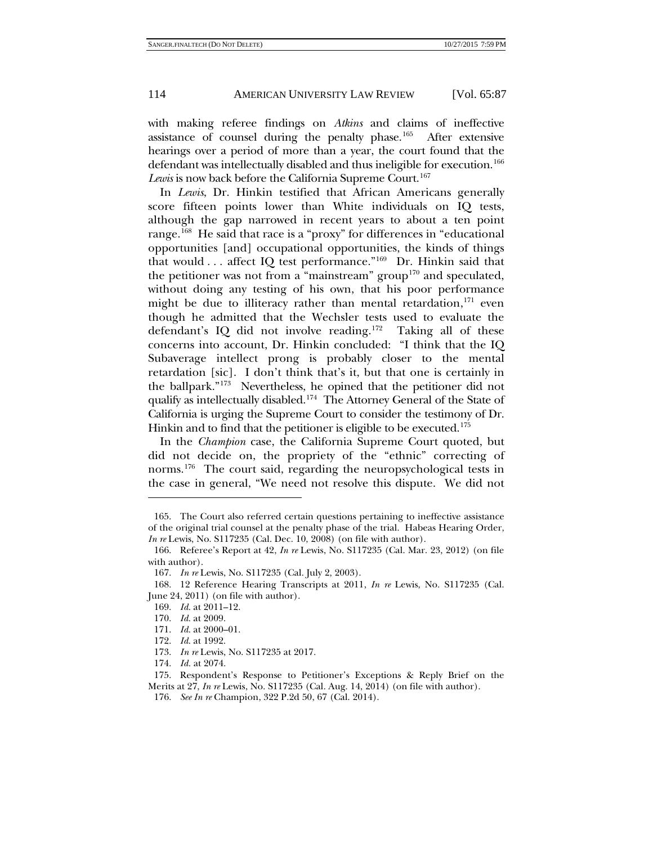with making referee findings on *Atkins* and claims of ineffective assistance of counsel during the penalty phase.[165](#page-27-0) After extensive hearings over a period of more than a year, the court found that the defendant was intellectually disabled and thus ineligible for execution.<sup>166</sup> Lewis is now back before the California Supreme Court.<sup>[167](#page-27-2)</sup>

In *Lewis*, Dr. Hinkin testified that African Americans generally score fifteen points lower than White individuals on IQ tests, although the gap narrowed in recent years to about a ten point range.<sup>168</sup> He said that race is a "proxy" for differences in "educational opportunities [and] occupational opportunities, the kinds of things that would  $\ldots$  affect IQ test performance."<sup>169</sup> Dr. Hinkin said that the petitioner was not from a "mainstream" group<sup>[170](#page-27-5)</sup> and speculated, without doing any testing of his own, that his poor performance might be due to illiteracy rather than mental retardation, $171$  even though he admitted that the Wechsler tests used to evaluate the defendant's IQ did not involve reading.<sup>172</sup> Taking all of these concerns into account, Dr. Hinkin concluded: "I think that the IQ Subaverage intellect prong is probably closer to the mental retardation [sic]. I don't think that's it, but that one is certainly in the ballpark."[173](#page-27-8) Nevertheless, he opined that the petitioner did not qualify as intellectually disabled.<sup>[174](#page-27-9)</sup> The Attorney General of the State of California is urging the Supreme Court to consider the testimony of Dr. Hinkin and to find that the petitioner is eligible to be executed.<sup>[175](#page-27-10)</sup>

In the *Champion* case, the California Supreme Court quoted, but did not decide on, the propriety of the "ethnic" correcting of norms.<sup>[176](#page-27-11)</sup> The court said, regarding the neuropsychological tests in the case in general, "We need not resolve this dispute. We did not

<span id="page-27-0"></span><sup>165.</sup> The Court also referred certain questions pertaining to ineffective assistance of the original trial counsel at the penalty phase of the trial. Habeas Hearing Order, *In re* Lewis, No. S117235 (Cal. Dec. 10, 2008) (on file with author).

<span id="page-27-1"></span><sup>166.</sup> Referee's Report at 42, *In re* Lewis, No. S117235 (Cal. Mar. 23, 2012) (on file with author).

<sup>167.</sup> *In re* Lewis, No. S117235 (Cal. July 2, 2003).

<span id="page-27-5"></span><span id="page-27-4"></span><span id="page-27-3"></span><span id="page-27-2"></span><sup>168.</sup> 12 Reference Hearing Transcripts at 2011, *In re* Lewis, No. S117235 (Cal. June 24, 2011) (on file with author).

<sup>169.</sup> *Id*. at 2011–12.

<sup>170.</sup> *Id*. at 2009.

<span id="page-27-6"></span><sup>171.</sup> *Id*. at 2000–01.

<sup>172.</sup> *Id*. at 1992.

<sup>173.</sup> *In re* Lewis, No. S117235 at 2017.

<sup>174.</sup> *Id.* at 2074.

<span id="page-27-11"></span><span id="page-27-10"></span><span id="page-27-9"></span><span id="page-27-8"></span><span id="page-27-7"></span><sup>175.</sup> Respondent's Response to Petitioner's Exceptions & Reply Brief on the Merits at 27, *In re* Lewis, No. S117235 (Cal. Aug. 14, 2014) (on file with author).

<sup>176.</sup> *See In re* Champion, 322 P.2d 50, 67 (Cal. 2014).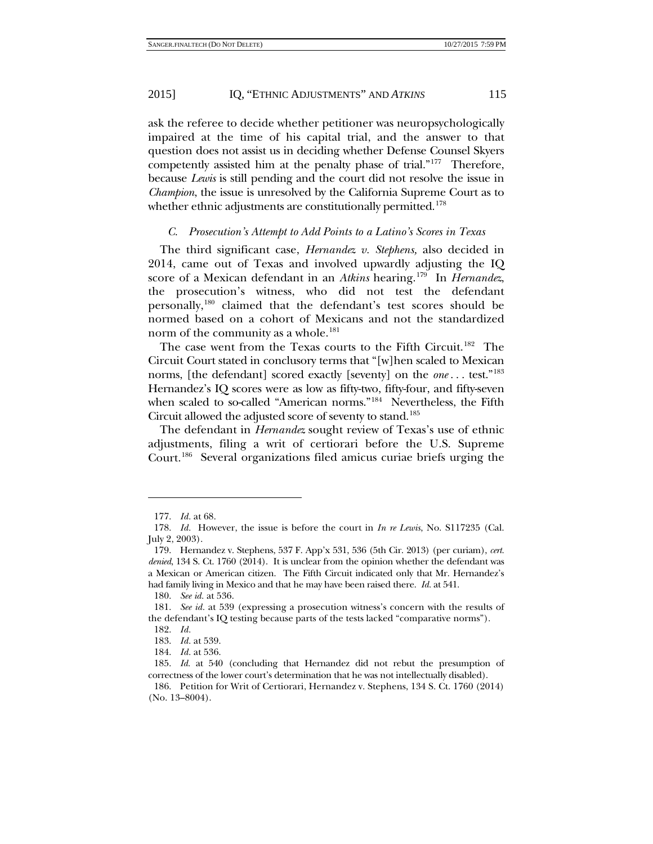ask the referee to decide whether petitioner was neuropsychologically impaired at the time of his capital trial, and the answer to that question does not assist us in deciding whether Defense Counsel Skyers competently assisted him at the penalty phase of trial."[177](#page-28-0) Therefore, because *Lewis* is still pending and the court did not resolve the issue in *Champion*, the issue is unresolved by the California Supreme Court as to whether ethnic adjustments are constitutionally permitted.<sup>[178](#page-28-1)</sup>

#### *C. Prosecution's Attempt to Add Points to a Latino's Scores in Texas*

The third significant case, *Hernandez v. Stephens,* also decided in 2014, came out of Texas and involved upwardly adjusting the IQ score of a Mexican defendant in an *Atkins* hearing.[179](#page-28-2) In *Hernandez*, the prosecution's witness, who did not test the defendant personally[,180](#page-28-3) claimed that the defendant's test scores should be normed based on a cohort of Mexicans and not the standardized norm of the community as a whole.<sup>[181](#page-28-4)</sup>

The case went from the Texas courts to the Fifth Circuit.<sup>[182](#page-28-5)</sup> The Circuit Court stated in conclusory terms that "[w]hen scaled to Mexican norms, [the defendant] scored exactly [seventy] on the *one* . . . test."[183](#page-28-6)  Hernandez's IQ scores were as low as fifty-two, fifty-four, and fifty-seven when scaled to so-called "American norms."<sup>[184](#page-28-7)</sup> Nevertheless, the Fifth Circuit allowed the adjusted score of seventy to stand.<sup>[185](#page-28-8)</sup>

The defendant in *Hernandez* sought review of Texas's use of ethnic adjustments, filing a writ of certiorari before the U.S. Supreme Court.[186](#page-28-9) Several organizations filed amicus curiae briefs urging the

<span id="page-28-10"></span>

<sup>177.</sup> *Id.* at 68.

<span id="page-28-2"></span><span id="page-28-1"></span><span id="page-28-0"></span><sup>178.</sup> *Id.* However, the issue is before the court in *In re Lewis*, No. S117235 (Cal. July 2, 2003).

<sup>179.</sup> Hernandez v. Stephens, 537 F. App'x 531, 536 (5th Cir. 2013) (per curiam), *cert. denied*, 134 S. Ct. 1760 (2014). It is unclear from the opinion whether the defendant was a Mexican or American citizen. The Fifth Circuit indicated only that Mr. Hernandez's had family living in Mexico and that he may have been raised there. *Id.* at 541.

<sup>180.</sup> *See id.* at 536.

<span id="page-28-5"></span><span id="page-28-4"></span><span id="page-28-3"></span><sup>181.</sup> *See id.* at 539 (expressing a prosecution witness's concern with the results of the defendant's IQ testing because parts of the tests lacked "comparative norms").

<sup>182.</sup> *Id.*

<sup>183.</sup> *Id.* at 539.

<sup>184.</sup> *Id.* at 536.

<span id="page-28-8"></span><span id="page-28-7"></span><span id="page-28-6"></span><sup>185.</sup> *Id.* at 540 (concluding that Hernandez did not rebut the presumption of correctness of the lower court's determination that he was not intellectually disabled).

<span id="page-28-9"></span><sup>186.</sup> Petition for Writ of Certiorari, Hernandez v. Stephens, 134 S. Ct. 1760 (2014) (No. 13–8004).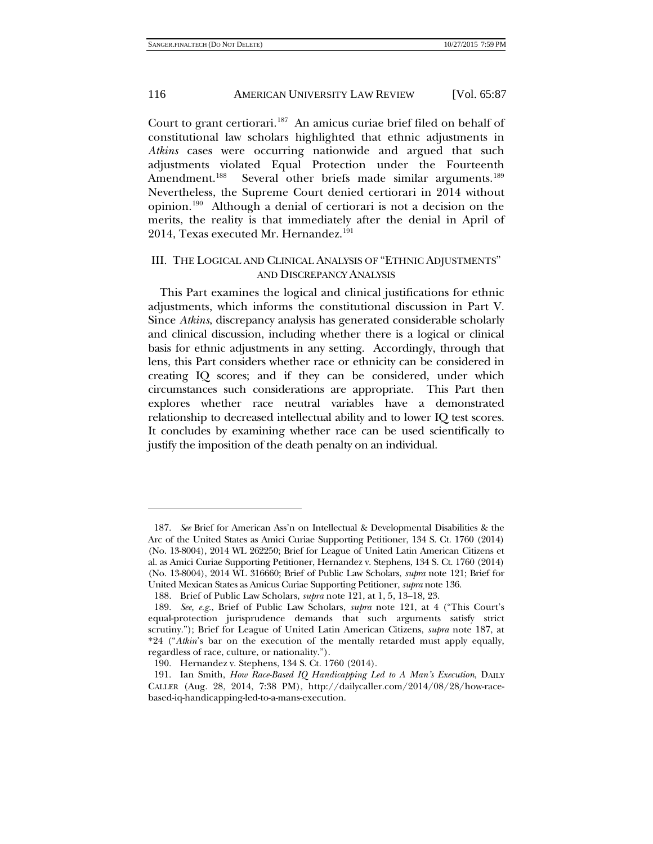<span id="page-29-0"></span>Court to grant certiorari.<sup>[187](#page-29-1)</sup> An amicus curiae brief filed on behalf of constitutional law scholars highlighted that ethnic adjustments in *Atkins* cases were occurring nationwide and argued that such adjustments violated Equal Protection under the Fourteenth Amendment.<sup>188</sup> Several other briefs made similar arguments.<sup>189</sup> Nevertheless, the Supreme Court denied certiorari in 2014 without opinion.[190](#page-29-4) Although a denial of certiorari is not a decision on the merits, the reality is that immediately after the denial in April of 2014, Texas executed Mr. Hernandez.<sup>[191](#page-29-5)</sup>

# III. THE LOGICAL AND CLINICAL ANALYSIS OF "ETHNIC ADJUSTMENTS" AND DISCREPANCY ANALYSIS

This Part examines the logical and clinical justifications for ethnic adjustments, which informs the constitutional discussion in Part V. Since *Atkins*, discrepancy analysis has generated considerable scholarly and clinical discussion, including whether there is a logical or clinical basis for ethnic adjustments in any setting. Accordingly, through that lens, this Part considers whether race or ethnicity can be considered in creating IQ scores; and if they can be considered, under which circumstances such considerations are appropriate. This Part then explores whether race neutral variables have a demonstrated relationship to decreased intellectual ability and to lower IQ test scores. It concludes by examining whether race can be used scientifically to justify the imposition of the death penalty on an individual.

<span id="page-29-1"></span><sup>187.</sup> *See* Brief for American Ass'n on Intellectual & Developmental Disabilities & the Arc of the United States as Amici Curiae Supporting Petitioner, 134 S. Ct. 1760 (2014) (No. 13-8004), 2014 WL 262250; Brief for League of United Latin American Citizens et al. as Amici Curiae Supporting Petitioner, Hernandez v. Stephens, 134 S. Ct. 1760 (2014) (No. 13-8004), 2014 WL 316660; Brief of Public Law Scholars, *supra* note [121;](#page-21-5) Brief for United Mexican States as Amicus Curiae Supporting Petitioner, *supra* not[e 136.](#page-23-10)

<sup>188.</sup> Brief of Public Law Scholars, *supra* note [121,](#page-21-5) at 1, 5, 13–18, 23.

<span id="page-29-3"></span><span id="page-29-2"></span><sup>189.</sup> *See, e.g.*, Brief of Public Law Scholars, *supra* note [121,](#page-21-5) at 4 ("This Court's equal-protection jurisprudence demands that such arguments satisfy strict scrutiny."); Brief for League of United Latin American Citizens, *supra* note [187,](#page-29-0) at \*24 ("*Atkin*'s bar on the execution of the mentally retarded must apply equally, regardless of race, culture, or nationality.").

<sup>190.</sup> Hernandez v. Stephens, 134 S. Ct. 1760 (2014).

<span id="page-29-5"></span><span id="page-29-4"></span><sup>191.</sup> Ian Smith, *How Race-Based IQ Handicapping Led to A Man's Execution*, DAILY CALLER (Aug. 28, 2014, 7:38 PM), http://dailycaller.com/2014/08/28/how-racebased-iq-handicapping-led-to-a-mans-execution.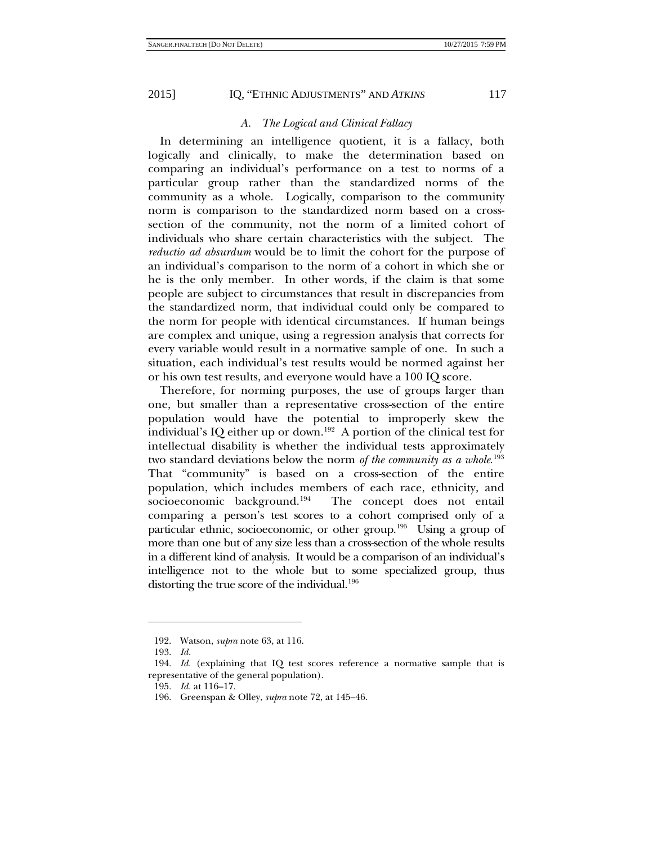# *A. The Logical and Clinical Fallacy*

In determining an intelligence quotient, it is a fallacy, both logically and clinically, to make the determination based on comparing an individual's performance on a test to norms of a particular group rather than the standardized norms of the community as a whole. Logically, comparison to the community norm is comparison to the standardized norm based on a crosssection of the community, not the norm of a limited cohort of individuals who share certain characteristics with the subject. The *reductio ad absurdum* would be to limit the cohort for the purpose of an individual's comparison to the norm of a cohort in which she or he is the only member. In other words, if the claim is that some people are subject to circumstances that result in discrepancies from the standardized norm, that individual could only be compared to the norm for people with identical circumstances. If human beings are complex and unique, using a regression analysis that corrects for every variable would result in a normative sample of one. In such a situation, each individual's test results would be normed against her or his own test results, and everyone would have a 100 IQ score.

Therefore, for norming purposes, the use of groups larger than one, but smaller than a representative cross-section of the entire population would have the potential to improperly skew the individual's IQ either up or down.<sup>[192](#page-30-0)</sup> A portion of the clinical test for intellectual disability is whether the individual tests approximately two standard deviations below the norm *of the community as a whole*. [193](#page-30-1)  That "community" is based on a cross-section of the entire population, which includes members of each race, ethnicity, and socioeconomic background.<sup>[194](#page-30-2)</sup> The concept does not entail comparing a person's test scores to a cohort comprised only of a particular ethnic, socioeconomic, or other group.<sup>[195](#page-30-3)</sup> Using a group of more than one but of any size less than a cross-section of the whole results in a different kind of analysis. It would be a comparison of an individual's intelligence not to the whole but to some specialized group, thus distorting the true score of the individual. $196$ 

<sup>192.</sup> Watson, *supra* note [63,](#page-14-1) at 116.

<sup>193.</sup> *Id.*

<span id="page-30-4"></span><span id="page-30-3"></span><span id="page-30-2"></span><span id="page-30-1"></span><span id="page-30-0"></span><sup>194.</sup> *Id.* (explaining that IQ test scores reference a normative sample that is representative of the general population).

<sup>195.</sup> *Id.* at 116–17.

<sup>196.</sup> Greenspan & Olley, *supra* note [72,](#page-15-10) at 145–46.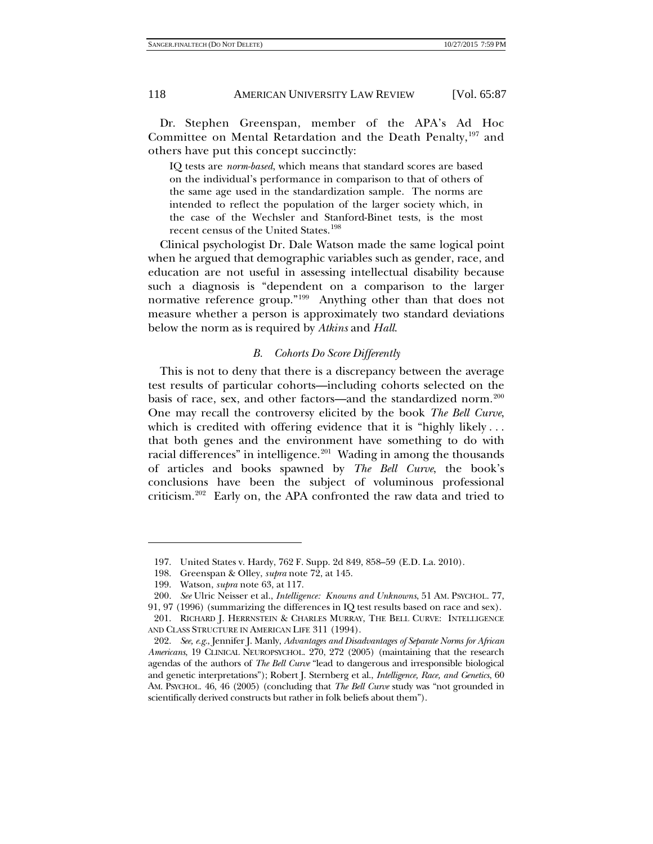Dr. Stephen Greenspan, member of the APA's Ad Hoc Committee on Mental Retardation and the Death Penalty,<sup>[197](#page-31-0)</sup> and others have put this concept succinctly:

IQ tests are *norm-based*, which means that standard scores are based on the individual's performance in comparison to that of others of the same age used in the standardization sample. The norms are intended to reflect the population of the larger society which, in the case of the Wechsler and Stanford-Binet tests, is the most recent census of the United States.[198](#page-31-1)

Clinical psychologist Dr. Dale Watson made the same logical point when he argued that demographic variables such as gender, race, and education are not useful in assessing intellectual disability because such a diagnosis is "dependent on a comparison to the larger normative reference group."[199](#page-31-2) Anything other than that does not measure whether a person is approximately two standard deviations below the norm as is required by *Atkins* and *Hall*.

#### <span id="page-31-8"></span><span id="page-31-6"></span>*B. Cohorts Do Score Differently*

This is not to deny that there is a discrepancy between the average test results of particular cohorts—including cohorts selected on the basis of race, sex, and other factors—and the standardized norm.<sup>200</sup> One may recall the controversy elicited by the book *The Bell Curve*, which is credited with offering evidence that it is "highly likely . . . that both genes and the environment have something to do with racial differences" in intelligence. [201](#page-31-4) Wading in among the thousands of articles and books spawned by *The Bell Curve*, the book's conclusions have been the subject of voluminous professional criticism.<sup>[202](#page-31-5)</sup> Early on, the APA confronted the raw data and tried to

<span id="page-31-7"></span><span id="page-31-0"></span><sup>197.</sup> United States v. Hardy, 762 F. Supp. 2d 849, 858–59 (E.D. La. 2010).

<sup>198.</sup> Greenspan & Olley, *supra* note [72,](#page-15-10) at 145.

<sup>199.</sup> Watson, *supra* note [63,](#page-14-1) at 117.

<sup>200.</sup> *See* Ulric Neisser et al., *Intelligence: Knowns and Unknowns*, 51 AM. PSYCHOL. 77,

<span id="page-31-4"></span><span id="page-31-3"></span><span id="page-31-2"></span><span id="page-31-1"></span><sup>91, 97 (1996) (</sup>summarizing the differences in IQ test results based on race and sex). 201. RICHARD J. HERRNSTEIN & CHARLES MURRAY, THE BELL CURVE: INTELLIGENCE AND CLASS STRUCTURE IN AMERICAN LIFE 311 (1994).

<span id="page-31-5"></span><sup>202.</sup> *See, e.g.*, Jennifer J. Manly, *Advantages and Disadvantages of Separate Norms for African Americans*, 19 CLINICAL NEUROPSYCHOL. 270, 272 (2005) (maintaining that the research agendas of the authors of *The Bell Curve* "lead to dangerous and irresponsible biological and genetic interpretations"); Robert J. Sternberg et al., *Intelligence, Race, and Genetics*, 60 AM. PSYCHOL. 46, 46 (2005) (concluding that *The Bell Curve* study was "not grounded in scientifically derived constructs but rather in folk beliefs about them").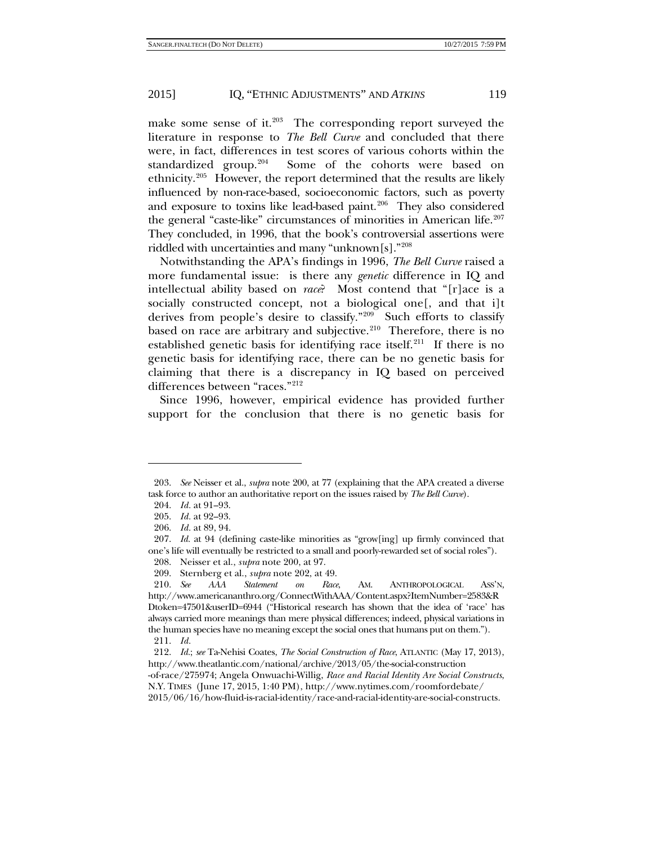make some sense of it.<sup>203</sup> The corresponding report surveyed the literature in response to *The Bell Curve* and concluded that there were, in fact, differences in test scores of various cohorts within the standardized group. $204$  Some of the cohorts were based on ethnicity.<sup>[205](#page-32-2)</sup> However, the report determined that the results are likely influenced by non-race-based, socioeconomic factors, such as poverty and exposure to toxins like lead-based paint.<sup>206</sup> They also considered the general "caste-like" circumstances of minorities in American life.<sup>207</sup> They concluded, in 1996, that the book's controversial assertions were riddled with uncertainties and many "unknown[s].["208](#page-32-5)

Notwithstanding the APA's findings in 1996, *The Bell Curve* raised a more fundamental issue: is there any *genetic* difference in IQ and intellectual ability based on *race*? Most contend that "[r]ace is a socially constructed concept, not a biological one[, and that i]t derives from people's desire to classify."[209](#page-32-6) Such efforts to classify based on race are arbitrary and subjective.<sup>210</sup> Therefore, there is no established genetic basis for identifying race itself.<sup>[211](#page-32-8)</sup> If there is no genetic basis for identifying race, there can be no genetic basis for claiming that there is a discrepancy in IQ based on perceived differences between "races."[212](#page-32-9)

Since 1996, however, empirical evidence has provided further support for the conclusion that there is no genetic basis for

<span id="page-32-1"></span><span id="page-32-0"></span><sup>203.</sup> *See* Neisser et al., *supra* not[e 200,](#page-31-6) at 77 (explaining that the APA created a diverse task force to author an authoritative report on the issues raised by *The Bell Curve*).

<sup>204.</sup> *Id.* at 91–93.

<sup>205.</sup> *Id.* at 92–93.

<sup>206.</sup> *Id.* at 89, 94.

<span id="page-32-4"></span><span id="page-32-3"></span><span id="page-32-2"></span><sup>207.</sup> *Id.* at 94 (defining caste-like minorities as "grow[ing] up firmly convinced that one's life will eventually be restricted to a small and poorly-rewarded set of social roles").

<sup>208.</sup> Neisser et al., *supra* note [200,](#page-31-6) at 97. 209. Sternberg et al., *supra* note [202,](#page-31-7) at 49.

<span id="page-32-7"></span><span id="page-32-6"></span><span id="page-32-5"></span><sup>210.</sup> *See AAA Statement on Race*, AM. ANTHROPOLOGICAL ASS'N, http://www.americananthro.org/ConnectWithAAA/Content.aspx?ItemNumber=2583&R Dtoken=47501&userID=6944 ("Historical research has shown that the idea of 'race' has always carried more meanings than mere physical differences; indeed, physical variations in

<span id="page-32-8"></span>the human species have no meaning except the social ones that humans put on them."). 211. *Id.*

<span id="page-32-9"></span><sup>212.</sup> *Id.*; *see* Ta-Nehisi Coates, *The Social Construction of Race*, ATLANTIC (May 17, 2013), http://www.theatlantic.com/national/archive/2013/05/the-social-construction

<sup>-</sup>of-race/275974; Angela Onwuachi-Willig, *Race and Racial Identity Are Social Constructs*, N.Y. TIMES (June 17, 2015, 1:40 PM), http://www.nytimes.com/roomfordebate/

<sup>2015/06/16/</sup>how-fluid-is-racial-identity/race-and-racial-identity-are-social-constructs.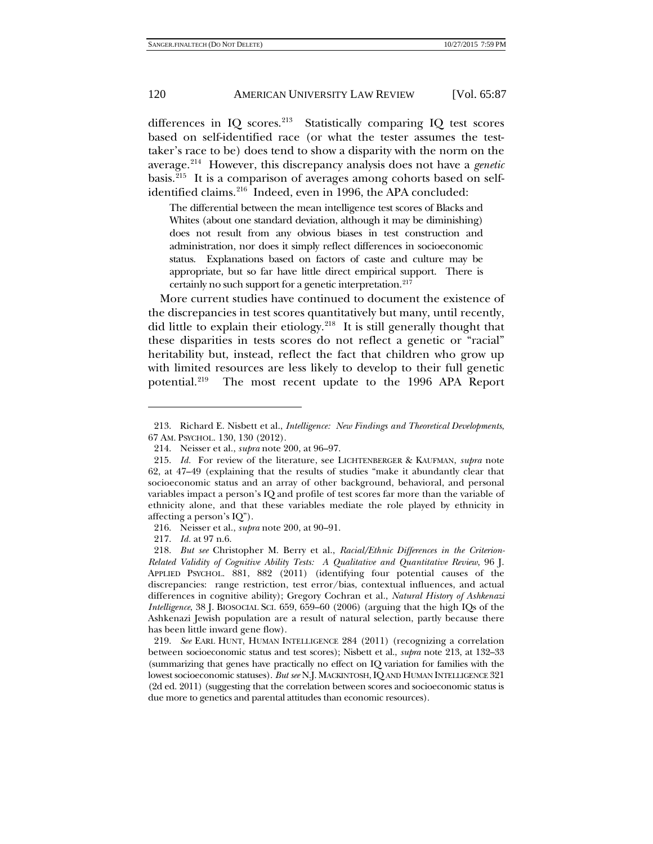<span id="page-33-0"></span>differences in IQ scores.<sup>[213](#page-33-1)</sup> Statistically comparing IQ test scores based on self-identified race (or what the tester assumes the testtaker's race to be) does tend to show a disparity with the norm on the average.[214](#page-33-2) However, this discrepancy analysis does not have a *genetic* basis.[215](#page-33-3) It is a comparison of averages among cohorts based on selfidentified claims.<sup>216</sup> Indeed, even in 1996, the APA concluded:

The differential between the mean intelligence test scores of Blacks and Whites (about one standard deviation, although it may be diminishing) does not result from any obvious biases in test construction and administration, nor does it simply reflect differences in socioeconomic status. Explanations based on factors of caste and culture may be appropriate, but so far have little direct empirical support. There is certainly no such support for a genetic interpretation.<sup>217</sup>

More current studies have continued to document the existence of the discrepancies in test scores quantitatively but many, until recently, did little to explain their etiology.<sup>218</sup> It is still generally thought that these disparities in tests scores do not reflect a genetic or "racial" heritability but, instead, reflect the fact that children who grow up with limited resources are less likely to develop to their full genetic potential[.219](#page-33-7) The most recent update to the 1996 APA Report

217. *Id.* at 97 n.6.

1

<span id="page-33-1"></span><sup>213.</sup> Richard E. Nisbett et al., *Intelligence: New Findings and Theoretical Developments*, 67 AM. PSYCHOL. 130, 130 (2012).

<sup>214.</sup> Neisser et al., *supra* note [200,](#page-31-6) at 96–97.

<span id="page-33-3"></span><span id="page-33-2"></span><sup>215.</sup> *Id.* For review of the literature, see LICHTENBERGER & KAUFMAN, *supra* note [62,](#page-14-0) at 47–49 (explaining that the results of studies "make it abundantly clear that socioeconomic status and an array of other background, behavioral, and personal variables impact a person's IQ and profile of test scores far more than the variable of ethnicity alone, and that these variables mediate the role played by ethnicity in affecting a person's IQ").

<sup>216.</sup> Neisser et al., *supra* note [200,](#page-31-6) at 90–91.

<span id="page-33-6"></span><span id="page-33-5"></span><span id="page-33-4"></span><sup>218.</sup> *But see* Christopher M. Berry et al., *Racial/Ethnic Differences in the Criterion-Related Validity of Cognitive Ability Tests: A Qualitative and Quantitative Review*, 96 J. APPLIED PSYCHOL. 881, 882 (2011) (identifying four potential causes of the discrepancies: range restriction, test error/bias, contextual influences, and actual differences in cognitive ability); Gregory Cochran et al., *Natural History of Ashkenazi Intelligence*, 38 J. BIOSOCIAL SCI. 659, 659–60 (2006) (arguing that the high IQs of the Ashkenazi Jewish population are a result of natural selection, partly because there has been little inward gene flow).

<span id="page-33-7"></span><sup>219.</sup> *See* EARL HUNT, HUMAN INTELLIGENCE 284 (2011) (recognizing a correlation between socioeconomic status and test scores); Nisbett et al., *supra* note [213,](#page-33-0) at 132–33 (summarizing that genes have practically no effect on IQ variation for families with the lowest socioeconomic statuses). *But see* N.J. MACKINTOSH,IQ AND HUMAN INTELLIGENCE 321 (2d ed. 2011) (suggesting that the correlation between scores and socioeconomic status is due more to genetics and parental attitudes than economic resources).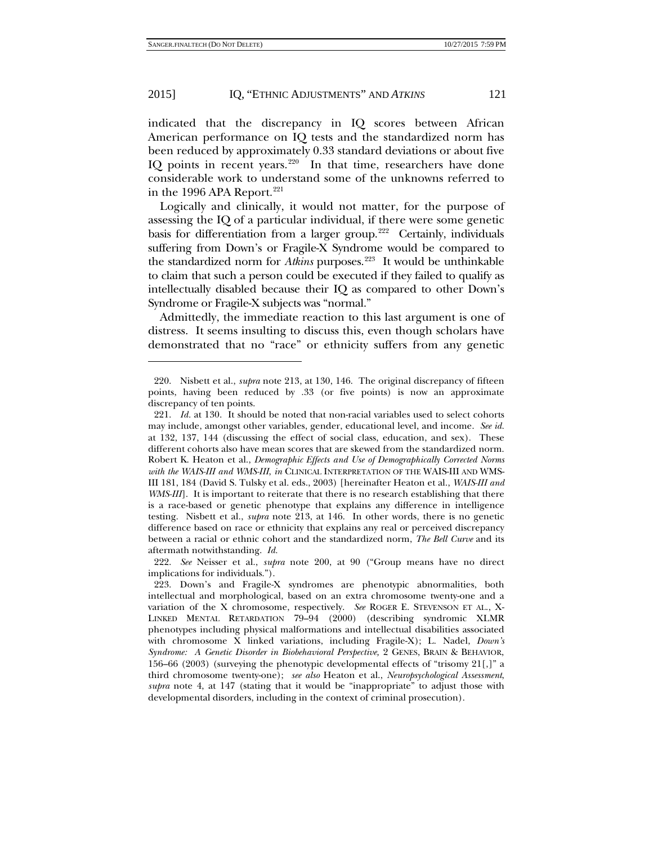-

#### 2015] IQ, "ETHNIC ADJUSTMENTS" AND *ATKINS* 121

indicated that the discrepancy in IQ scores between African American performance on IQ tests and the standardized norm has been reduced by approximately 0.33 standard deviations or about five IQ points in recent years.<sup>[220](#page-34-0)</sup> In that time, researchers have done considerable work to understand some of the unknowns referred to in the 1996 APA Report. $221$ 

<span id="page-34-4"></span>Logically and clinically, it would not matter, for the purpose of assessing the IQ of a particular individual, if there were some genetic basis for differentiation from a larger group.<sup>222</sup> Certainly, individuals suffering from Down's or Fragile-X Syndrome would be compared to the standardized norm for *Atkins* purposes.<sup>223</sup> It would be unthinkable to claim that such a person could be executed if they failed to qualify as intellectually disabled because their IQ as compared to other Down's Syndrome or Fragile-X subjects was "normal."

Admittedly, the immediate reaction to this last argument is one of distress. It seems insulting to discuss this, even though scholars have demonstrated that no "race" or ethnicity suffers from any genetic

<span id="page-34-0"></span><sup>220.</sup> Nisbett et al., *supra* note [213,](#page-33-0) at 130, 146. The original discrepancy of fifteen points, having been reduced by .33 (or five points) is now an approximate discrepancy of ten points.

<span id="page-34-1"></span><sup>221.</sup> *Id.* at 130. It should be noted that non-racial variables used to select cohorts may include, amongst other variables, gender, educational level, and income. *See id.* at 132, 137, 144 (discussing the effect of social class, education, and sex). These different cohorts also have mean scores that are skewed from the standardized norm. Robert K. Heaton et al., *Demographic Effects and Use of Demographically Corrected Norms with the WAIS-III and WMS-III*, *in* CLINICAL INTERPRETATION OF THE WAIS-III AND WMS-III 181, 184 (David S. Tulsky et al. eds., 2003) [hereinafter Heaton et al., *WAIS-III and WMS-III*. It is important to reiterate that there is no research establishing that there is a race-based or genetic phenotype that explains any difference in intelligence testing. Nisbett et al., *supra* note [213,](#page-33-0) at 146. In other words, there is no genetic difference based on race or ethnicity that explains any real or perceived discrepancy between a racial or ethnic cohort and the standardized norm, *The Bell Curve* and its aftermath notwithstanding. *Id.*

<span id="page-34-2"></span><sup>222.</sup> *See* Neisser et al., *supra* note [200,](#page-31-6) at 90 ("Group means have no direct implications for individuals.").

<span id="page-34-3"></span><sup>223.</sup> Down's and Fragile-X syndromes are phenotypic abnormalities, both intellectual and morphological, based on an extra chromosome twenty-one and a variation of the X chromosome, respectively. *See* ROGER E. STEVENSON ET AL., X-LINKED MENTAL RETARDATION 79–94 (2000) (describing syndromic XLMR phenotypes including physical malformations and intellectual disabilities associated with chromosome X linked variations, including Fragile-X); L. Nadel, *Down's Syndrome: A Genetic Disorder in Biobehavioral Perspective,* 2 GENES, BRAIN & BEHAVIOR, 156–66 (2003) (surveying the phenotypic developmental effects of "trisomy 21[,]" a third chromosome twenty-one); *see also* Heaton et al., *Neuropsychological Assessment*, *supra* note [4,](#page-3-6) at 147 (stating that it would be "inappropriate" to adjust those with developmental disorders, including in the context of criminal prosecution).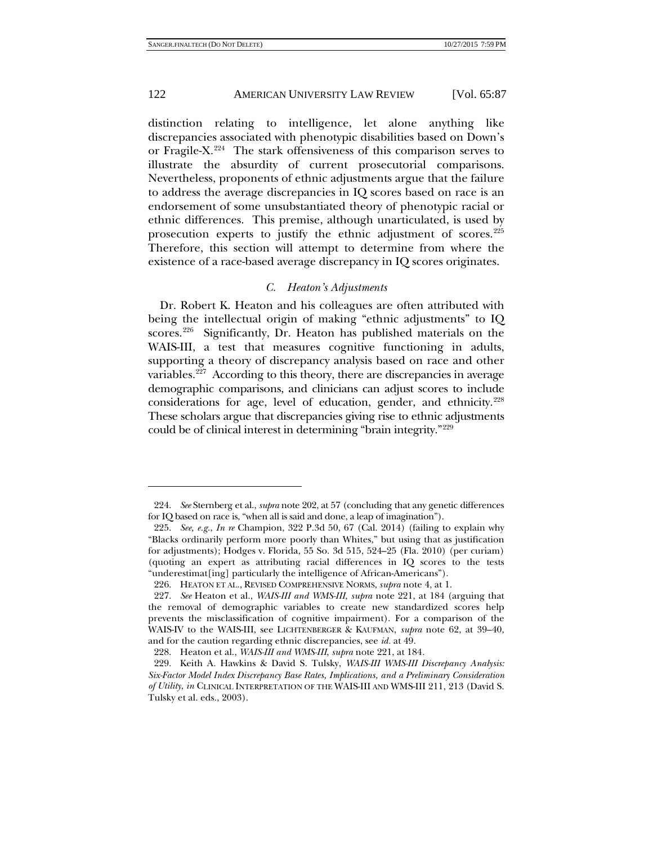1

# 122 AMERICAN UNIVERSITY LAW REVIEW [Vol. 65:87

distinction relating to intelligence, let alone anything like discrepancies associated with phenotypic disabilities based on Down's or Fragile-X<sup>224</sup> The stark offensiveness of this comparison serves to illustrate the absurdity of current prosecutorial comparisons. Nevertheless, proponents of ethnic adjustments argue that the failure to address the average discrepancies in IQ scores based on race is an endorsement of some unsubstantiated theory of phenotypic racial or ethnic differences. This premise, although unarticulated, is used by prosecution experts to justify the ethnic adjustment of scores.<sup>225</sup> Therefore, this section will attempt to determine from where the existence of a race-based average discrepancy in IQ scores originates.

# *C. Heaton's Adjustments*

Dr. Robert K. Heaton and his colleagues are often attributed with being the intellectual origin of making "ethnic adjustments" to IQ scores.<sup>[226](#page-35-2)</sup> Significantly, Dr. Heaton has published materials on the WAIS-III, a test that measures cognitive functioning in adults, supporting a theory of discrepancy analysis based on race and other variables.<sup>227</sup> According to this theory, there are discrepancies in average demographic comparisons, and clinicians can adjust scores to include considerations for age, level of education, gender, and ethnicity.<sup>228</sup> These scholars argue that discrepancies giving rise to ethnic adjustments could be of clinical interest in determining "brain integrity."[229](#page-35-5)

<span id="page-35-0"></span><sup>224.</sup> *See* Sternberg et al., *supra* not[e 202,](#page-31-7) at 57 (concluding that any genetic differences for IQ based on race is, "when all is said and done, a leap of imagination").

<span id="page-35-1"></span><sup>225.</sup> *See, e.g.*, *In re* Champion, 322 P.3d 50, 67 (Cal. 2014) (failing to explain why "Blacks ordinarily perform more poorly than Whites," but using that as justification for adjustments); Hodges v. Florida, 55 So. 3d 515, 524–25 (Fla. 2010) (per curiam) (quoting an expert as attributing racial differences in IQ scores to the tests "underestimat[ing] particularly the intelligence of African-Americans").

<sup>226.</sup> HEATON ET AL., REVISED COMPREHENSIVE NORMS, *supra* note [4,](#page-3-6) at 1.

<span id="page-35-3"></span><span id="page-35-2"></span><sup>227.</sup> *See* Heaton et al., *WAIS-III and WMS-III*, *supra* note [221,](#page-34-4) at 184 (arguing that the removal of demographic variables to create new standardized scores help prevents the misclassification of cognitive impairment). For a comparison of the WAIS-IV to the WAIS-III, see LICHTENBERGER & KAUFMAN, *supra* note [62,](#page-14-0) at 39–40, and for the caution regarding ethnic discrepancies, see *id.* at 49.

<sup>228.</sup> Heaton et al., *WAIS-III and WMS-III*, *supra* not[e 221,](#page-34-4) at 184*.*

<span id="page-35-5"></span><span id="page-35-4"></span><sup>229.</sup> Keith A. Hawkins & David S. Tulsky, *WAIS-III WMS-III Discrepancy Analysis: Six-Factor Model Index Discrepancy Base Rates, Implications, and a Preliminary Consideration of Utility*, *in* CLINICAL INTERPRETATION OF THE WAIS-III AND WMS-III 211, 213 (David S. Tulsky et al. eds., 2003).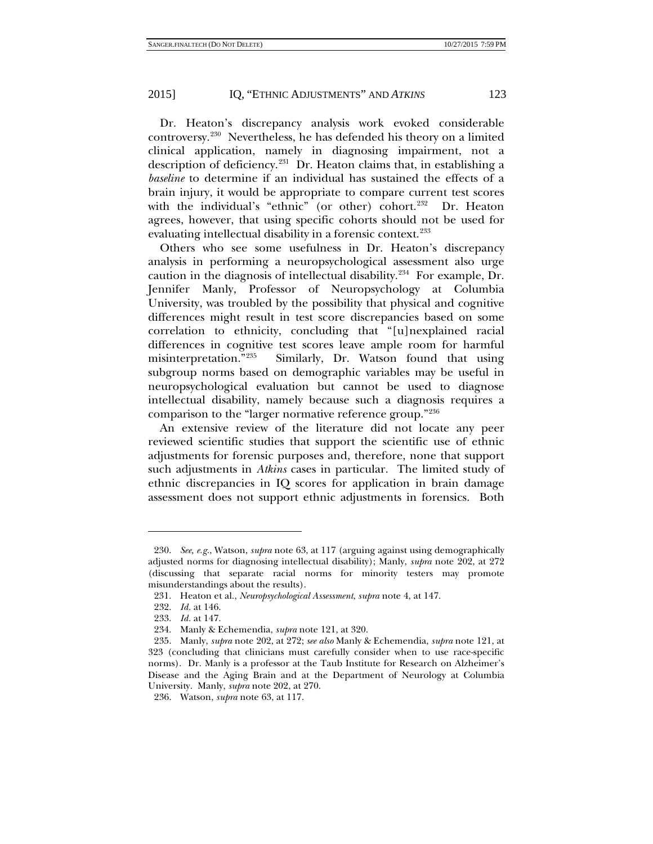Dr. Heaton's discrepancy analysis work evoked considerable controversy.[230](#page-36-0) Nevertheless, he has defended his theory on a limited clinical application, namely in diagnosing impairment, not a description of deficiency.[231](#page-36-1) Dr. Heaton claims that, in establishing a *baseline* to determine if an individual has sustained the effects of a brain injury, it would be appropriate to compare current test scores with the individual's "ethnic" (or other) cohort.<sup>[232](#page-36-2)</sup> Dr. Heaton agrees, however, that using specific cohorts should not be used for evaluating intellectual disability in a forensic context.<sup>[233](#page-36-3)</sup>

Others who see some usefulness in Dr. Heaton's discrepancy analysis in performing a neuropsychological assessment also urge caution in the diagnosis of intellectual disability. $234$  For example, Dr. Jennifer Manly, Professor of Neuropsychology at Columbia University, was troubled by the possibility that physical and cognitive differences might result in test score discrepancies based on some correlation to ethnicity, concluding that "[u]nexplained racial differences in cognitive test scores leave ample room for harmful misinterpretation."[235](#page-36-5) Similarly, Dr. Watson found that using subgroup norms based on demographic variables may be useful in neuropsychological evaluation but cannot be used to diagnose intellectual disability, namely because such a diagnosis requires a comparison to the "larger normative reference group."[236](#page-36-6)

An extensive review of the literature did not locate any peer reviewed scientific studies that support the scientific use of ethnic adjustments for forensic purposes and, therefore, none that support such adjustments in *Atkins* cases in particular. The limited study of ethnic discrepancies in IQ scores for application in brain damage assessment does not support ethnic adjustments in forensics. Both

1

<span id="page-36-7"></span>

<span id="page-36-0"></span><sup>230.</sup> *See, e.g.*, Watson, *supra* not[e 63,](#page-14-1) at 117 (arguing against using demographically adjusted norms for diagnosing intellectual disability); Manly, *supra* note [202,](#page-31-7) at 272 (discussing that separate racial norms for minority testers may promote misunderstandings about the results).

<span id="page-36-1"></span><sup>231.</sup> Heaton et al., *Neuropsychological Assessment*, *supra* not[e 4,](#page-3-6) at 147.

<sup>232.</sup> *Id.* at 146.

<sup>233.</sup> *Id.* at 147.

<sup>234.</sup> Manly & Echemendia, *supra* note [121,](#page-21-5) at 320.

<span id="page-36-5"></span><span id="page-36-4"></span><span id="page-36-3"></span><span id="page-36-2"></span><sup>235.</sup> Manly, *supra* note [202,](#page-31-7) at 272; *see also* Manly & Echemendia, *supra* note [121,](#page-21-5) at 323 (concluding that clinicians must carefully consider when to use race-specific norms). Dr. Manly is a professor at the Taub Institute for Research on Alzheimer's Disease and the Aging Brain and at the Department of Neurology at Columbia University. Manly, *supra* not[e 202,](#page-31-7) at 270.

<span id="page-36-6"></span><sup>236.</sup> Watson, *supra* note [63,](#page-14-1) at 117.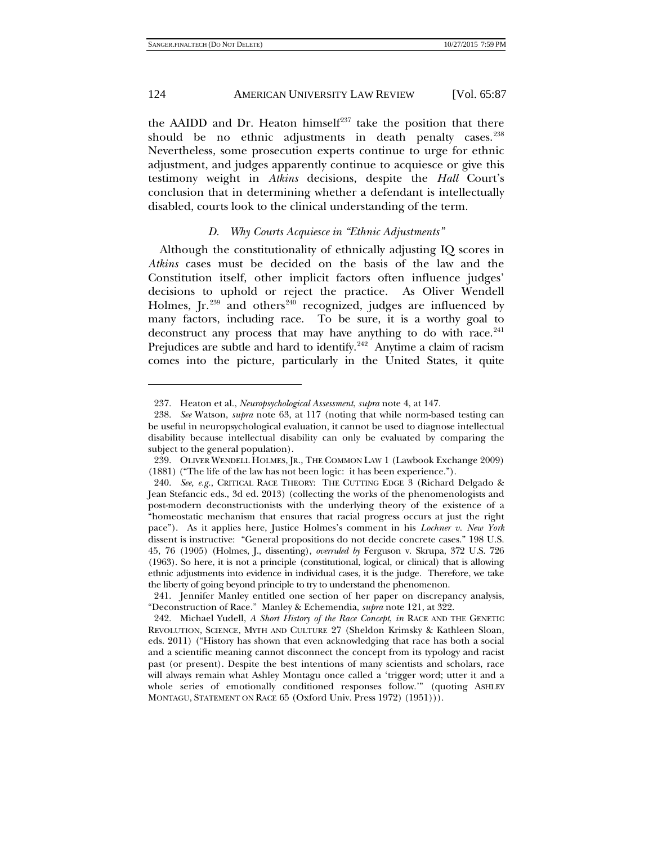-

### 124 **AMERICAN UNIVERSITY LAW REVIEW** [Vol. 65:87]

the AAIDD and Dr. Heaton himself $237$  take the position that there should be no ethnic adjustments in death penalty cases.<sup>238</sup> Nevertheless, some prosecution experts continue to urge for ethnic adjustment, and judges apparently continue to acquiesce or give this testimony weight in *Atkins* decisions, despite the *Hall* Court's conclusion that in determining whether a defendant is intellectually disabled, courts look to the clinical understanding of the term.

#### <span id="page-37-6"></span>*D. Why Courts Acquiesce in "Ethnic Adjustments"*

Although the constitutionality of ethnically adjusting IQ scores in *Atkins* cases must be decided on the basis of the law and the Constitution itself, other implicit factors often influence judges' decisions to uphold or reject the practice. As Oliver Wendell Holmes,  $Ir.^{239}$  $Ir.^{239}$  $Ir.^{239}$  and others<sup>[240](#page-37-3)</sup> recognized, judges are influenced by many factors, including race. To be sure, it is a worthy goal to deconstruct any process that may have anything to do with race. $241$ Prejudices are subtle and hard to identify.<sup>[242](#page-37-5)</sup> Anytime a claim of racism comes into the picture, particularly in the United States, it quite

<sup>237.</sup> Heaton et al., *Neuropsychological Assessment*, *supra* not[e 4,](#page-3-6) at 147.

<span id="page-37-1"></span><span id="page-37-0"></span><sup>238.</sup> *See* Watson, *supra* note [63,](#page-14-1) at 117 (noting that while norm-based testing can be useful in neuropsychological evaluation, it cannot be used to diagnose intellectual disability because intellectual disability can only be evaluated by comparing the subject to the general population).

<span id="page-37-2"></span><sup>239.</sup> OLIVER WENDELL HOLMES, JR., THE COMMON LAW 1 (Lawbook Exchange 2009) (1881) ("The life of the law has not been logic: it has been experience.").

<span id="page-37-3"></span><sup>240.</sup> *See, e.g.*, CRITICAL RACE THEORY: THE CUTTING EDGE 3 (Richard Delgado & Jean Stefancic eds., 3d ed. 2013) (collecting the works of the phenomenologists and post-modern deconstructionists with the underlying theory of the existence of a "homeostatic mechanism that ensures that racial progress occurs at just the right pace"). As it applies here, Justice Holmes's comment in his *Lochner v. New York* dissent is instructive: "General propositions do not decide concrete cases." 198 U.S. 45, 76 (1905) (Holmes, J., dissenting), *overruled by* Ferguson v. Skrupa, 372 U.S. 726 (1963). So here, it is not a principle (constitutional, logical, or clinical) that is allowing ethnic adjustments into evidence in individual cases, it is the judge. Therefore, we take the liberty of going beyond principle to try to understand the phenomenon.

<span id="page-37-4"></span><sup>241.</sup> Jennifer Manley entitled one section of her paper on discrepancy analysis, "Deconstruction of Race." Manley & Echemendia, *supra* not[e 121,](#page-21-5) at 322.

<span id="page-37-5"></span><sup>242.</sup> Michael Yudell, *A Short History of the Race Concept*, *in* RACE AND THE GENETIC REVOLUTION, SCIENCE, MYTH AND CULTURE 27 (Sheldon Krimsky & Kathleen Sloan, eds. 2011) ("History has shown that even acknowledging that race has both a social and a scientific meaning cannot disconnect the concept from its typology and racist past (or present). Despite the best intentions of many scientists and scholars, race will always remain what Ashley Montagu once called a 'trigger word; utter it and a whole series of emotionally conditioned responses follow.'" (quoting ASHLEY MONTAGU, STATEMENT ON RACE 65 (Oxford Univ. Press 1972) (1951))).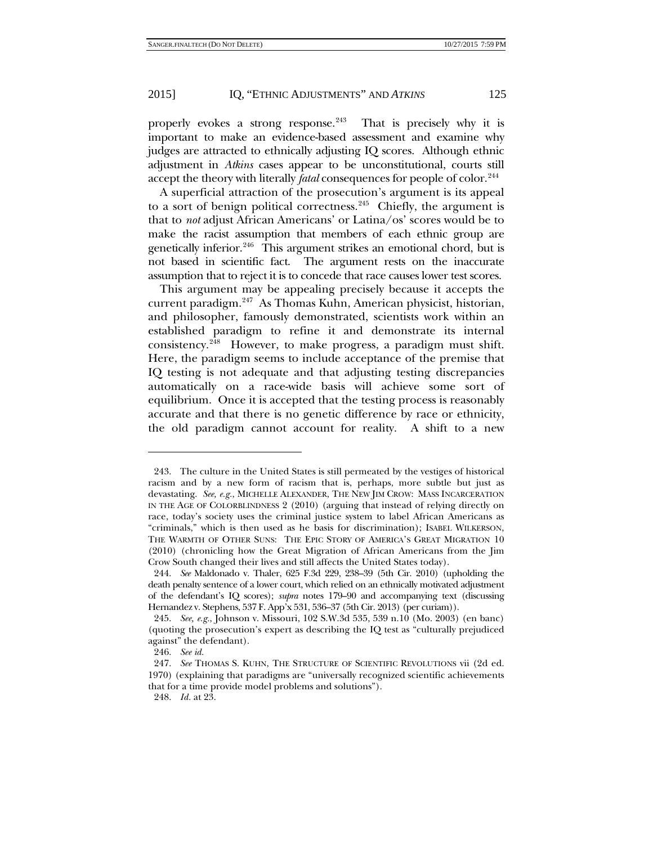properly evokes a strong response.<sup>243</sup> That is precisely why it is important to make an evidence-based assessment and examine why judges are attracted to ethnically adjusting IQ scores. Although ethnic adjustment in *Atkins* cases appear to be unconstitutional, courts still accept the theory with literally *fatal* consequences for people of color.<sup>[244](#page-38-1)</sup>

A superficial attraction of the prosecution's argument is its appeal to a sort of benign political correctness.<sup>[245](#page-38-2)</sup> Chiefly, the argument is that to *not* adjust African Americans' or Latina/os' scores would be to make the racist assumption that members of each ethnic group are genetically inferior.<sup>246</sup> This argument strikes an emotional chord, but is not based in scientific fact. The argument rests on the inaccurate assumption that to reject it is to concede that race causes lower test scores.

This argument may be appealing precisely because it accepts the current paradigm.[247](#page-38-4) As Thomas Kuhn, American physicist, historian, and philosopher, famously demonstrated, scientists work within an established paradigm to refine it and demonstrate its internal consistency[.248](#page-38-5) However, to make progress, a paradigm must shift. Here, the paradigm seems to include acceptance of the premise that IQ testing is not adequate and that adjusting testing discrepancies automatically on a race-wide basis will achieve some sort of equilibrium. Once it is accepted that the testing process is reasonably accurate and that there is no genetic difference by race or ethnicity, the old paradigm cannot account for reality. A shift to a new

<span id="page-38-6"></span>

<span id="page-38-0"></span><sup>243.</sup> The culture in the United States is still permeated by the vestiges of historical racism and by a new form of racism that is, perhaps, more subtle but just as devastating. *See, e.g.*, MICHELLE ALEXANDER, THE NEW JIM CROW: MASS INCARCERATION IN THE AGE OF COLORBLINDNESS 2 (2010) (arguing that instead of relying directly on race, today's society uses the criminal justice system to label African Americans as "criminals," which is then used as he basis for discrimination); ISABEL WILKERSON, THE WARMTH OF OTHER SUNS: THE EPIC STORY OF AMERICA'S GREAT MIGRATION 10 (2010) (chronicling how the Great Migration of African Americans from the Jim Crow South changed their lives and still affects the United States today).

<span id="page-38-1"></span><sup>244.</sup> *See* Maldonado v. Thaler, 625 F.3d 229, 238–39 (5th Cir. 2010) (upholding the death penalty sentence of a lower court, which relied on an ethnically motivated adjustment of the defendant's IQ scores); *supra* notes [179–](#page-28-10)90 and accompanying text (discussing Hernandez v. Stephens, 537 F. App'x 531, 536–37 (5th Cir. 2013) (per curiam)).

<span id="page-38-2"></span><sup>245.</sup> *See, e.g.*, Johnson v. Missouri, 102 S.W.3d 535, 539 n.10 (Mo. 2003) (en banc) (quoting the prosecution's expert as describing the IQ test as "culturally prejudiced against" the defendant).

<sup>246.</sup> *See id.*

<span id="page-38-5"></span><span id="page-38-4"></span><span id="page-38-3"></span><sup>247.</sup> *See* THOMAS S. KUHN, THE STRUCTURE OF SCIENTIFIC REVOLUTIONS vii (2d ed. 1970) (explaining that paradigms are "universally recognized scientific achievements that for a time provide model problems and solutions").

<sup>248.</sup> *Id.* at 23.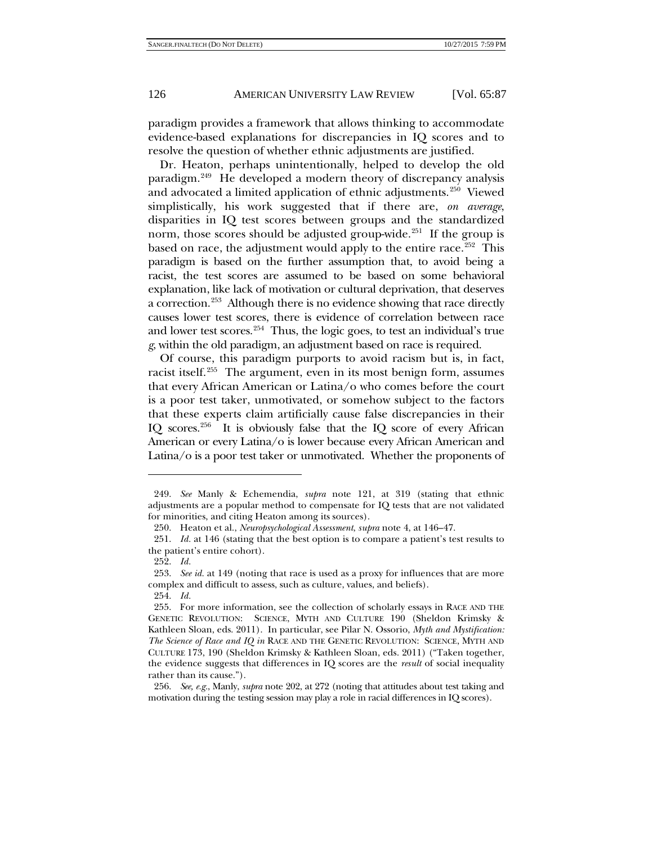paradigm provides a framework that allows thinking to accommodate evidence-based explanations for discrepancies in IQ scores and to resolve the question of whether ethnic adjustments are justified.

Dr. Heaton, perhaps unintentionally, helped to develop the old paradigm.[249](#page-39-0) He developed a modern theory of discrepancy analysis and advocated a limited application of ethnic adjustments.<sup>[250](#page-39-1)</sup> Viewed simplistically, his work suggested that if there are, *on average*, disparities in IQ test scores between groups and the standardized norm, those scores should be adjusted group-wide.<sup>[251](#page-39-2)</sup> If the group is based on race, the adjustment would apply to the entire race.<sup>252</sup> This paradigm is based on the further assumption that, to avoid being a racist, the test scores are assumed to be based on some behavioral explanation, like lack of motivation or cultural deprivation, that deserves a correction.<sup>253</sup> Although there is no evidence showing that race directly causes lower test scores, there is evidence of correlation between race and lower test scores. $254$  Thus, the logic goes, to test an individual's true *g*, within the old paradigm, an adjustment based on race is required.

<span id="page-39-8"></span>Of course, this paradigm purports to avoid racism but is, in fact, racist itself.[255](#page-39-6) The argument, even in its most benign form, assumes that every African American or Latina/o who comes before the court is a poor test taker, unmotivated, or somehow subject to the factors that these experts claim artificially cause false discrepancies in their IQ scores.<sup>[256](#page-39-7)</sup> It is obviously false that the IQ score of every African American or every Latina/o is lower because every African American and Latina/o is a poor test taker or unmotivated. Whether the proponents of

<span id="page-39-0"></span><sup>249.</sup> *See* Manly & Echemendia, *supra* note [121,](#page-21-5) at 319 (stating that ethnic adjustments are a popular method to compensate for IQ tests that are not validated for minorities, and citing Heaton among its sources).

<sup>250.</sup> Heaton et al., *Neuropsychological Assessment*, *supra* not[e 4,](#page-3-6) at 146–47.

<span id="page-39-2"></span><span id="page-39-1"></span><sup>251.</sup> *Id.* at 146 (stating that the best option is to compare a patient's test results to the patient's entire cohort).

<sup>252.</sup> *Id.*

<span id="page-39-4"></span><span id="page-39-3"></span><sup>253.</sup> *See id.* at 149 (noting that race is used as a proxy for influences that are more complex and difficult to assess, such as culture, values, and beliefs).

<sup>254.</sup> *Id.*

<span id="page-39-6"></span><span id="page-39-5"></span><sup>255.</sup> For more information, see the collection of scholarly essays in RACE AND THE GENETIC REVOLUTION: SCIENCE, MYTH AND CULTURE 190 (Sheldon Krimsky & Kathleen Sloan, eds. 2011). In particular, see Pilar N. Ossorio, *Myth and Mystification: The Science of Race and IQ in* RACE AND THE GENETIC REVOLUTION: SCIENCE, MYTH AND CULTURE 173, 190 (Sheldon Krimsky & Kathleen Sloan, eds. 2011) ("Taken together, the evidence suggests that differences in IQ scores are the *result* of social inequality rather than its cause.").

<span id="page-39-7"></span><sup>256.</sup> *See, e.g.*, Manly, *supra* note [202,](#page-31-7) at 272 (noting that attitudes about test taking and motivation during the testing session may play a role in racial differences in IQ scores).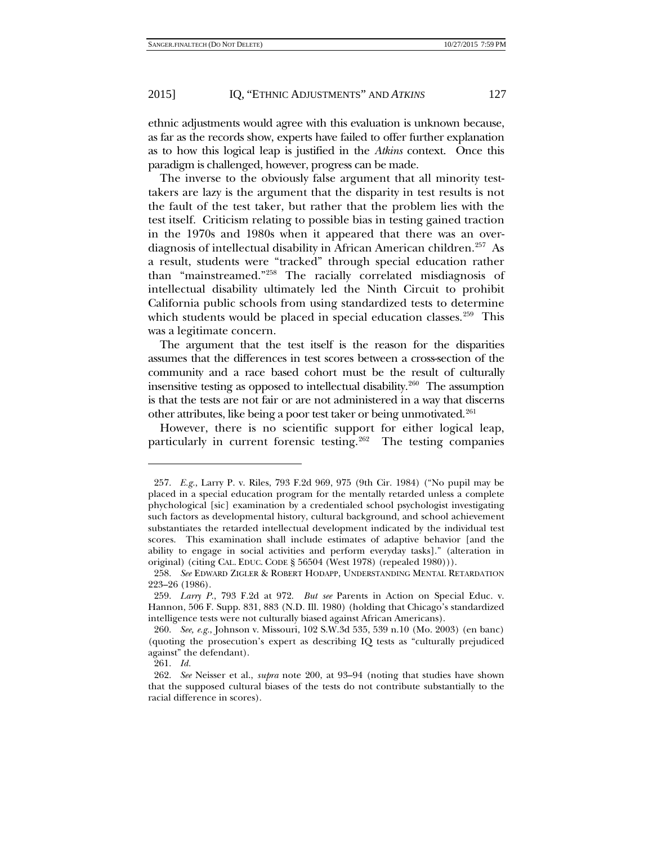ethnic adjustments would agree with this evaluation is unknown because, as far as the records show, experts have failed to offer further explanation as to how this logical leap is justified in the *Atkins* context. Once this paradigm is challenged, however, progress can be made.

The inverse to the obviously false argument that all minority testtakers are lazy is the argument that the disparity in test results is not the fault of the test taker, but rather that the problem lies with the test itself. Criticism relating to possible bias in testing gained traction in the 1970s and 1980s when it appeared that there was an overdiagnosis of intellectual disability in African American children.<sup>257</sup> As a result, students were "tracked" through special education rather than "mainstreamed."[258](#page-40-1) The racially correlated misdiagnosis of intellectual disability ultimately led the Ninth Circuit to prohibit California public schools from using standardized tests to determine which students would be placed in special education classes.<sup>[259](#page-40-2)</sup> This was a legitimate concern.

The argument that the test itself is the reason for the disparities assumes that the differences in test scores between a cross-section of the community and a race based cohort must be the result of culturally insensitive testing as opposed to intellectual disability.<sup>[260](#page-40-3)</sup> The assumption is that the tests are not fair or are not administered in a way that discerns other attributes, like being a poor test taker or being unmotivated.[261](#page-40-4)

However, there is no scientific support for either logical leap, particularly in current forensic testing.<sup>262</sup> The testing companies

261. *Id.*

<span id="page-40-0"></span><sup>257.</sup> *E.g.*, Larry P. v. Riles, 793 F.2d 969, 975 (9th Cir. 1984) ("No pupil may be placed in a special education program for the mentally retarded unless a complete phychological [sic] examination by a credentialed school psychologist investigating such factors as developmental history, cultural background, and school achievement substantiates the retarded intellectual development indicated by the individual test scores. This examination shall include estimates of adaptive behavior [and the ability to engage in social activities and perform everyday tasks]." (alteration in original) (citing CAL. EDUC. CODE § 56504 (West 1978) (repealed 1980))).

<span id="page-40-1"></span><sup>258.</sup> *See* EDWARD ZIGLER & ROBERT HODAPP, UNDERSTANDING MENTAL RETARDATION 223–26 (1986).

<span id="page-40-2"></span><sup>259.</sup> *Larry P.*, 793 F.2d at 972. *But see* Parents in Action on Special Educ. v. Hannon, 506 F. Supp. 831, 883 (N.D. Ill. 1980) (holding that Chicago's standardized intelligence tests were not culturally biased against African Americans).

<span id="page-40-3"></span><sup>260.</sup> *See, e.g.*, Johnson v. Missouri, 102 S.W.3d 535, 539 n.10 (Mo. 2003) (en banc) (quoting the prosecution's expert as describing IQ tests as "culturally prejudiced against" the defendant).

<span id="page-40-5"></span><span id="page-40-4"></span><sup>262.</sup> *See* Neisser et al., *supra* note [200,](#page-31-6) at 93–94 (noting that studies have shown that the supposed cultural biases of the tests do not contribute substantially to the racial difference in scores).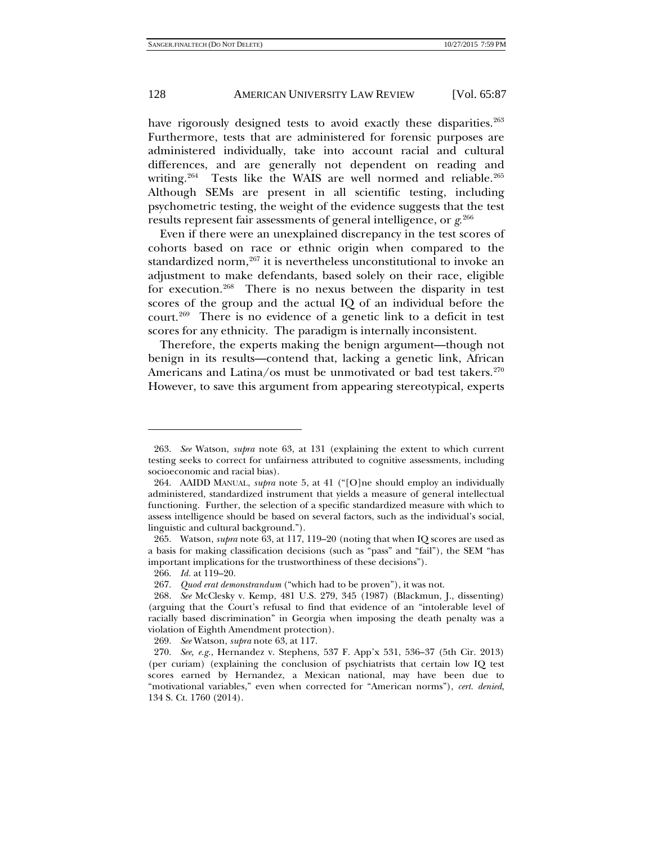have rigorously designed tests to avoid exactly these disparities.<sup>263</sup> Furthermore, tests that are administered for forensic purposes are administered individually, take into account racial and cultural differences, and are generally not dependent on reading and writing.<sup>264</sup> Tests like the WAIS are well normed and reliable.<sup>265</sup> Although SEMs are present in all scientific testing, including psychometric testing, the weight of the evidence suggests that the test results represent fair assessments of general intelligence, or *g*. [266](#page-41-3)

Even if there were an unexplained discrepancy in the test scores of cohorts based on race or ethnic origin when compared to the standardized norm, $267$  it is nevertheless unconstitutional to invoke an adjustment to make defendants, based solely on their race, eligible for execution.[268](#page-41-5) There is no nexus between the disparity in test scores of the group and the actual IQ of an individual before the court.<sup>269</sup> There is no evidence of a genetic link to a deficit in test scores for any ethnicity. The paradigm is internally inconsistent.

Therefore, the experts making the benign argument—though not benign in its results—contend that, lacking a genetic link, African Americans and Latina/os must be unmotivated or bad test takers.<sup>270</sup> However, to save this argument from appearing stereotypical, experts

<span id="page-41-0"></span><sup>263.</sup> *See* Watson, *supra* note [63,](#page-14-1) at 131 (explaining the extent to which current testing seeks to correct for unfairness attributed to cognitive assessments, including socioeconomic and racial bias).

<span id="page-41-1"></span><sup>264.</sup> AAIDD MANUAL, *supra* note [5,](#page-3-5) at 41 ("[O]ne should employ an individually administered, standardized instrument that yields a measure of general intellectual functioning. Further, the selection of a specific standardized measure with which to assess intelligence should be based on several factors, such as the individual's social, linguistic and cultural background.").

<span id="page-41-2"></span><sup>265.</sup> Watson, *supra* note [63,](#page-14-1) at 117, 119–20 (noting that when IQ scores are used as a basis for making classification decisions (such as "pass" and "fail"), the SEM "has important implications for the trustworthiness of these decisions").

<sup>266.</sup> *Id.* at 119–20.

<sup>267.</sup> *Quod erat demonstrandum* ("which had to be proven"), it was not.

<span id="page-41-5"></span><span id="page-41-4"></span><span id="page-41-3"></span><sup>268.</sup> *See* McClesky v. Kemp, 481 U.S. 279, 345 (1987) (Blackmun, J., dissenting) (arguing that the Court's refusal to find that evidence of an "intolerable level of racially based discrimination" in Georgia when imposing the death penalty was a violation of Eighth Amendment protection).

<sup>269.</sup> *See* Watson, *supra* note [63,](#page-14-1) at 117.

<span id="page-41-7"></span><span id="page-41-6"></span><sup>270.</sup> *See, e.g.*, Hernandez v. Stephens, 537 F. App'x 531, 536–37 (5th Cir. 2013) (per curiam) (explaining the conclusion of psychiatrists that certain low IQ test scores earned by Hernandez, a Mexican national, may have been due to "motivational variables," even when corrected for "American norms"), *cert. denied*, 134 S. Ct. 1760 (2014).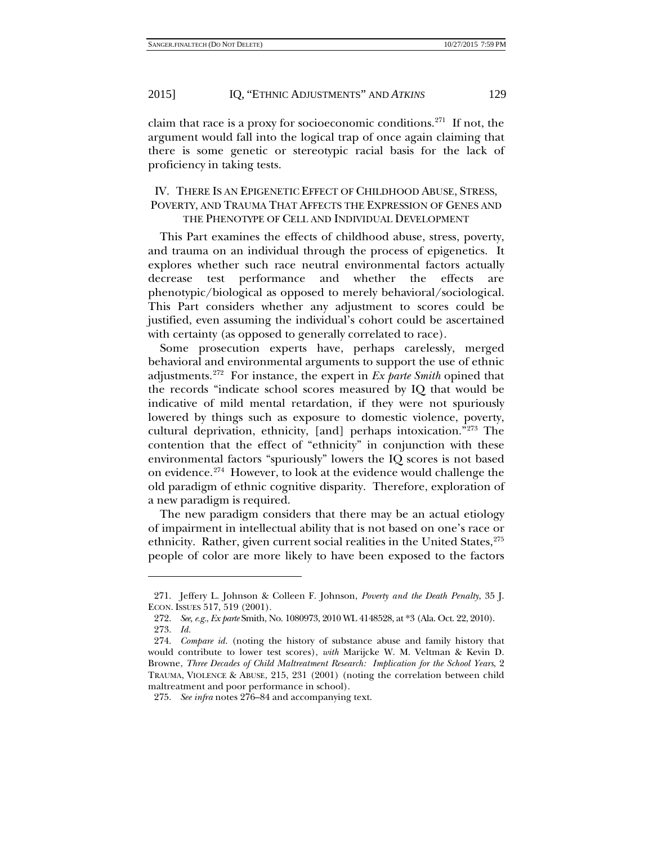claim that race is a proxy for socioeconomic conditions.[271](#page-42-0) If not, the argument would fall into the logical trap of once again claiming that there is some genetic or stereotypic racial basis for the lack of proficiency in taking tests.

# IV. THERE IS AN EPIGENETIC EFFECT OF CHILDHOOD ABUSE, STRESS, POVERTY, AND TRAUMA THAT AFFECTS THE EXPRESSION OF GENES AND THE PHENOTYPE OF CELL AND INDIVIDUAL DEVELOPMENT

This Part examines the effects of childhood abuse, stress, poverty, and trauma on an individual through the process of epigenetics. It explores whether such race neutral environmental factors actually decrease test performance and whether the effects are phenotypic/biological as opposed to merely behavioral/sociological. This Part considers whether any adjustment to scores could be justified, even assuming the individual's cohort could be ascertained with certainty (as opposed to generally correlated to race).

Some prosecution experts have, perhaps carelessly, merged behavioral and environmental arguments to support the use of ethnic adjustments.[272](#page-42-1) For instance, the expert in *Ex parte Smith* opined that the records "indicate school scores measured by IQ that would be indicative of mild mental retardation, if they were not spuriously lowered by things such as exposure to domestic violence, poverty, cultural deprivation, ethnicity, [and] perhaps intoxication."[273](#page-42-2) The contention that the effect of "ethnicity" in conjunction with these environmental factors "spuriously" lowers the IQ scores is not based on evidence.<sup>[274](#page-42-3)</sup> However, to look at the evidence would challenge the old paradigm of ethnic cognitive disparity. Therefore, exploration of a new paradigm is required.

<span id="page-42-5"></span>The new paradigm considers that there may be an actual etiology of impairment in intellectual ability that is not based on one's race or ethnicity. Rather, given current social realities in the United States,<sup>[275](#page-42-4)</sup> people of color are more likely to have been exposed to the factors

<span id="page-42-1"></span><span id="page-42-0"></span><sup>271.</sup> Jeffery L. Johnson & Colleen F. Johnson, *Poverty and the Death Penalty*, 35 J. ECON. ISSUES 517, 519 (2001).

<sup>272.</sup> *See, e.g.*, *Ex parte* Smith, No. 1080973, 2010 WL 4148528, at \*3 (Ala. Oct. 22, 2010). 273. *Id.*

<span id="page-42-3"></span><span id="page-42-2"></span><sup>274.</sup> *Compare id.* (noting the history of substance abuse and family history that would contribute to lower test scores), *with* Marijcke W. M. Veltman & Kevin D. Browne, *Three Decades of Child Maltreatment Research: Implication for the School Years*, 2 TRAUMA, VIOLENCE & ABUSE, 215, 231 (2001) (noting the correlation between child maltreatment and poor performance in school).

<span id="page-42-4"></span><sup>275.</sup> *See infra* notes [276–](#page-43-0)84 and accompanying text.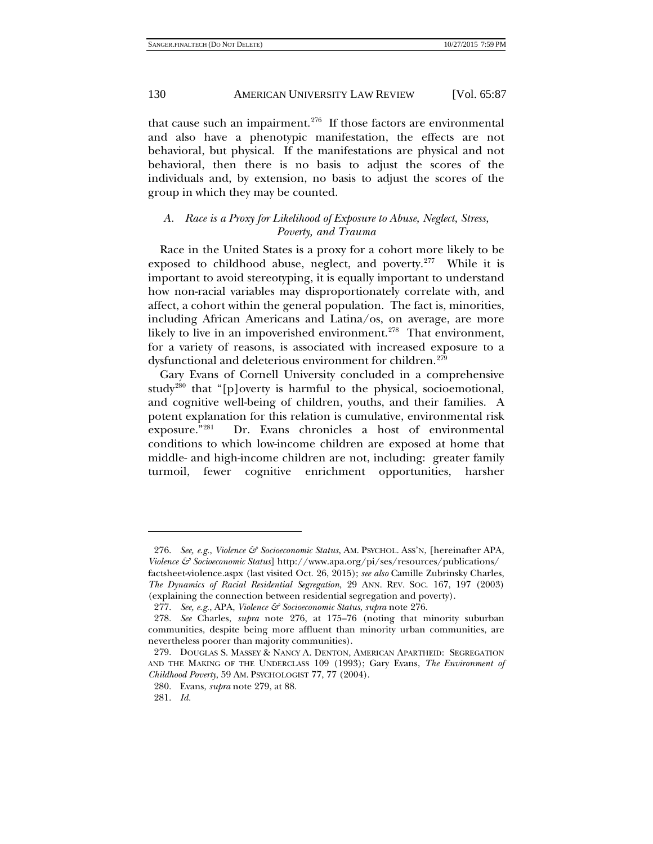<span id="page-43-0"></span>that cause such an impairment. $276$  If those factors are environmental and also have a phenotypic manifestation, the effects are not behavioral, but physical. If the manifestations are physical and not behavioral, then there is no basis to adjust the scores of the individuals and, by extension, no basis to adjust the scores of the group in which they may be counted.

# *A. Race is a Proxy for Likelihood of Exposure to Abuse, Neglect, Stress, Poverty, and Trauma*

Race in the United States is a proxy for a cohort more likely to be exposed to childhood abuse, neglect, and poverty.<sup>277</sup> While it is important to avoid stereotyping, it is equally important to understand how non-racial variables may disproportionately correlate with, and affect, a cohort within the general population. The fact is, minorities, including African Americans and Latina/os, on average, are more likely to live in an impoverished environment.<sup>[278](#page-43-4)</sup> That environment, for a variety of reasons, is associated with increased exposure to a dysfunctional and deleterious environment for children.<sup>[279](#page-43-5)</sup>

<span id="page-43-1"></span>Gary Evans of Cornell University concluded in a comprehensive study<sup>[280](#page-43-6)</sup> that "[p]overty is harmful to the physical, socioemotional, and cognitive well-being of children, youths, and their families. A potent explanation for this relation is cumulative, environmental risk exposure."[281](#page-43-7) Dr. Evans chronicles a host of environmental conditions to which low-income children are exposed at home that middle- and high-income children are not, including: greater family turmoil, fewer cognitive enrichment opportunities, harsher

1

<span id="page-43-2"></span><sup>276.</sup> *See, e.g.*, *Violence & Socioeconomic Status*, AM. PSYCHOL. ASS'N, [hereinafter APA, *Violence & Socioeconomic Status*] http://www.apa.org/pi/ses/resources/publications/ factsheet-violence.aspx (last visited Oct. 26, 2015); *see also* Camille Zubrinsky Charles, *The Dynamics of Racial Residential Segregation*, 29 ANN. REV. SOC. 167, 197 (2003) (explaining the connection between residential segregation and poverty).

<sup>277.</sup> *See, e.g.*, APA, *Violence & Socioeconomic Status*, *supra* note [276.](#page-43-0)

<span id="page-43-4"></span><span id="page-43-3"></span><sup>278.</sup> *See* Charles, *supra* note [276,](#page-43-0) at 175–76 (noting that minority suburban communities, despite being more affluent than minority urban communities, are nevertheless poorer than majority communities).

<span id="page-43-6"></span><span id="page-43-5"></span><sup>279.</sup> DOUGLAS S. MASSEY & NANCY A. DENTON, AMERICAN APARTHEID: SEGREGATION AND THE MAKING OF THE UNDERCLASS 109 (1993); Gary Evans, *The Environment of Childhood Poverty*, 59 AM. PSYCHOLOGIST 77, 77 (2004).

<sup>280.</sup> Evans, *supra* not[e 279,](#page-43-1) at 88.

<span id="page-43-7"></span><sup>281.</sup> *Id.*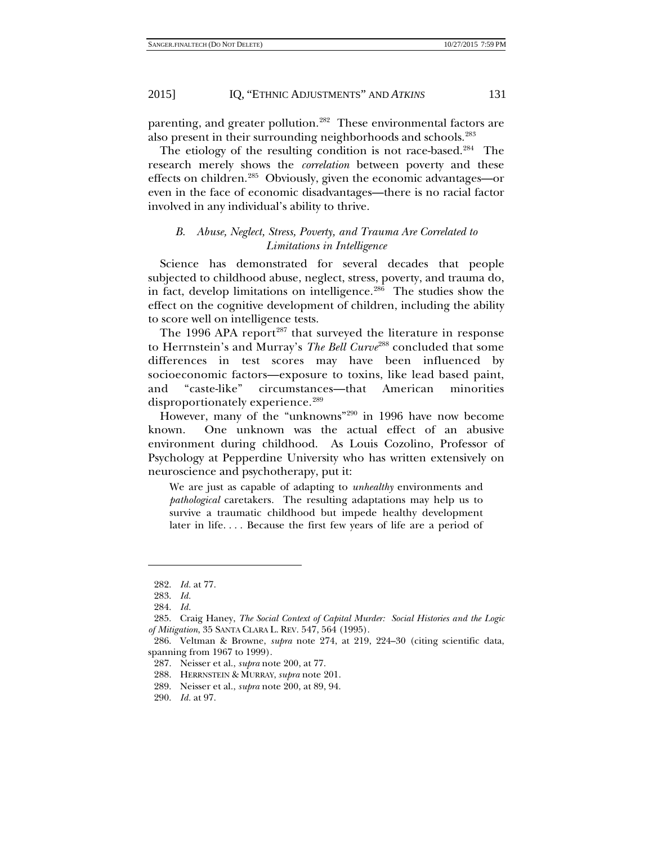parenting, and greater pollution.<sup>282</sup> These environmental factors are also present in their surrounding neighborhoods and schools.<sup>[283](#page-44-1)</sup>

The etiology of the resulting condition is not race-based.<sup>284</sup> The research merely shows the *correlation* between poverty and these effects on children.<sup>285</sup> Obviously, given the economic advantages—or even in the face of economic disadvantages—there is no racial factor involved in any individual's ability to thrive.

#### <span id="page-44-9"></span>*B. Abuse, Neglect, Stress, Poverty, and Trauma Are Correlated to Limitations in Intelligence*

Science has demonstrated for several decades that people subjected to childhood abuse, neglect, stress, poverty, and trauma do, in fact, develop limitations on intelligence.<sup>286</sup> The studies show the effect on the cognitive development of children, including the ability to score well on intelligence tests.

The 1996 APA report<sup>[287](#page-44-5)</sup> that surveyed the literature in response to Herrnstein's and Murray's *The Bell Curve*<sup>[288](#page-44-6)</sup> concluded that some differences in test scores may have been influenced by socioeconomic factors—exposure to toxins, like lead based paint, and "caste-like" circumstances—that American minorities disproportionately experience.<sup>[289](#page-44-7)</sup>

However, many of the "unknowns"[290](#page-44-8) in 1996 have now become known. One unknown was the actual effect of an abusive environment during childhood. As Louis Cozolino, Professor of Psychology at Pepperdine University who has written extensively on neuroscience and psychotherapy, put it:

We are just as capable of adapting to *unhealthy* environments and *pathological* caretakers. The resulting adaptations may help us to survive a traumatic childhood but impede healthy development later in life. . . . Because the first few years of life are a period of

<sup>282.</sup> *Id.* at 77.

<sup>283.</sup> *Id.*

<sup>284.</sup> *Id.*

<span id="page-44-3"></span><span id="page-44-2"></span><span id="page-44-1"></span><span id="page-44-0"></span><sup>285.</sup> Craig Haney, *The Social Context of Capital Murder: Social Histories and the Logic of Mitigation*, 35 SANTA CLARA L. REV. 547, 564 (1995).

<span id="page-44-6"></span><span id="page-44-5"></span><span id="page-44-4"></span><sup>286.</sup> Veltman & Browne, *supra* note [274,](#page-42-5) at 219, 224–30 (citing scientific data, spanning from 1967 to 1999).

<sup>287.</sup> Neisser et al., *supra* note [200,](#page-31-6) at 77.

<sup>288.</sup> HERRNSTEIN & MURRAY, *supra* not[e 201.](#page-31-8)

<span id="page-44-7"></span><sup>289.</sup> Neisser et al., *supra* note [200,](#page-31-6) at 89, 94.

<span id="page-44-8"></span><sup>290.</sup> *Id.* at 97.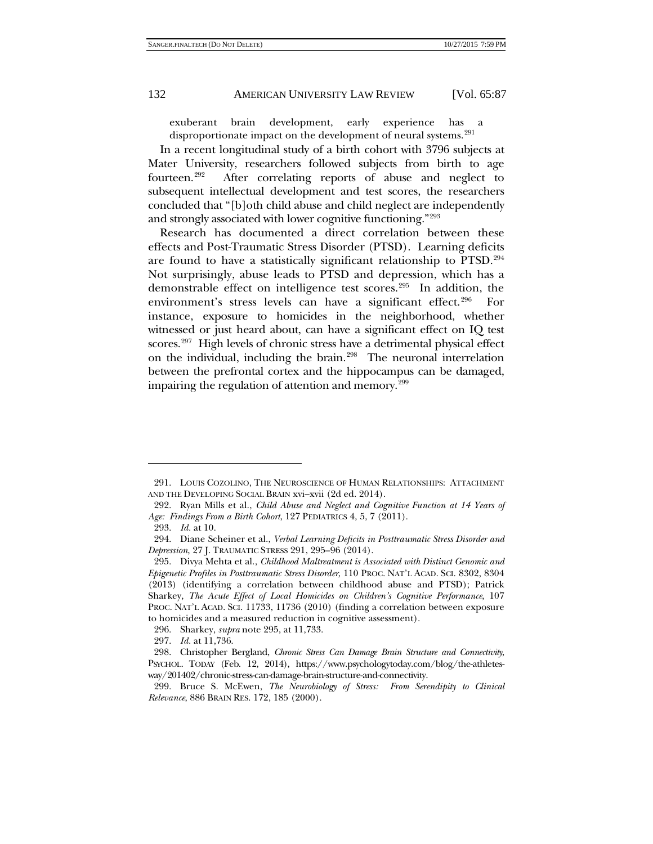<span id="page-45-0"></span>

exuberant brain development, early experience has disproportionate impact on the development of neural systems.[291](#page-45-1)

In a recent longitudinal study of a birth cohort with 3796 subjects at Mater University, researchers followed subjects from birth to age fourteen.<sup>[292](#page-45-2)</sup> After correlating reports of abuse and neglect to subsequent intellectual development and test scores, the researchers concluded that "[b]oth child abuse and child neglect are independently and strongly associated with lower cognitive functioning."[293](#page-45-3)

Research has documented a direct correlation between these effects and Post-Traumatic Stress Disorder (PTSD). Learning deficits are found to have a statistically significant relationship to PTSD.[294](#page-45-4)  Not surprisingly, abuse leads to PTSD and depression, which has a demonstrable effect on intelligence test scores.<sup>[295](#page-45-5)</sup> In addition, the environment's stress levels can have a significant effect.<sup>[296](#page-45-6)</sup> For instance, exposure to homicides in the neighborhood, whether witnessed or just heard about, can have a significant effect on IQ test scores.<sup>[297](#page-45-7)</sup> High levels of chronic stress have a detrimental physical effect on the individual, including the brain.<sup>[298](#page-45-8)</sup> The neuronal interrelation between the prefrontal cortex and the hippocampus can be damaged, impairing the regulation of attention and memory.<sup>299</sup>

<span id="page-45-1"></span><sup>291.</sup> LOUIS COZOLINO, THE NEUROSCIENCE OF HUMAN RELATIONSHIPS: ATTACHMENT AND THE DEVELOPING SOCIAL BRAIN xvi–xvii (2d ed. 2014).

<span id="page-45-2"></span><sup>292.</sup> Ryan Mills et al., *Child Abuse and Neglect and Cognitive Function at 14 Years of Age: Findings From a Birth Cohort*, 127 PEDIATRICS 4, 5, 7 (2011).

<sup>293.</sup> *Id.* at 10.

<span id="page-45-4"></span><span id="page-45-3"></span><sup>294.</sup> Diane Scheiner et al., *Verbal Learning Deficits in Posttraumatic Stress Disorder and Depression*, 27 J. TRAUMATIC STRESS 291, 295–96 (2014).

<span id="page-45-5"></span><sup>295.</sup> Divya Mehta et al., *Childhood Maltreatment is Associated with Distinct Genomic and Epigenetic Profiles in Posttraumatic Stress Disorder*, 110 PROC. NAT'L ACAD. SCI. 8302, 8304 (2013) (identifying a correlation between childhood abuse and PTSD); Patrick Sharkey, *The Acute Effect of Local Homicides on Children's Cognitive Performance*, 107 PROC. NAT'L ACAD. SCI. 11733, 11736 (2010) (finding a correlation between exposure to homicides and a measured reduction in cognitive assessment).

<sup>296.</sup> Sharkey, *supra* note [295,](#page-45-0) at 11,733.

<sup>297.</sup> *Id.* at 11,736.

<span id="page-45-8"></span><span id="page-45-7"></span><span id="page-45-6"></span><sup>298.</sup> Christopher Bergland, *Chronic Stress Can Damage Brain Structure and Connectivity*, PSYCHOL. TODAY (Feb. 12, 2014), https://www.psychologytoday.com/blog/the-athletesway/201402/chronic-stress-can-damage-brain-structure-and-connectivity.

<span id="page-45-9"></span><sup>299.</sup> Bruce S. McEwen, *The Neurobiology of Stress: From Serendipity to Clinical Relevance*, 886 BRAIN RES. 172, 185 (2000).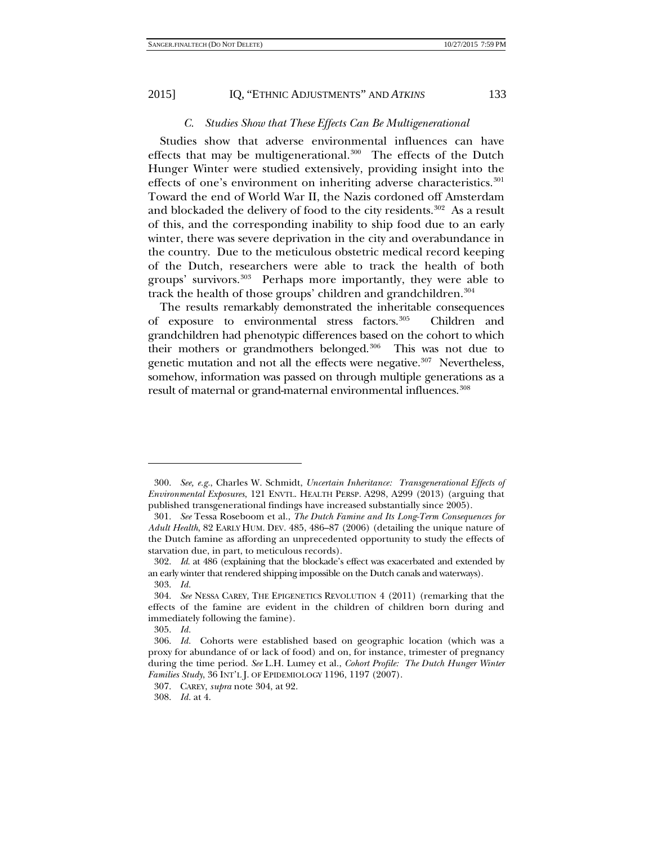<span id="page-46-0"></span>

#### *C. Studies Show that These Effects Can Be Multigenerational*

Studies show that adverse environmental influences can have effects that may be multigenerational.<sup>300</sup> The effects of the Dutch Hunger Winter were studied extensively, providing insight into the effects of one's environment on inheriting adverse characteristics.<sup>301</sup> Toward the end of World War II, the Nazis cordoned off Amsterdam and blockaded the delivery of food to the city residents.<sup>[302](#page-46-3)</sup> As a result of this, and the corresponding inability to ship food due to an early winter, there was severe deprivation in the city and overabundance in the country. Due to the meticulous obstetric medical record keeping of the Dutch, researchers were able to track the health of both groups' survivors[.303](#page-46-4) Perhaps more importantly, they were able to track the health of those groups' children and grandchildren.<sup>[304](#page-46-5)</sup>

The results remarkably demonstrated the inheritable consequences of exposure to environmental stress factors.[305](#page-46-6) Children and grandchildren had phenotypic differences based on the cohort to which their mothers or grandmothers belonged.<sup>306</sup> This was not due to genetic mutation and not all the effects were negative.<sup>307</sup> Nevertheless, somehow, information was passed on through multiple generations as a result of maternal or grand-maternal environmental influences.<sup>[308](#page-46-9)</sup>

<span id="page-46-1"></span><sup>300.</sup> *See, e.g.*, Charles W. Schmidt, *Uncertain Inheritance: Transgenerational Effects of Environmental Exposures*, 121 ENVTL. HEALTH PERSP. A298, A299 (2013) (arguing that published transgenerational findings have increased substantially since 2005).

<span id="page-46-2"></span><sup>301.</sup> *See* Tessa Roseboom et al., *The Dutch Famine and Its Long-Term Consequences for Adult Health*, 82 EARLY HUM. DEV. 485, 486–87 (2006) (detailing the unique nature of the Dutch famine as affording an unprecedented opportunity to study the effects of starvation due, in part, to meticulous records).

<span id="page-46-3"></span><sup>302.</sup> *Id.* at 486 (explaining that the blockade's effect was exacerbated and extended by an early winter that rendered shipping impossible on the Dutch canals and waterways). 303. *Id.*

<span id="page-46-5"></span><span id="page-46-4"></span><sup>304.</sup> *See* NESSA CAREY, THE EPIGENETICS REVOLUTION 4 (2011) (remarking that the effects of the famine are evident in the children of children born during and immediately following the famine).

<sup>305.</sup> *Id.*

<span id="page-46-7"></span><span id="page-46-6"></span><sup>306.</sup> *Id.* Cohorts were established based on geographic location (which was a proxy for abundance of or lack of food) and on, for instance, trimester of pregnancy during the time period. *See* L.H. Lumey et al., *Cohort Profile: The Dutch Hunger Winter Families Study*, 36 INT'L J. OF EPIDEMIOLOGY 1196, 1197 (2007).

<span id="page-46-8"></span><sup>307.</sup> CAREY, *supra* not[e 304,](#page-46-0) at 92.

<span id="page-46-9"></span><sup>308.</sup> *Id.* at 4.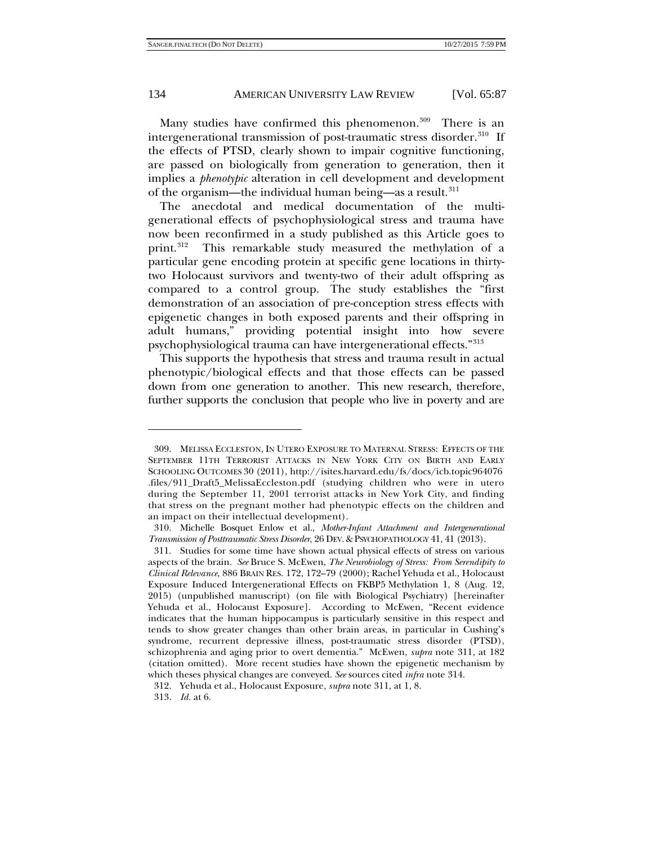Many studies have confirmed this phenomenon.<sup>309</sup> There is an intergenerational transmission of post-traumatic stress disorder.<sup>[310](#page-47-2)</sup> If the effects of PTSD, clearly shown to impair cognitive functioning, are passed on biologically from generation to generation, then it implies a *phenotypic* alteration in cell development and development of the organism—the individual human being—as a result.<sup>[311](#page-47-3)</sup>

<span id="page-47-0"></span>The anecdotal and medical documentation of the multigenerational effects of psychophysiological stress and trauma have now been reconfirmed in a study published as this Article goes to print.[312](#page-47-4) This remarkable study measured the methylation of a particular gene encoding protein at specific gene locations in thirtytwo Holocaust survivors and twenty-two of their adult offspring as compared to a control group. The study establishes the "first demonstration of an association of pre-conception stress effects with epigenetic changes in both exposed parents and their offspring in adult humans," providing potential insight into how severe psychophysiological trauma can have intergenerational effects."[313](#page-47-5)

This supports the hypothesis that stress and trauma result in actual phenotypic/biological effects and that those effects can be passed down from one generation to another. This new research, therefore, further supports the conclusion that people who live in poverty and are

<span id="page-47-1"></span><sup>309.</sup> MELISSA ECCLESTON, IN UTERO EXPOSURE TO MATERNAL STRESS: EFFECTS OF THE SEPTEMBER 11TH TERRORIST ATTACKS IN NEW YORK CITY ON BIRTH AND EARLY SCHOOLING OUTCOMES 30 (2011), http://isites.harvard.edu/fs/docs/icb.topic964076 .files/911\_Draft5\_MelissaEccleston.pdf (studying children who were in utero during the September 11, 2001 terrorist attacks in New York City, and finding that stress on the pregnant mother had phenotypic effects on the children and an impact on their intellectual development).

<span id="page-47-2"></span><sup>310.</sup> Michelle Bosquet Enlow et al., *Mother-Infant Attachment and Intergenerational Transmission of Posttraumatic Stress Disorder*, 26 DEV. & PSYCHOPATHOLOGY 41, 41 (2013).

<span id="page-47-3"></span><sup>311.</sup> Studies for some time have shown actual physical effects of stress on various aspects of the brain. *See* Bruce S. McEwen, *The Neurobiology of Stress: From Serendipity to Clinical Relevance*, 886 BRAIN RES. 172, 172–79 (2000); Rachel Yehuda et al., Holocaust Exposure Induced Intergenerational Effects on FKBP5 Methylation 1, 8 (Aug. 12, 2015) (unpublished manuscript) (on file with Biological Psychiatry) [hereinafter Yehuda et al., Holocaust Exposure]. According to McEwen, "Recent evidence indicates that the human hippocampus is particularly sensitive in this respect and tends to show greater changes than other brain areas, in particular in Cushing's syndrome, recurrent depressive illness, post-traumatic stress disorder (PTSD), schizophrenia and aging prior to overt dementia." McEwen, *supra* note [311,](#page-47-0) at 182 (citation omitted). More recent studies have shown the epigenetic mechanism by which theses physical changes are conveyed. *See* sources cited *infra* note [314.](#page-48-0)

<sup>312.</sup> Yehuda et al., Holocaust Exposure, *supra* not[e 311,](#page-47-0) at 1, 8.

<span id="page-47-5"></span><span id="page-47-4"></span><sup>313.</sup> *Id.* at 6.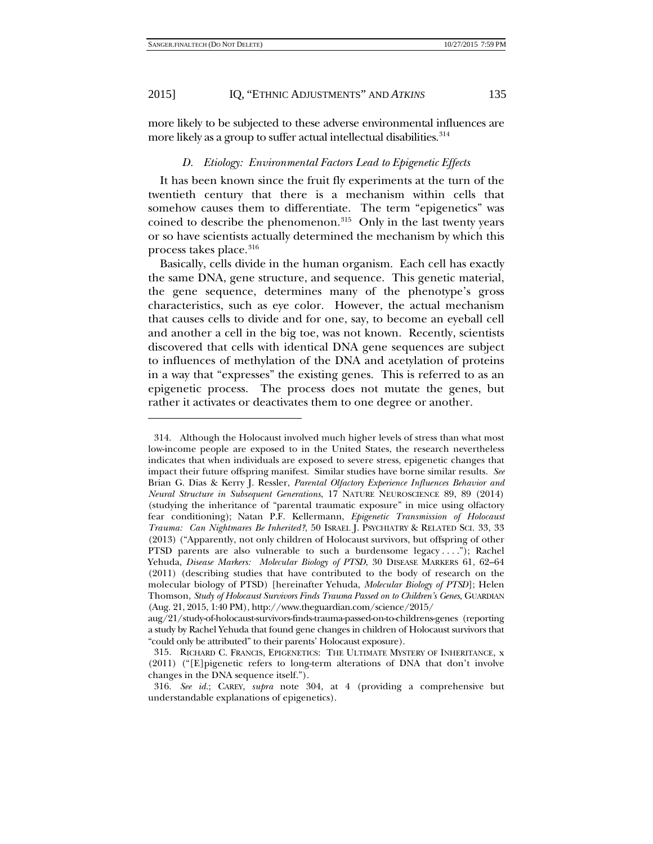-

#### 2015] IQ, "ETHNIC ADJUSTMENTS" AND *ATKINS* 135

more likely to be subjected to these adverse environmental influences are more likely as a group to suffer actual intellectual disabilities.<sup>[314](#page-48-1)</sup>

#### <span id="page-48-0"></span>*D. Etiology: Environmental Factors Lead to Epigenetic Effects*

It has been known since the fruit fly experiments at the turn of the twentieth century that there is a mechanism within cells that somehow causes them to differentiate. The term "epigenetics" was coined to describe the phenomenon.<sup>315</sup> Only in the last twenty years or so have scientists actually determined the mechanism by which this process takes place.<sup>[316](#page-48-3)</sup>

Basically, cells divide in the human organism. Each cell has exactly the same DNA, gene structure, and sequence. This genetic material, the gene sequence, determines many of the phenotype's gross characteristics, such as eye color. However, the actual mechanism that causes cells to divide and for one, say, to become an eyeball cell and another a cell in the big toe, was not known. Recently, scientists discovered that cells with identical DNA gene sequences are subject to influences of methylation of the DNA and acetylation of proteins in a way that "expresses" the existing genes. This is referred to as an epigenetic process. The process does not mutate the genes, but rather it activates or deactivates them to one degree or another.

<span id="page-48-1"></span><sup>314.</sup> Although the Holocaust involved much higher levels of stress than what most low-income people are exposed to in the United States, the research nevertheless indicates that when individuals are exposed to severe stress, epigenetic changes that impact their future offspring manifest. Similar studies have borne similar results. *See* Brian G. Dias & Kerry J. Ressler, *Parental Olfactory Experience Influences Behavior and Neural Structure in Subsequent Generations*, 17 NATURE NEUROSCIENCE 89, 89 (2014) (studying the inheritance of "parental traumatic exposure" in mice using olfactory fear conditioning); Natan P.F. Kellermann, *Epigenetic Transmission of Holocaust Trauma: Can Nightmares Be Inherited?*, 50 ISRAEL J. PSYCHIATRY & RELATED SCI. 33, 33 (2013) ("Apparently, not only children of Holocaust survivors, but offspring of other PTSD parents are also vulnerable to such a burdensome legacy . . . ."); Rachel Yehuda, *Disease Markers: Molecular Biology of PTSD*, 30 DISEASE MARKERS 61, 62–64 (2011) (describing studies that have contributed to the body of research on the molecular biology of PTSD) [hereinafter Yehuda, *Molecular Biology of PTSD*]; Helen Thomson, *Study of Holocaust Survivors Finds Trauma Passed on to Children's Genes*, GUARDIAN (Aug. 21, 2015, 1:40 PM), http://www.theguardian.com/science/2015/

aug/21/study-of-holocaust-survivors-finds-trauma-passed-on-to-childrens-genes (reporting a study by Rachel Yehuda that found gene changes in children of Holocaust survivors that "could only be attributed" to their parents' Holocaust exposure).

<span id="page-48-2"></span><sup>315.</sup> RICHARD C. FRANCIS, EPIGENETICS: THE ULTIMATE MYSTERY OF INHERITANCE, x (2011) ("[E]pigenetic refers to long-term alterations of DNA that don't involve changes in the DNA sequence itself.").

<span id="page-48-3"></span><sup>316.</sup> *See id.*; CAREY, *supra* note [304,](#page-46-0) at 4 (providing a comprehensive but understandable explanations of epigenetics).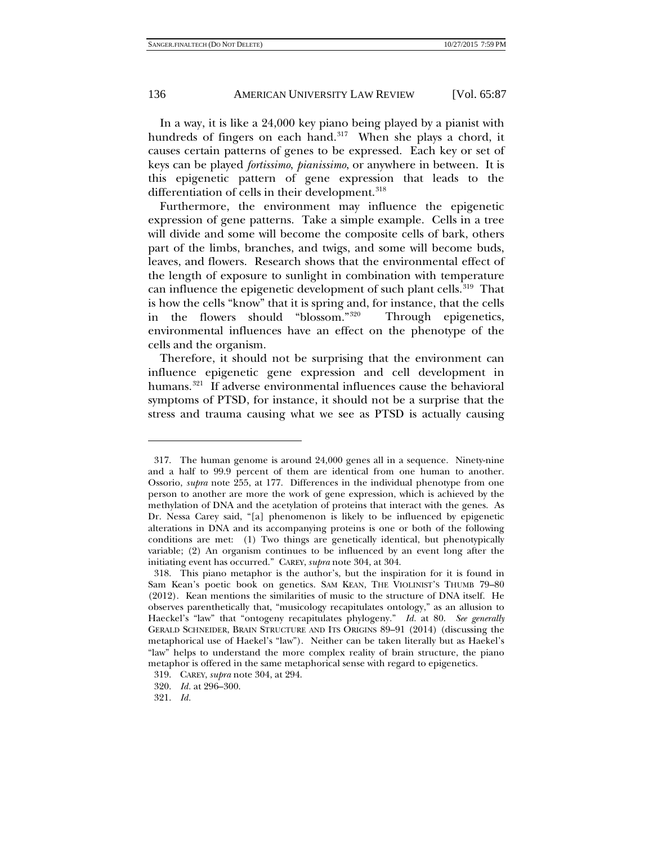In a way, it is like a 24,000 key piano being played by a pianist with hundreds of fingers on each hand. $317$  When she plays a chord, it causes certain patterns of genes to be expressed. Each key or set of keys can be played *fortissimo*, *pianissimo*, or anywhere in between. It is this epigenetic pattern of gene expression that leads to the differentiation of cells in their development.<sup>[318](#page-49-1)</sup>

Furthermore, the environment may influence the epigenetic expression of gene patterns. Take a simple example. Cells in a tree will divide and some will become the composite cells of bark, others part of the limbs, branches, and twigs, and some will become buds, leaves, and flowers. Research shows that the environmental effect of the length of exposure to sunlight in combination with temperature can influence the epigenetic development of such plant cells.<sup>[319](#page-49-2)</sup> That is how the cells "know" that it is spring and, for instance, that the cells in the flowers should "blossom."[320](#page-49-3) Through epigenetics, environmental influences have an effect on the phenotype of the cells and the organism.

Therefore, it should not be surprising that the environment can influence epigenetic gene expression and cell development in humans.<sup>321</sup> If adverse environmental influences cause the behavioral symptoms of PTSD, for instance, it should not be a surprise that the stress and trauma causing what we see as PTSD is actually causing

1

<span id="page-49-0"></span><sup>317.</sup> The human genome is around 24,000 genes all in a sequence. Ninety-nine and a half to 99.9 percent of them are identical from one human to another. Ossorio, *supra* note [255,](#page-39-8) at 177. Differences in the individual phenotype from one person to another are more the work of gene expression, which is achieved by the methylation of DNA and the acetylation of proteins that interact with the genes. As Dr. Nessa Carey said, "[a] phenomenon is likely to be influenced by epigenetic alterations in DNA and its accompanying proteins is one or both of the following conditions are met: (1) Two things are genetically identical, but phenotypically variable; (2) An organism continues to be influenced by an event long after the initiating event has occurred." CAREY, *supra* not[e 304,](#page-46-0) at 304.

<span id="page-49-1"></span><sup>318.</sup> This piano metaphor is the author's, but the inspiration for it is found in Sam Kean's poetic book on genetics. SAM KEAN, THE VIOLINIST'S THUMB 79–80 (2012). Kean mentions the similarities of music to the structure of DNA itself. He observes parenthetically that, "musicology recapitulates ontology," as an allusion to Haeckel's "law" that "ontogeny recapitulates phylogeny." *Id.* at 80. *See generally* GERALD SCHNEIDER, BRAIN STRUCTURE AND ITS ORIGINS 89–91 (2014) (discussing the metaphorical use of Haekel's "law"). Neither can be taken literally but as Haekel's "law" helps to understand the more complex reality of brain structure, the piano metaphor is offered in the same metaphorical sense with regard to epigenetics.

<span id="page-49-2"></span><sup>319.</sup> CAREY, *supra* note [304,](#page-46-0) at 294.

<sup>320.</sup> *Id.* at 296–300.

<span id="page-49-4"></span><span id="page-49-3"></span><sup>321.</sup> *Id.*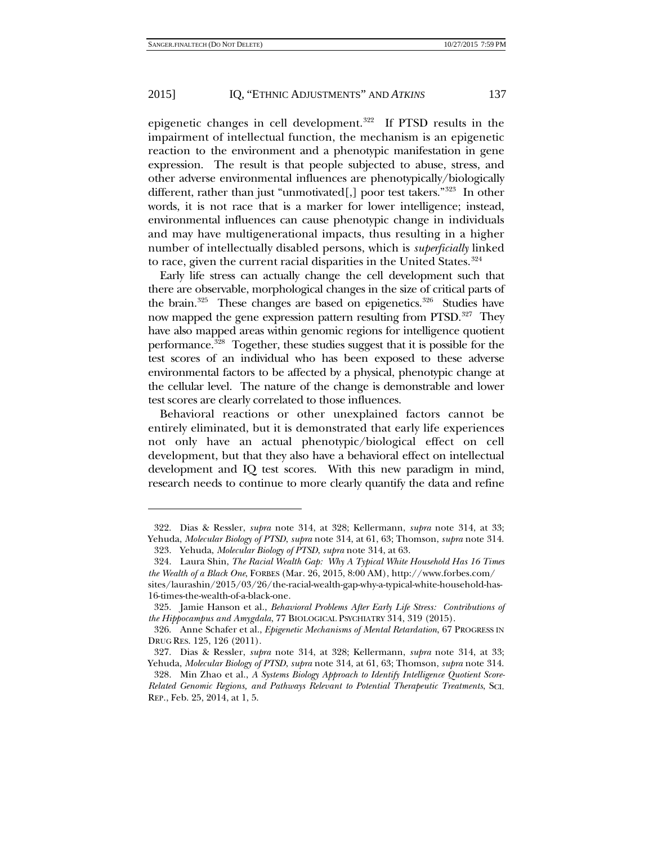epigenetic changes in cell development.[322](#page-50-0) If PTSD results in the impairment of intellectual function, the mechanism is an epigenetic reaction to the environment and a phenotypic manifestation in gene expression. The result is that people subjected to abuse, stress, and other adverse environmental influences are phenotypically/biologically different, rather than just "unmotivated[,] poor test takers."<sup>323</sup> In other words, it is not race that is a marker for lower intelligence; instead, environmental influences can cause phenotypic change in individuals and may have multigenerational impacts, thus resulting in a higher number of intellectually disabled persons, which is *superficially* linked to race, given the current racial disparities in the United States.<sup>[324](#page-50-2)</sup>

Early life stress can actually change the cell development such that there are observable, morphological changes in the size of critical parts of the brain.<sup>[325](#page-50-3)</sup> These changes are based on epigenetics.<sup>[326](#page-50-4)</sup> Studies have now mapped the gene expression pattern resulting from PTSD.<sup>[327](#page-50-5)</sup> They have also mapped areas within genomic regions for intelligence quotient performance.[328](#page-50-6) Together, these studies suggest that it is possible for the test scores of an individual who has been exposed to these adverse environmental factors to be affected by a physical, phenotypic change at the cellular level. The nature of the change is demonstrable and lower test scores are clearly correlated to those influences.

Behavioral reactions or other unexplained factors cannot be entirely eliminated, but it is demonstrated that early life experiences not only have an actual phenotypic/biological effect on cell development, but that they also have a behavioral effect on intellectual development and IQ test scores. With this new paradigm in mind, research needs to continue to more clearly quantify the data and refine

<span id="page-50-0"></span><sup>322.</sup> Dias & Ressler, *supra* note [314,](#page-48-0) at 328; Kellermann, *supra* note [314,](#page-48-0) at 33; Yehuda, *Molecular Biology of PTSD*, *supra* note [314,](#page-48-0) at 61, 63; Thomson, *supra* not[e 314.](#page-48-0)

<sup>323.</sup> Yehuda, *Molecular Biology of PTSD*, *supra* note [314,](#page-48-0) at 63.

<span id="page-50-2"></span><span id="page-50-1"></span><sup>324.</sup> Laura Shin, *The Racial Wealth Gap: Why A Typical White Household Has 16 Times the Wealth of a Black One*, FORBES (Mar. 26, 2015, 8:00 AM), http://www.forbes.com/ sites/laurashin/2015/03/26/the-racial-wealth-gap-why-a-typical-white-household-has-16-times-the-wealth-of-a-black-one.

<span id="page-50-3"></span><sup>325.</sup> Jamie Hanson et al., *Behavioral Problems After Early Life Stress: Contributions of the Hippocampus and Amygdala*, 77 BIOLOGICAL PSYCHIATRY 314, 319 (2015).

<span id="page-50-4"></span><sup>326.</sup> Anne Schafer et al., *Epigenetic Mechanisms of Mental Retardation*, 67 PROGRESS IN DRUG RES. 125, 126 (2011).

<span id="page-50-6"></span><span id="page-50-5"></span><sup>327.</sup> Dias & Ressler, *supra* note [314,](#page-48-0) at 328; Kellermann, *supra* note [314,](#page-48-0) at 33; Yehuda, *Molecular Biology of PTSD*, *supra* note [314,](#page-48-0) at 61, 63; Thomson, *supra* not[e 314.](#page-48-0) 328. Min Zhao et al., *A Systems Biology Approach to Identify Intelligence Quotient Score-Related Genomic Regions, and Pathways Relevant to Potential Therapeutic Treatments*, SCI. REP., Feb. 25, 2014, at 1, 5.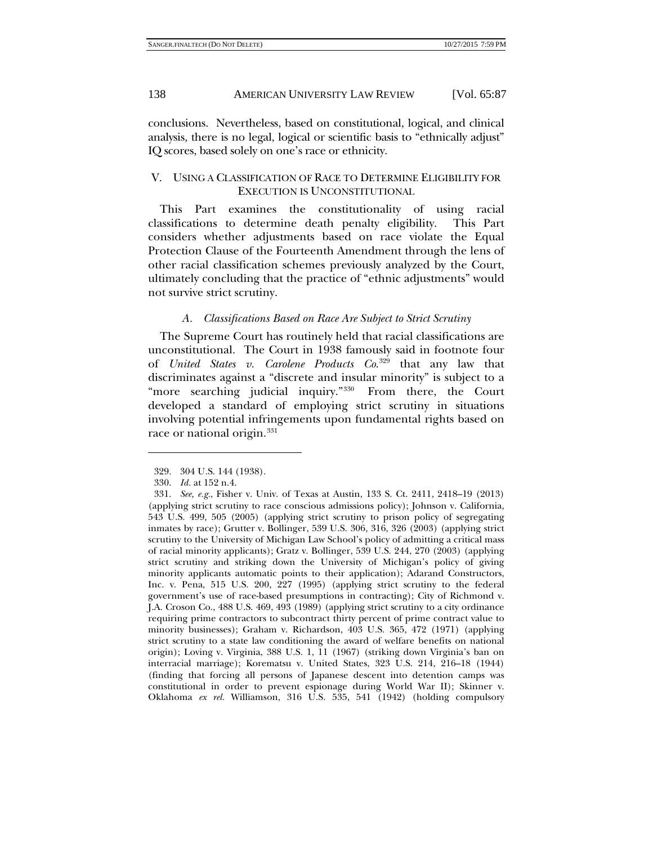conclusions. Nevertheless, based on constitutional, logical, and clinical analysis, there is no legal, logical or scientific basis to "ethnically adjust" IQ scores, based solely on one's race or ethnicity.

### V. USING A CLASSIFICATION OF RACE TO DETERMINE ELIGIBILITY FOR EXECUTION IS UNCONSTITUTIONAL

This Part examines the constitutionality of using racial classifications to determine death penalty eligibility. This Part considers whether adjustments based on race violate the Equal Protection Clause of the Fourteenth Amendment through the lens of other racial classification schemes previously analyzed by the Court, ultimately concluding that the practice of "ethnic adjustments" would not survive strict scrutiny.

#### *A. Classifications Based on Race Are Subject to Strict Scrutiny*

The Supreme Court has routinely held that racial classifications are unconstitutional. The Court in 1938 famously said in footnote four of *United States v. Carolene Products Co*. [329](#page-51-0) that any law that discriminates against a "discrete and insular minority" is subject to a "more searching judicial inquiry."<sup>[330](#page-51-1)</sup> From there, the Court developed a standard of employing strict scrutiny in situations involving potential infringements upon fundamental rights based on race or national origin.<sup>[331](#page-51-2)</sup>

<sup>329.</sup> 304 U.S. 144 (1938).

<sup>330.</sup> *Id.* at 152 n.4.

<span id="page-51-2"></span><span id="page-51-1"></span><span id="page-51-0"></span><sup>331.</sup> *See, e.g.*, Fisher v. Univ. of Texas at Austin, 133 S. Ct. 2411, 2418–19 (2013) (applying strict scrutiny to race conscious admissions policy); Johnson v. California, 543 U.S. 499, 505 (2005) (applying strict scrutiny to prison policy of segregating inmates by race); Grutter v. Bollinger, 539 U.S. 306, 316, 326 (2003) (applying strict scrutiny to the University of Michigan Law School's policy of admitting a critical mass of racial minority applicants); Gratz v. Bollinger, 539 U.S. 244, 270 (2003) (applying strict scrutiny and striking down the University of Michigan's policy of giving minority applicants automatic points to their application); Adarand Constructors, Inc. v. Pena, 515 U.S. 200, 227 (1995) (applying strict scrutiny to the federal government's use of race-based presumptions in contracting); City of Richmond v. J.A. Croson Co., 488 U.S. 469, 493 (1989) (applying strict scrutiny to a city ordinance requiring prime contractors to subcontract thirty percent of prime contract value to minority businesses); Graham v. Richardson, 403 U.S. 365, 472 (1971) (applying strict scrutiny to a state law conditioning the award of welfare benefits on national origin); Loving v. Virginia, 388 U.S. 1, 11 (1967) (striking down Virginia's ban on interracial marriage); Korematsu v. United States, 323 U.S. 214, 216–18 (1944) (finding that forcing all persons of Japanese descent into detention camps was constitutional in order to prevent espionage during World War II); Skinner v. Oklahoma *ex rel.* Williamson, 316 U.S. 535, 541 (1942) (holding compulsory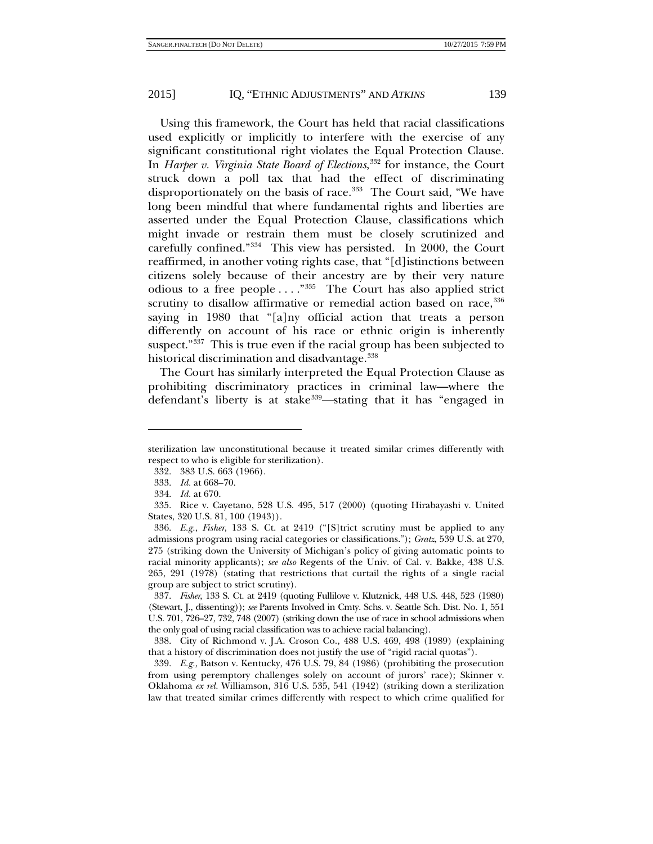Using this framework, the Court has held that racial classifications used explicitly or implicitly to interfere with the exercise of any significant constitutional right violates the Equal Protection Clause. In *Harper v. Virginia State Board of Elections*, [332](#page-52-0) for instance, the Court struck down a poll tax that had the effect of discriminating disproportionately on the basis of race.<sup>[333](#page-52-1)</sup> The Court said, "We have long been mindful that where fundamental rights and liberties are asserted under the Equal Protection Clause, classifications which might invade or restrain them must be closely scrutinized and carefully confined."[334](#page-52-2) This view has persisted. In 2000, the Court reaffirmed, in another voting rights case, that "[d]istinctions between citizens solely because of their ancestry are by their very nature odious to a free people . . . ."[335](#page-52-3) The Court has also applied strict scrutiny to disallow affirmative or remedial action based on race,<sup>[336](#page-52-4)</sup> saying in 1980 that "[a]ny official action that treats a person differently on account of his race or ethnic origin is inherently suspect."<sup>337</sup> This is true even if the racial group has been subjected to historical discrimination and disadvantage.<sup>[338](#page-52-6)</sup>

The Court has similarly interpreted the Equal Protection Clause as prohibiting discriminatory practices in criminal law—where the defendant's liberty is at stake<sup>[339](#page-52-7)</sup>—stating that it has "engaged in

-

<span id="page-52-6"></span>338. City of Richmond v. J.A. Croson Co., 488 U.S. 469, 498 (1989) (explaining that a history of discrimination does not justify the use of "rigid racial quotas").

<span id="page-52-7"></span>339. *E.g.*, Batson v. Kentucky, 476 U.S. 79, 84 (1986) (prohibiting the prosecution from using peremptory challenges solely on account of jurors' race); Skinner v. Oklahoma *ex rel.* Williamson, 316 U.S. 535, 541 (1942) (striking down a sterilization law that treated similar crimes differently with respect to which crime qualified for

<span id="page-52-0"></span>sterilization law unconstitutional because it treated similar crimes differently with respect to who is eligible for sterilization).

<sup>332.</sup> 383 U.S. 663 (1966).

<sup>333.</sup> *Id.* at 668–70.

<sup>334.</sup> *Id.* at 670.

<span id="page-52-3"></span><span id="page-52-2"></span><span id="page-52-1"></span><sup>335.</sup> Rice v. Cayetano, 528 U.S. 495, 517 (2000) (quoting Hirabayashi v. United States, 320 U.S. 81, 100 (1943)).

<span id="page-52-4"></span><sup>336.</sup> *E.g.*, *Fisher*, 133 S. Ct. at 2419 ("[S]trict scrutiny must be applied to any admissions program using racial categories or classifications."); *Gratz*, 539 U.S. at 270, 275 (striking down the University of Michigan's policy of giving automatic points to racial minority applicants); *see also* Regents of the Univ. of Cal. v. Bakke, 438 U.S. 265, 291 (1978) (stating that restrictions that curtail the rights of a single racial group are subject to strict scrutiny).

<span id="page-52-5"></span><sup>337.</sup> *Fisher*, 133 S. Ct. at 2419 (quoting Fullilove v. Klutznick, 448 U.S. 448, 523 (1980) (Stewart, J., dissenting)); *see* Parents Involved in Cmty. Schs. v. Seattle Sch. Dist. No. 1, 551 U.S. 701, 726–27, 732, 748 (2007) (striking down the use of race in school admissions when the only goal of using racial classification was to achieve racial balancing).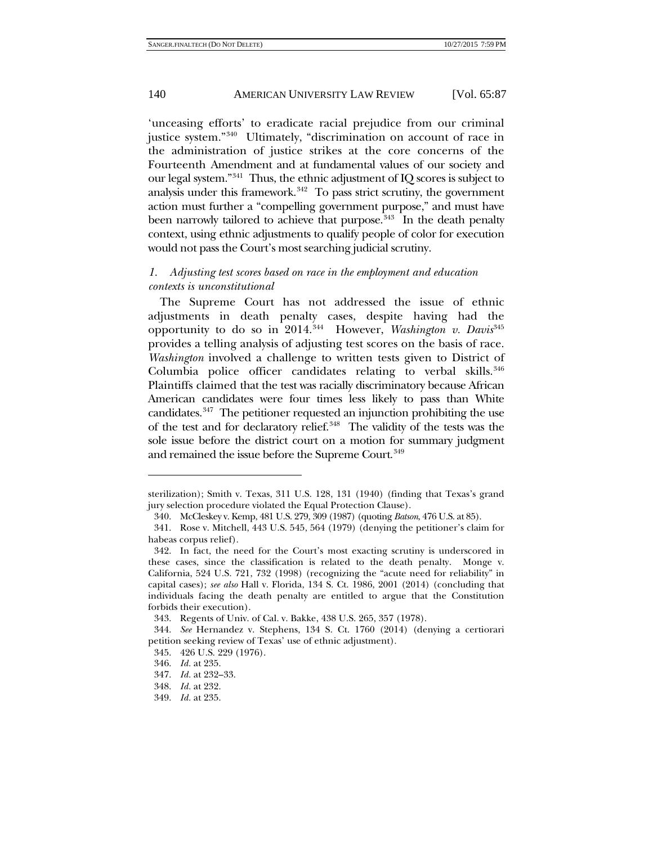'unceasing efforts' to eradicate racial prejudice from our criminal justice system."[340](#page-53-0) Ultimately, "discrimination on account of race in the administration of justice strikes at the core concerns of the Fourteenth Amendment and at fundamental values of our society and our legal system."[341](#page-53-1) Thus, the ethnic adjustment of IQ scores is subject to analysis under this framework. $342$  To pass strict scrutiny, the government action must further a "compelling government purpose," and must have been narrowly tailored to achieve that purpose. $343$  In the death penalty context, using ethnic adjustments to qualify people of color for execution would not pass the Court's most searching judicial scrutiny.

# *1. Adjusting test scores based on race in the employment and education contexts is unconstitutional*

The Supreme Court has not addressed the issue of ethnic adjustments in death penalty cases, despite having had the opportunity to do so in 2014.<sup>[344](#page-53-4)</sup> However, *Washington v. Davis*<sup>[345](#page-53-5)</sup> provides a telling analysis of adjusting test scores on the basis of race. *Washington* involved a challenge to written tests given to District of Columbia police officer candidates relating to verbal skills. $346$ Plaintiffs claimed that the test was racially discriminatory because African American candidates were four times less likely to pass than White candidates.[347](#page-53-7) The petitioner requested an injunction prohibiting the use of the test and for declaratory relief.[348](#page-53-8) The validity of the tests was the sole issue before the district court on a motion for summary judgment and remained the issue before the Supreme Court.<sup>[349](#page-53-9)</sup>

<span id="page-53-0"></span>sterilization); Smith v. Texas, 311 U.S. 128, 131 (1940) (finding that Texas's grand jury selection procedure violated the Equal Protection Clause).

<sup>340.</sup> McCleskey v. Kemp, 481 U.S. 279, 309 (1987) (quoting *Batson*, 476 U.S. at 85).

<span id="page-53-1"></span><sup>341.</sup> Rose v. Mitchell, 443 U.S. 545, 564 (1979) (denying the petitioner's claim for habeas corpus relief).

<span id="page-53-2"></span><sup>342.</sup> In fact, the need for the Court's most exacting scrutiny is underscored in these cases, since the classification is related to the death penalty. Monge v. California, 524 U.S. 721, 732 (1998) (recognizing the "acute need for reliability" in capital cases); *see also* Hall v. Florida, 134 S. Ct. 1986, 2001 (2014) (concluding that individuals facing the death penalty are entitled to argue that the Constitution forbids their execution).

<sup>343.</sup> Regents of Univ. of Cal. v. Bakke, 438 U.S. 265, 357 (1978).

<span id="page-53-6"></span><span id="page-53-5"></span><span id="page-53-4"></span><span id="page-53-3"></span><sup>344.</sup> *See* Hernandez v. Stephens, 134 S. Ct. 1760 (2014) (denying a certiorari petition seeking review of Texas' use of ethnic adjustment).

<sup>345.</sup> 426 U.S. 229 (1976).

<sup>346.</sup> *Id.* at 235.

<span id="page-53-7"></span><sup>347.</sup> *Id.* at 232–33.

<sup>348.</sup> *Id.* at 232.

<span id="page-53-9"></span><span id="page-53-8"></span><sup>349.</sup> *Id.* at 235.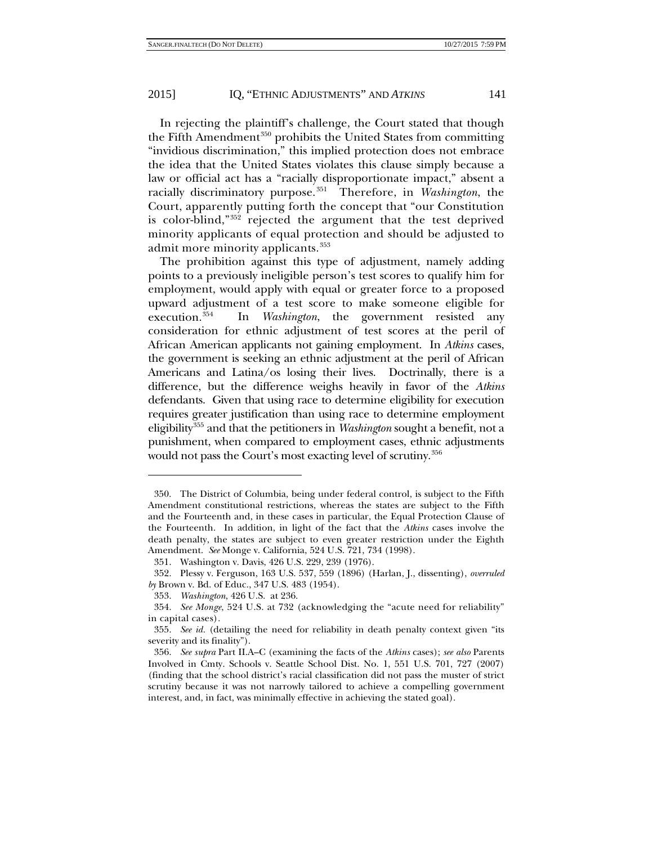In rejecting the plaintiff's challenge, the Court stated that though the Fifth Amendment<sup>350</sup> prohibits the United States from committing "invidious discrimination," this implied protection does not embrace the idea that the United States violates this clause simply because a law or official act has a "racially disproportionate impact," absent a racially discriminatory purpose.[351](#page-54-1) Therefore, in *Washington*, the Court, apparently putting forth the concept that "our Constitution is color-blind,"[352](#page-54-2) rejected the argument that the test deprived minority applicants of equal protection and should be adjusted to admit more minority applicants.<sup>[353](#page-54-3)</sup>

The prohibition against this type of adjustment, namely adding points to a previously ineligible person's test scores to qualify him for employment, would apply with equal or greater force to a proposed upward adjustment of a test score to make someone eligible for execution.[354](#page-54-4) In *Washington*, the government resisted any consideration for ethnic adjustment of test scores at the peril of African American applicants not gaining employment. In *Atkins* cases, the government is seeking an ethnic adjustment at the peril of African Americans and Latina/os losing their lives. Doctrinally, there is a difference, but the difference weighs heavily in favor of the *Atkins* defendants. Given that using race to determine eligibility for execution requires greater justification than using race to determine employment eligibility[355](#page-54-5) and that the petitioners in *Washington* sought a benefit, not a punishment, when compared to employment cases, ethnic adjustments would not pass the Court's most exacting level of scrutiny.<sup>[356](#page-54-6)</sup>

<span id="page-54-0"></span><sup>350.</sup> The District of Columbia, being under federal control, is subject to the Fifth Amendment constitutional restrictions, whereas the states are subject to the Fifth and the Fourteenth and, in these cases in particular, the Equal Protection Clause of the Fourteenth. In addition, in light of the fact that the *Atkins* cases involve the death penalty, the states are subject to even greater restriction under the Eighth Amendment. *See* Monge v. California, 524 U.S. 721, 734 (1998).

<sup>351.</sup> Washington v. Davis, 426 U.S. 229, 239 (1976).

<span id="page-54-2"></span><span id="page-54-1"></span><sup>352.</sup> Plessy v. Ferguson, 163 U.S. 537, 559 (1896) (Harlan, J., dissenting), *overruled by* Brown v. Bd. of Educ., 347 U.S. 483 (1954).

<sup>353.</sup> *Washington*, 426 U.S. at 236.

<span id="page-54-4"></span><span id="page-54-3"></span><sup>354.</sup> *See Monge*, 524 U.S. at 732 (acknowledging the "acute need for reliability" in capital cases).

<span id="page-54-5"></span><sup>355.</sup> *See id.* (detailing the need for reliability in death penalty context given "its severity and its finality").

<span id="page-54-6"></span><sup>356.</sup> *See supra* Part II.A–C (examining the facts of the *Atkins* cases); *see also* Parents Involved in Cmty. Schools v. Seattle School Dist. No. 1, 551 U.S. 701, 727 (2007) (finding that the school district's racial classification did not pass the muster of strict scrutiny because it was not narrowly tailored to achieve a compelling government interest, and, in fact, was minimally effective in achieving the stated goal).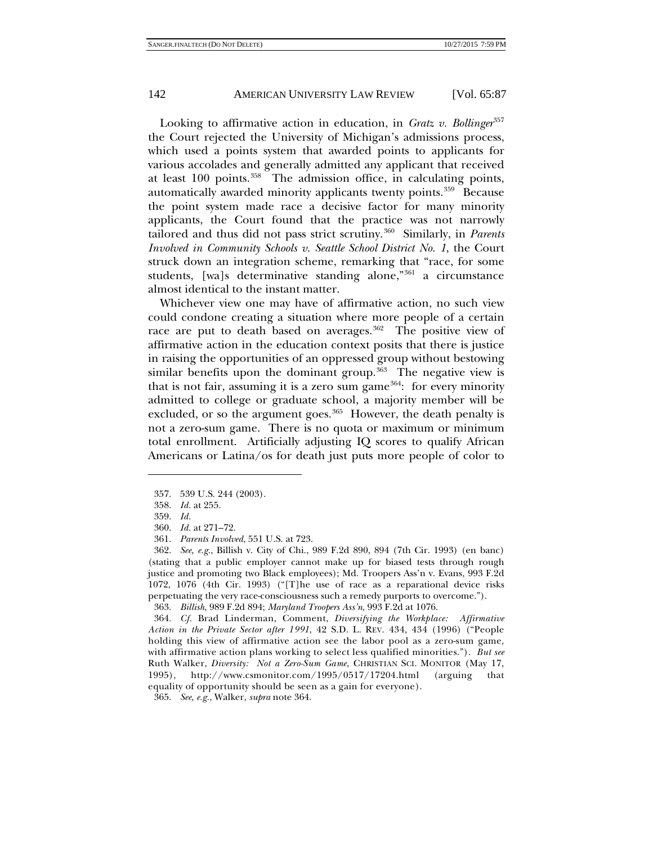Looking to affirmative action in education, in *Gratz v. Bollinger*[357](#page-55-1) the Court rejected the University of Michigan's admissions process, which used a points system that awarded points to applicants for various accolades and generally admitted any applicant that received at least 100 points.<sup>[358](#page-55-2)</sup> The admission office, in calculating points, automatically awarded minority applicants twenty points.<sup>[359](#page-55-3)</sup> Because the point system made race a decisive factor for many minority applicants, the Court found that the practice was not narrowly tailored and thus did not pass strict scrutiny.[360](#page-55-4) Similarly, in *Parents Involved in Community Schools v. Seattle School District No. 1*, the Court struck down an integration scheme, remarking that "race, for some students, [wa]s determinative standing alone,"[361](#page-55-5) a circumstance almost identical to the instant matter.

<span id="page-55-0"></span>Whichever view one may have of affirmative action, no such view could condone creating a situation where more people of a certain race are put to death based on averages.<sup>362</sup> The positive view of affirmative action in the education context posits that there is justice in raising the opportunities of an oppressed group without bestowing similar benefits upon the dominant group.<sup>[363](#page-55-7)</sup> The negative view is that is not fair, assuming it is a zero sum game<sup>[364](#page-55-8)</sup>: for every minority admitted to college or graduate school, a majority member will be excluded, or so the argument goes.<sup>365</sup> However, the death penalty is not a zero-sum game. There is no quota or maximum or minimum total enrollment. Artificially adjusting IQ scores to qualify African Americans or Latina/os for death just puts more people of color to

<sup>357.</sup> 539 U.S. 244 (2003).

<span id="page-55-2"></span><span id="page-55-1"></span><sup>358.</sup> *Id.* at 255.

<sup>359.</sup> *Id.*

<sup>360.</sup> *Id.* at 271–72.

<sup>361.</sup> *Parents Involved*, 551 U.S. at 723.

<span id="page-55-6"></span><span id="page-55-5"></span><span id="page-55-4"></span><span id="page-55-3"></span><sup>362.</sup> *See, e.g.*, Billish v. City of Chi., 989 F.2d 890, 894 (7th Cir. 1993) (en banc) (stating that a public employer cannot make up for biased tests through rough justice and promoting two Black employees); Md. Troopers Ass'n v. Evans, 993 F.2d 1072, 1076 (4th Cir. 1993) ("[T]he use of race as a reparational device risks perpetuating the very race-consciousness such a remedy purports to overcome.").

<sup>363.</sup> *Billish*, 989 F.2d 894; *Maryland Troopers Ass'n*, 993 F.2d at 1076.

<span id="page-55-8"></span><span id="page-55-7"></span><sup>364.</sup> *Cf.* Brad Linderman, Comment, *Diversifying the Workplace: Affirmative Action in the Private Sector after 1991*, 42 S.D. L. REV. 434, 434 (1996) ("People holding this view of affirmative action see the labor pool as a zero-sum game, with affirmative action plans working to select less qualified minorities."). *But see* Ruth Walker, *Diversity: Not a Zero-Sum Game*, CHRISTIAN SCI. MONITOR (May 17, 1995), http://www.csmonitor.com/1995/0517/17204.html (arguing that equality of opportunity should be seen as a gain for everyone).

<span id="page-55-9"></span><sup>365.</sup> *See, e.g.*, Walker, *supra* note [364.](#page-55-0)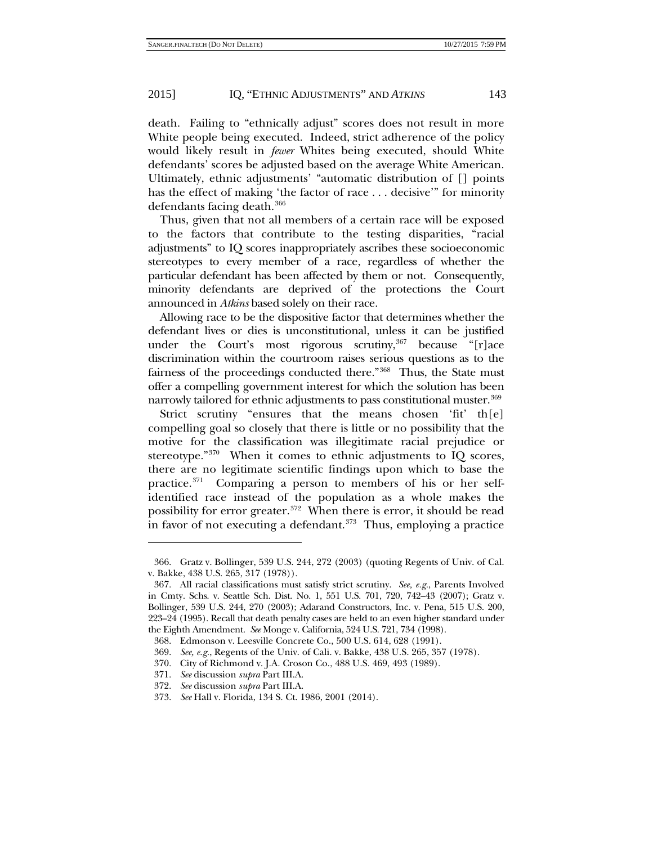death. Failing to "ethnically adjust" scores does not result in more White people being executed. Indeed, strict adherence of the policy would likely result in *fewer* Whites being executed, should White defendants' scores be adjusted based on the average White American. Ultimately, ethnic adjustments' "automatic distribution of [] points has the effect of making 'the factor of race . . . decisive'" for minority defendants facing death.<sup>[366](#page-56-0)</sup>

Thus, given that not all members of a certain race will be exposed to the factors that contribute to the testing disparities, "racial adjustments" to IQ scores inappropriately ascribes these socioeconomic stereotypes to every member of a race, regardless of whether the particular defendant has been affected by them or not. Consequently, minority defendants are deprived of the protections the Court announced in *Atkins* based solely on their race.

Allowing race to be the dispositive factor that determines whether the defendant lives or dies is unconstitutional, unless it can be justified under the Court's most rigorous scrutiny,  $367$  because "[r]ace discrimination within the courtroom raises serious questions as to the fairness of the proceedings conducted there."<sup>[368](#page-56-2)</sup> Thus, the State must offer a compelling government interest for which the solution has been narrowly tailored for ethnic adjustments to pass constitutional muster.<sup>[369](#page-56-3)</sup>

Strict scrutiny "ensures that the means chosen 'fit' th[e] compelling goal so closely that there is little or no possibility that the motive for the classification was illegitimate racial prejudice or stereotype."<sup>370</sup> When it comes to ethnic adjustments to IQ scores, there are no legitimate scientific findings upon which to base the practice.[371](#page-56-5) Comparing a person to members of his or her selfidentified race instead of the population as a whole makes the possibility for error greater.<sup>[372](#page-56-6)</sup> When there is error, it should be read in favor of not executing a defendant. $373$  Thus, employing a practice

<span id="page-56-0"></span><sup>366.</sup> Gratz v. Bollinger, 539 U.S. 244, 272 (2003) (quoting Regents of Univ. of Cal. v. Bakke, 438 U.S. 265, 317 (1978)).

<span id="page-56-1"></span><sup>367.</sup> All racial classifications must satisfy strict scrutiny. *See, e.g.*, Parents Involved in Cmty. Schs. v. Seattle Sch. Dist. No. 1, 551 U.S. 701, 720, 742–43 (2007); Gratz v. Bollinger, 539 U.S. 244, 270 (2003); Adarand Constructors, Inc. v. Pena, 515 U.S. 200, 223–24 (1995). Recall that death penalty cases are held to an even higher standard under the Eighth Amendment. *See* Monge v. California, 524 U.S. 721, 734 (1998).

<span id="page-56-2"></span><sup>368.</sup> Edmonson v. Leesville Concrete Co., 500 U.S. 614, 628 (1991).

<span id="page-56-3"></span><sup>369.</sup> *See, e.g.*, Regents of the Univ. of Cali. v. Bakke, 438 U.S. 265, 357 (1978).

<span id="page-56-5"></span><span id="page-56-4"></span><sup>370.</sup> City of Richmond v. J.A. Croson Co., 488 U.S. 469, 493 (1989).

<sup>371.</sup> *See* discussion *supra* Part III.A.

<sup>372.</sup> *See* discussion *supra* Part III.A.

<span id="page-56-7"></span><span id="page-56-6"></span><sup>373.</sup> *See* Hall v. Florida, 134 S. Ct. 1986, 2001 (2014).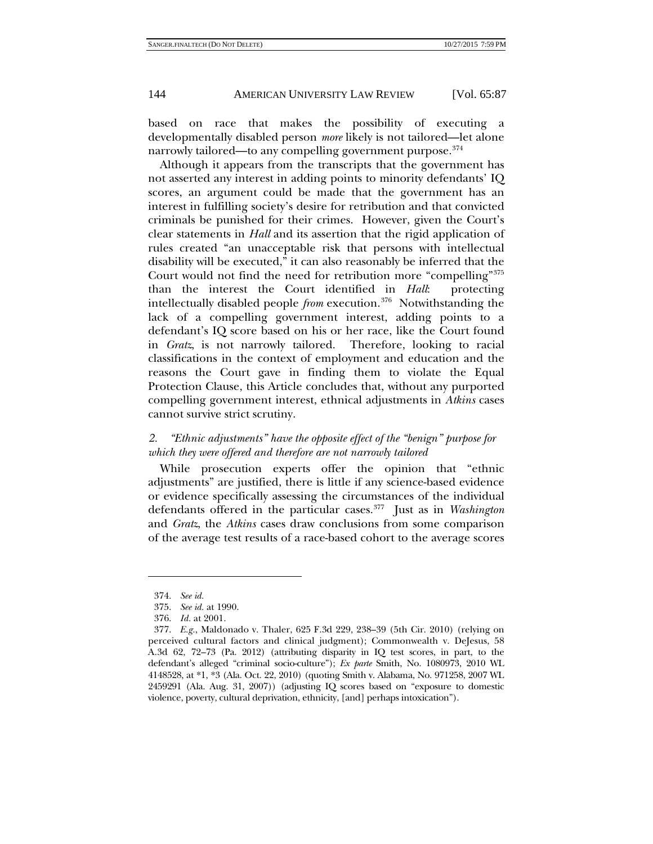based on race that makes the possibility of executing a developmentally disabled person *more* likely is not tailored—let alone narrowly tailored—to any compelling government purpose.<sup>[374](#page-57-0)</sup>

Although it appears from the transcripts that the government has not asserted any interest in adding points to minority defendants' IQ scores, an argument could be made that the government has an interest in fulfilling society's desire for retribution and that convicted criminals be punished for their crimes. However, given the Court's clear statements in *Hall* and its assertion that the rigid application of rules created "an unacceptable risk that persons with intellectual disability will be executed," it can also reasonably be inferred that the Court would not find the need for retribution more "compelling"[375](#page-57-1) than the interest the Court identified in *Hall*: protecting intellectually disabled people *from* execution.[376](#page-57-2) Notwithstanding the lack of a compelling government interest, adding points to a defendant's IQ score based on his or her race, like the Court found in *Gratz*, is not narrowly tailored. Therefore, looking to racial classifications in the context of employment and education and the reasons the Court gave in finding them to violate the Equal Protection Clause, this Article concludes that, without any purported compelling government interest, ethnical adjustments in *Atkins* cases cannot survive strict scrutiny.

# *2. "Ethnic adjustments" have the opposite effect of the "benign" purpose for which they were offered and therefore are not narrowly tailored*

While prosecution experts offer the opinion that "ethnic adjustments" are justified, there is little if any science-based evidence or evidence specifically assessing the circumstances of the individual defendants offered in the particular cases[.377](#page-57-3) Just as in *Washington* and *Gratz*, the *Atkins* cases draw conclusions from some comparison of the average test results of a race-based cohort to the average scores

<sup>374.</sup> *See id.*

<sup>375.</sup> *See id.* at 1990.

<sup>376.</sup> *Id.* at 2001.

<span id="page-57-3"></span><span id="page-57-2"></span><span id="page-57-1"></span><span id="page-57-0"></span><sup>377.</sup> *E.g.*, Maldonado v. Thaler, 625 F.3d 229, 238–39 (5th Cir. 2010) (relying on perceived cultural factors and clinical judgment); Commonwealth v. DeJesus, 58 A.3d 62, 72–73 (Pa. 2012) (attributing disparity in IQ test scores, in part, to the defendant's alleged "criminal socio-culture"); *Ex parte* Smith, No. 1080973, 2010 WL 4148528, at \*1, \*3 (Ala. Oct. 22, 2010) (quoting Smith v. Alabama, No. 971258, 2007 WL 2459291 (Ala. Aug. 31, 2007)) (adjusting IQ scores based on "exposure to domestic violence, poverty, cultural deprivation, ethnicity, [and] perhaps intoxication").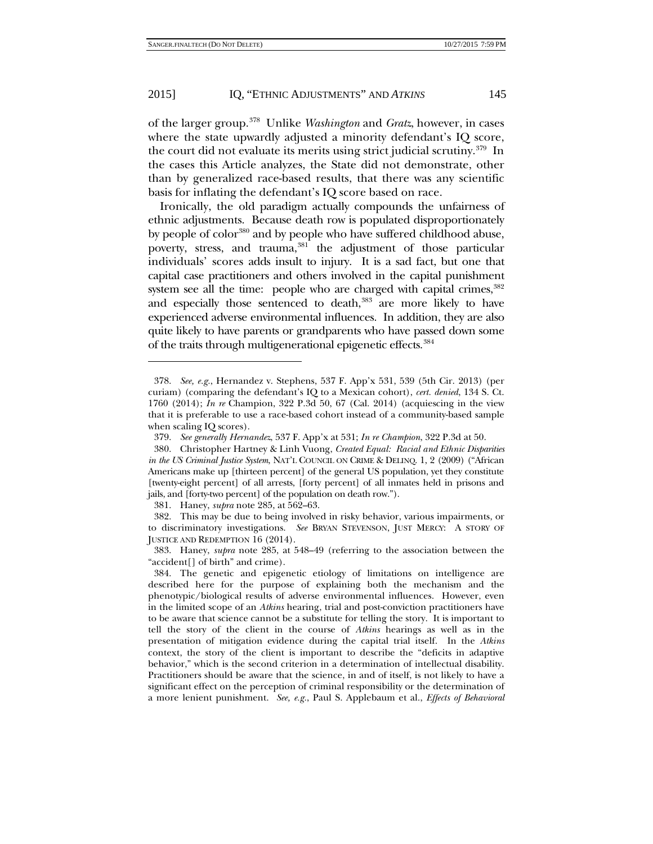of the larger group.[378](#page-58-0) Unlike *Washington* and *Gratz*, however, in cases where the state upwardly adjusted a minority defendant's IQ score, the court did not evaluate its merits using strict judicial scrutiny.<sup>379</sup> In the cases this Article analyzes, the State did not demonstrate, other than by generalized race-based results, that there was any scientific basis for inflating the defendant's IQ score based on race.

Ironically, the old paradigm actually compounds the unfairness of ethnic adjustments. Because death row is populated disproportionately by people of color<sup>[380](#page-58-2)</sup> and by people who have suffered childhood abuse, poverty, stress, and trauma,  $381$  the adjustment of those particular individuals' scores adds insult to injury. It is a sad fact, but one that capital case practitioners and others involved in the capital punishment system see all the time: people who are charged with capital crimes,  $382$ and especially those sentenced to death,<sup>[383](#page-58-5)</sup> are more likely to have experienced adverse environmental influences. In addition, they are also quite likely to have parents or grandparents who have passed down some of the traits through multigenerational epigenetic effects.<sup>[384](#page-58-6)</sup>

381. Haney, *supra* not[e 285,](#page-44-9) at 562–63.

<span id="page-58-0"></span><sup>378.</sup> *See, e.g.*, Hernandez v. Stephens, 537 F. App'x 531, 539 (5th Cir. 2013) (per curiam) (comparing the defendant's IQ to a Mexican cohort), *cert. denied*, 134 S. Ct. 1760 (2014); *In re* Champion, 322 P.3d 50, 67 (Cal. 2014) (acquiescing in the view that it is preferable to use a race-based cohort instead of a community-based sample when scaling IQ scores).

<sup>379.</sup> *See generally Hernandez*, 537 F. App'x at 531; *In re Champion*, 322 P.3d at 50.

<span id="page-58-2"></span><span id="page-58-1"></span><sup>380.</sup> Christopher Hartney & Linh Vuong, *Created Equal: Racial and Ethnic Disparities in the US Criminal Justice System*, NAT'L COUNCIL ON CRIME & DELINQ. 1, 2 (2009) ("African Americans make up [thirteen percent] of the general US population, yet they constitute [twenty-eight percent] of all arrests, [forty percent] of all inmates held in prisons and jails, and [forty-two percent] of the population on death row.").

<span id="page-58-4"></span><span id="page-58-3"></span><sup>382.</sup> This may be due to being involved in risky behavior, various impairments, or to discriminatory investigations. *See* BRYAN STEVENSON, JUST MERCY: A STORY OF JUSTICE AND REDEMPTION 16 (2014).

<span id="page-58-5"></span><sup>383.</sup> Haney, *supra* note [285,](#page-44-9) at 548–49 (referring to the association between the "accident[] of birth" and crime).

<span id="page-58-6"></span><sup>384.</sup> The genetic and epigenetic etiology of limitations on intelligence are described here for the purpose of explaining both the mechanism and the phenotypic/biological results of adverse environmental influences. However, even in the limited scope of an *Atkins* hearing, trial and post-conviction practitioners have to be aware that science cannot be a substitute for telling the story. It is important to tell the story of the client in the course of *Atkins* hearings as well as in the presentation of mitigation evidence during the capital trial itself. In the *Atkins* context, the story of the client is important to describe the "deficits in adaptive behavior," which is the second criterion in a determination of intellectual disability. Practitioners should be aware that the science, in and of itself, is not likely to have a significant effect on the perception of criminal responsibility or the determination of a more lenient punishment. *See, e.g.*, Paul S. Applebaum et al., *Effects of Behavioral*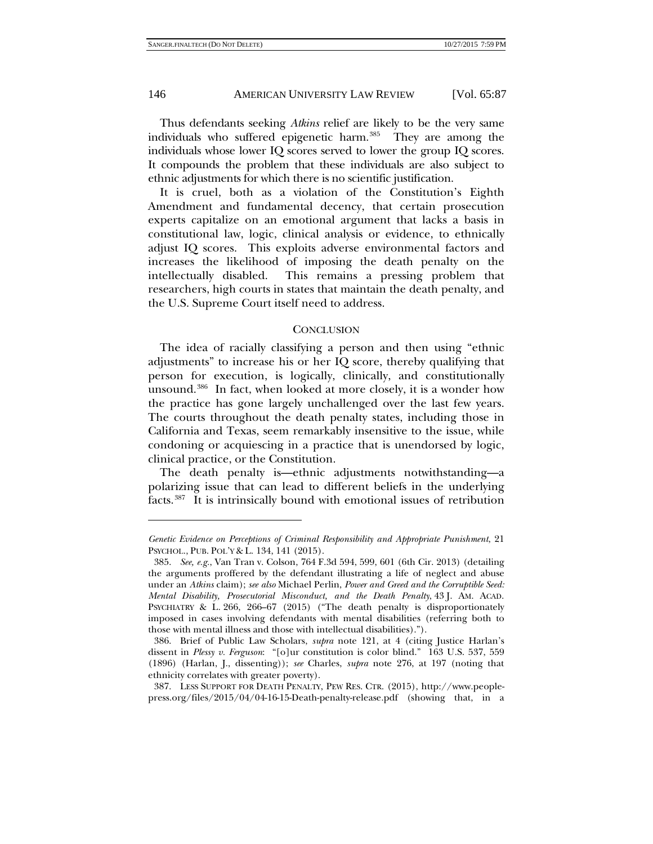-

# 146 AMERICAN UNIVERSITY LAW REVIEW [Vol. 65:87

Thus defendants seeking *Atkins* relief are likely to be the very same individuals who suffered epigenetic harm.[385](#page-59-0) They are among the individuals whose lower IQ scores served to lower the group IQ scores. It compounds the problem that these individuals are also subject to ethnic adjustments for which there is no scientific justification.

It is cruel, both as a violation of the Constitution's Eighth Amendment and fundamental decency, that certain prosecution experts capitalize on an emotional argument that lacks a basis in constitutional law, logic, clinical analysis or evidence, to ethnically adjust IQ scores. This exploits adverse environmental factors and increases the likelihood of imposing the death penalty on the intellectually disabled. This remains a pressing problem that researchers, high courts in states that maintain the death penalty, and the U.S. Supreme Court itself need to address.

#### **CONCLUSION**

The idea of racially classifying a person and then using "ethnic adjustments" to increase his or her IQ score, thereby qualifying that person for execution, is logically, clinically, and constitutionally unsound.[386](#page-59-1) In fact, when looked at more closely, it is a wonder how the practice has gone largely unchallenged over the last few years. The courts throughout the death penalty states, including those in California and Texas, seem remarkably insensitive to the issue, while condoning or acquiescing in a practice that is unendorsed by logic, clinical practice, or the Constitution.

The death penalty is—ethnic adjustments notwithstanding—a polarizing issue that can lead to different beliefs in the underlying facts.[387](#page-59-2) It is intrinsically bound with emotional issues of retribution

*Genetic Evidence on Perceptions of Criminal Responsibility and Appropriate Punishment*, 21 PSYCHOL., PUB. POL'Y & L. 134, 141 (2015).

<span id="page-59-0"></span><sup>385.</sup> *See, e.g.*, Van Tran v. Colson, 764 F.3d 594, 599, 601 (6th Cir. 2013) (detailing the arguments proffered by the defendant illustrating a life of neglect and abuse under an *Atkins* claim); *see also* Michael Perlin, *Power and Greed and the Corruptible Seed: Mental Disability, Prosecutorial Misconduct, and the Death Penalty*, 43 J. AM. ACAD. PSYCHIATRY & L. 266, 266–67 (2015) ("The death penalty is disproportionately imposed in cases involving defendants with mental disabilities (referring both to those with mental illness and those with intellectual disabilities).").

<span id="page-59-1"></span><sup>386.</sup> Brief of Public Law Scholars, *supra* note [121,](#page-21-5) at 4 (citing Justice Harlan's dissent in *Plessy v. Ferguson*: "[o]ur constitution is color blind." 163 U.S. 537, 559 (1896) (Harlan, J., dissenting)); *see* Charles, *supra* note [276,](#page-43-0) at 197 (noting that ethnicity correlates with greater poverty).

<span id="page-59-2"></span><sup>387.</sup> LESS SUPPORT FOR DEATH PENALTY, PEW RES. CTR. (2015), [http://www.people](http://www.people-press.org/files/2015/04/04-16-15-Death-penalty-release.pdf)[press.org/files/2015/04/04-16-15-Death-penalty-release.pdf](http://www.people-press.org/files/2015/04/04-16-15-Death-penalty-release.pdf) (showing that, in a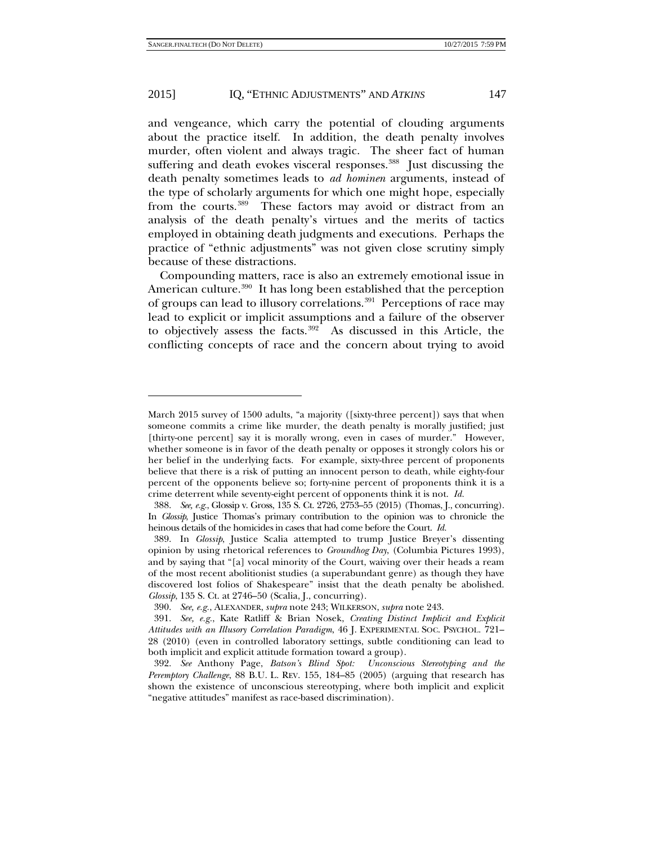-

# 2015] IQ, "ETHNIC ADJUSTMENTS" AND *ATKINS* 147

and vengeance, which carry the potential of clouding arguments about the practice itself. In addition, the death penalty involves murder, often violent and always tragic. The sheer fact of human suffering and death evokes visceral responses.<sup>388</sup> Just discussing the death penalty sometimes leads to *ad hominen* arguments, instead of the type of scholarly arguments for which one might hope, especially from the courts.<sup>389</sup> These factors may avoid or distract from an analysis of the death penalty's virtues and the merits of tactics employed in obtaining death judgments and executions. Perhaps the practice of "ethnic adjustments" was not given close scrutiny simply because of these distractions.

Compounding matters, race is also an extremely emotional issue in American culture.<sup>[390](#page-60-2)</sup> It has long been established that the perception of groups can lead to illusory correlations.<sup>391</sup> Perceptions of race may lead to explicit or implicit assumptions and a failure of the observer to objectively assess the facts. $392$  As discussed in this Article, the conflicting concepts of race and the concern about trying to avoid

March 2015 survey of 1500 adults, "a majority ([sixty-three percent]) says that when someone commits a crime like murder, the death penalty is morally justified; just [thirty-one percent] say it is morally wrong, even in cases of murder." However, whether someone is in favor of the death penalty or opposes it strongly colors his or her belief in the underlying facts. For example, sixty-three percent of proponents believe that there is a risk of putting an innocent person to death, while eighty-four percent of the opponents believe so; forty-nine percent of proponents think it is a crime deterrent while seventy-eight percent of opponents think it is not. *Id.*

<span id="page-60-0"></span><sup>388.</sup> *See, e.g.*, Glossip v. Gross, 135 S. Ct. 2726, 2753–55 (2015) (Thomas, J., concurring). In *Glossip*, Justice Thomas's primary contribution to the opinion was to chronicle the heinous details of the homicides in cases that had come before the Court. *Id.*

<span id="page-60-1"></span><sup>389.</sup> In *Glossip*, Justice Scalia attempted to trump Justice Breyer's dissenting opinion by using rhetorical references to *Groundhog Day*, (Columbia Pictures 1993), and by saying that "[a] vocal minority of the Court, waiving over their heads a ream of the most recent abolitionist studies (a superabundant genre) as though they have discovered lost folios of Shakespeare" insist that the death penalty be abolished. *Glossip*, 135 S. Ct. at 2746–50 (Scalia, J., concurring).

<sup>390.</sup> *See, e.g.*, ALEXANDER, *supra* not[e 243;](#page-38-6) WILKERSON, *supra* note [243.](#page-38-6)

<span id="page-60-3"></span><span id="page-60-2"></span><sup>391.</sup> *See, e.g.*, Kate Ratliff & Brian Nosek, *Creating Distinct Implicit and Explicit Attitudes with an Illusory Correlation Paradigm*, 46 J. EXPERIMENTAL SOC. PSYCHOL. 721– 28 (2010) (even in controlled laboratory settings, subtle conditioning can lead to both implicit and explicit attitude formation toward a group).

<span id="page-60-4"></span><sup>392.</sup> *See* Anthony Page, *Batson's Blind Spot: Unconscious Stereotyping and the Peremptory Challenge*, 88 B.U. L. REV. 155, 184–85 (2005) (arguing that research has shown the existence of unconscious stereotyping, where both implicit and explicit "negative attitudes" manifest as race-based discrimination).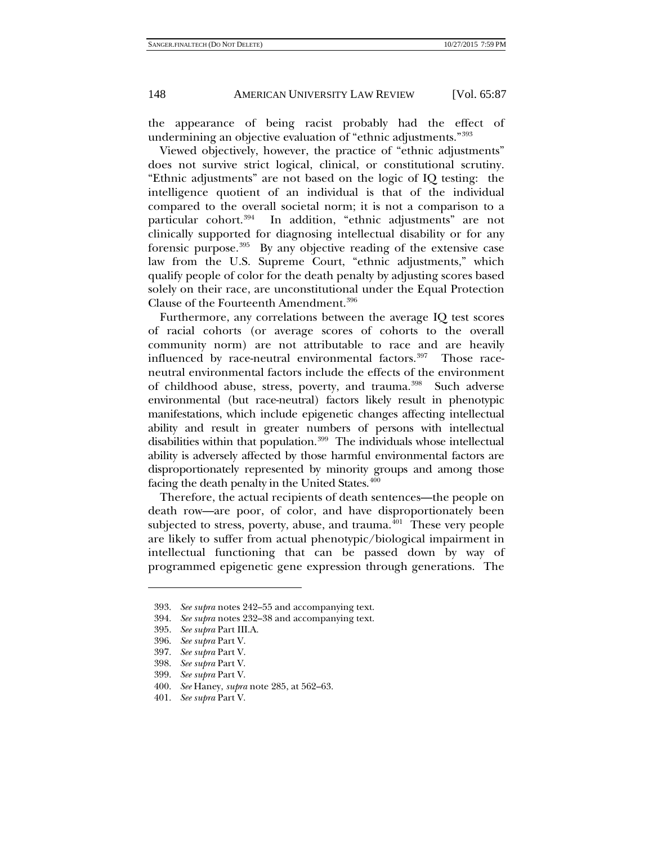the appearance of being racist probably had the effect of undermining an objective evaluation of "ethnic adjustments."[393](#page-61-0)

Viewed objectively, however, the practice of "ethnic adjustments" does not survive strict logical, clinical, or constitutional scrutiny. "Ethnic adjustments" are not based on the logic of IQ testing: the intelligence quotient of an individual is that of the individual compared to the overall societal norm; it is not a comparison to a particular cohort.[394](#page-61-1) In addition, "ethnic adjustments" are not clinically supported for diagnosing intellectual disability or for any forensic purpose[.395](#page-61-2) By any objective reading of the extensive case law from the U.S. Supreme Court, "ethnic adjustments," which qualify people of color for the death penalty by adjusting scores based solely on their race, are unconstitutional under the Equal Protection Clause of the Fourteenth Amendment.<sup>[396](#page-61-3)</sup>

Furthermore, any correlations between the average IQ test scores of racial cohorts (or average scores of cohorts to the overall community norm) are not attributable to race and are heavily influenced by race-neutral environmental factors.<sup>[397](#page-61-4)</sup> Those raceneutral environmental factors include the effects of the environment of childhood abuse, stress, poverty, and trauma.<sup>398</sup> Such adverse environmental (but race-neutral) factors likely result in phenotypic manifestations, which include epigenetic changes affecting intellectual ability and result in greater numbers of persons with intellectual disabilities within that population.<sup>399</sup> The individuals whose intellectual ability is adversely affected by those harmful environmental factors are disproportionately represented by minority groups and among those facing the death penalty in the United States.<sup>[400](#page-61-7)</sup>

Therefore, the actual recipients of death sentences—the people on death row—are poor, of color, and have disproportionately been subjected to stress, poverty, abuse, and trauma. $401$  These very people are likely to suffer from actual phenotypic/biological impairment in intellectual functioning that can be passed down by way of programmed epigenetic gene expression through generations. The

<span id="page-61-1"></span><span id="page-61-0"></span><sup>393.</sup> *See supra* note[s 242–](#page-37-6)55 and accompanying text.

<span id="page-61-2"></span><sup>394.</sup> *See supra* note[s 232–](#page-36-7)38 and accompanying text.

<sup>395.</sup> *See supra* Part III.A.

<span id="page-61-3"></span><sup>396.</sup> *See supra* Part V.

<span id="page-61-4"></span><sup>397.</sup> *See supra* Part V.

<sup>398.</sup> *See supra* Part V.

<span id="page-61-7"></span><span id="page-61-6"></span><span id="page-61-5"></span><sup>399.</sup> *See supra* Part V.

<sup>400.</sup> *See* Haney, *supra* not[e 285,](#page-44-9) at 562–63.

<span id="page-61-8"></span><sup>401.</sup> *See supra* Part V.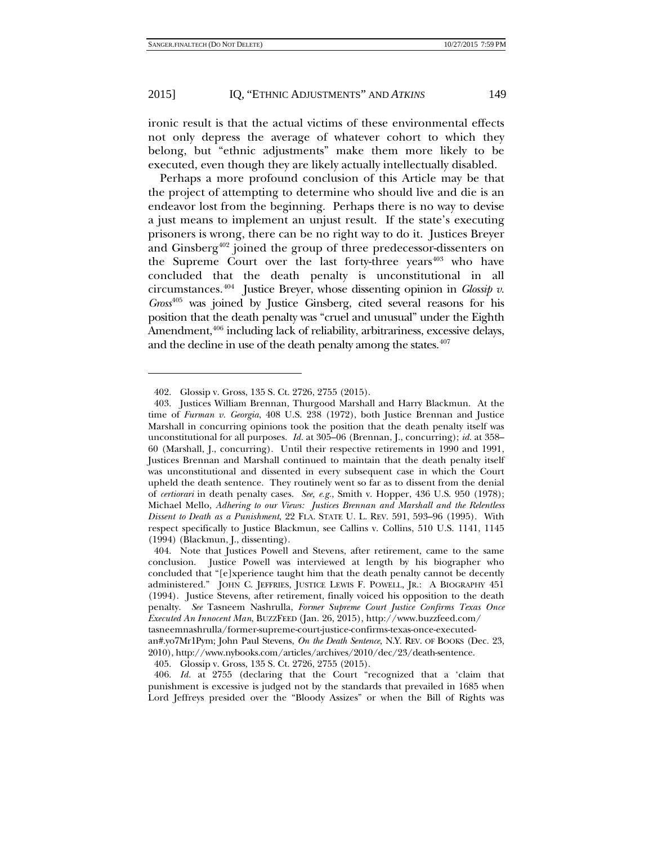ironic result is that the actual victims of these environmental effects not only depress the average of whatever cohort to which they belong, but "ethnic adjustments" make them more likely to be executed, even though they are likely actually intellectually disabled.

Perhaps a more profound conclusion of this Article may be that the project of attempting to determine who should live and die is an endeavor lost from the beginning. Perhaps there is no way to devise a just means to implement an unjust result. If the state's executing prisoners is wrong, there can be no right way to do it. Justices Breyer and Ginsberg<sup>[402](#page-62-0)</sup> joined the group of three predecessor-dissenters on the Supreme Court over the last forty-three years<sup>[403](#page-62-1)</sup> who have concluded that the death penalty is unconstitutional in all circumstances.[404](#page-62-2) Justice Breyer, whose dissenting opinion in *Glossip v. Gross*[405](#page-62-3) was joined by Justice Ginsberg, cited several reasons for his position that the death penalty was "cruel and unusual" under the Eighth Amendment,<sup>[406](#page-62-4)</sup> including lack of reliability, arbitrariness, excessive delays, and the decline in use of the death penalty among the states.<sup>407</sup>

<sup>402.</sup> Glossip v. Gross, 135 S. Ct. 2726, 2755 (2015).

<span id="page-62-1"></span><span id="page-62-0"></span><sup>403.</sup> Justices William Brennan, Thurgood Marshall and Harry Blackmun. At the time of *Furman v. Georgia*, 408 U.S. 238 (1972), both Justice Brennan and Justice Marshall in concurring opinions took the position that the death penalty itself was unconstitutional for all purposes. *Id.* at 305–06 (Brennan, J., concurring); *id.* at 358– 60 (Marshall, J., concurring). Until their respective retirements in 1990 and 1991, Justices Brennan and Marshall continued to maintain that the death penalty itself was unconstitutional and dissented in every subsequent case in which the Court upheld the death sentence. They routinely went so far as to dissent from the denial of *certiorari* in death penalty cases. *See, e.g.*, Smith v. Hopper, 436 U.S. 950 (1978); Michael Mello, *Adhering to our Views: Justices Brennan and Marshall and the Relentless Dissent to Death as a Punishment*, 22 FLA. STATE U. L. REV. 591, 593–96 (1995). With respect specifically to Justice Blackmun, see Callins v. Collins, 510 U.S. 1141, 1145 (1994) (Blackmun, J., dissenting).

<span id="page-62-2"></span><sup>404.</sup> Note that Justices Powell and Stevens, after retirement, came to the same conclusion. Justice Powell was interviewed at length by his biographer who concluded that "[e]xperience taught him that the death penalty cannot be decently administered." JOHN C. JEFFRIES, JUSTICE LEWIS F. POWELL, JR.: A BIOGRAPHY 451 (1994). Justice Stevens, after retirement, finally voiced his opposition to the death penalty. *See* Tasneem Nashrulla, *Former Supreme Court Justice Confirms Texas Once Executed An Innocent Man*, BUZZFEED (Jan. 26, 2015), http://www.buzzfeed.com/ tasneemnashrulla/former-supreme-court-justice-confirms-texas-once-executed-

an#.yo7Mr1Pym; John Paul Stevens, *On the Death Sentence*, N.Y. REV. OF BOOKS (Dec. 23, 2010), http://www.nybooks.com/articles/archives/2010/dec/23/death-sentence.

<sup>405.</sup> Glossip v. Gross, 135 S. Ct. 2726, 2755 (2015).

<span id="page-62-4"></span><span id="page-62-3"></span><sup>406.</sup> *Id.* at 2755 (declaring that the Court "recognized that a 'claim that punishment is excessive is judged not by the standards that prevailed in 1685 when Lord Jeffreys presided over the "Bloody Assizes" or when the Bill of Rights was